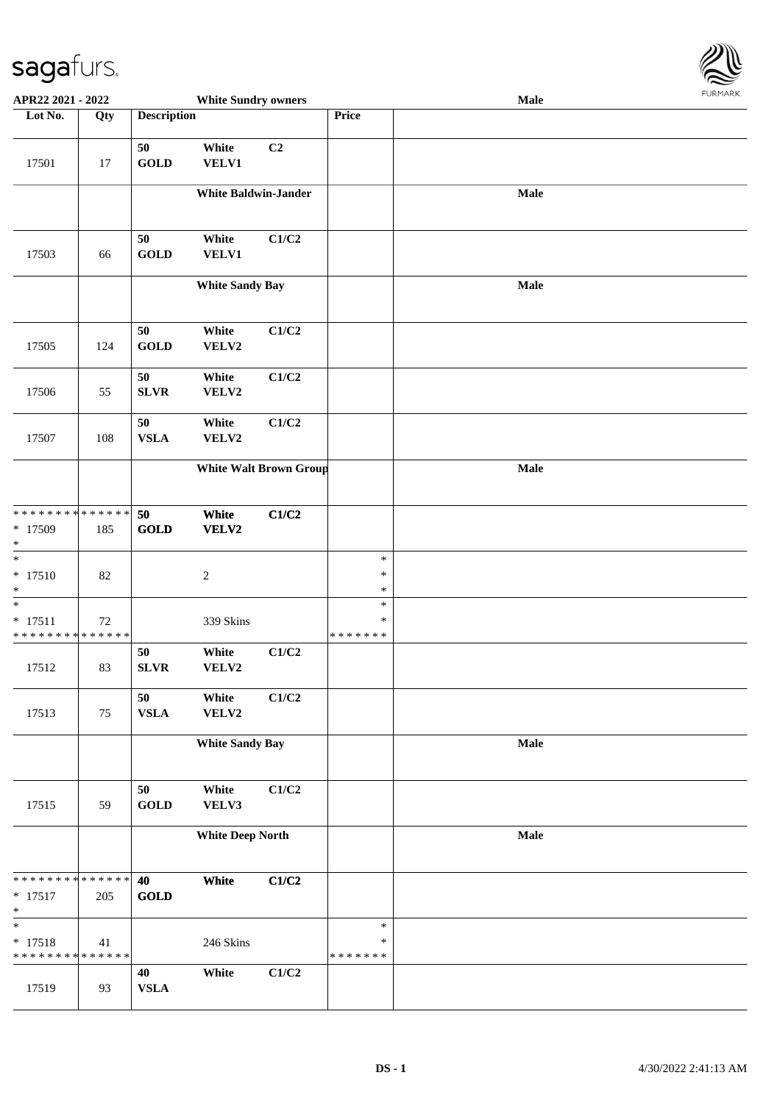

| APR22 2021 - 2022                                  |        |                       | <b>White Sundry owners</b>  |                               |                                   | <b>Male</b> |  |
|----------------------------------------------------|--------|-----------------------|-----------------------------|-------------------------------|-----------------------------------|-------------|--|
| Lot No.                                            | Qty    | <b>Description</b>    |                             |                               | Price                             |             |  |
| 17501                                              | 17     | 50<br><b>GOLD</b>     | White<br>VELV1              | C2                            |                                   |             |  |
|                                                    |        |                       | <b>White Baldwin-Jander</b> |                               |                                   | Male        |  |
| 17503                                              | 66     | $50\,$<br><b>GOLD</b> | White<br>VELV1              | C1/C2                         |                                   |             |  |
|                                                    |        |                       | <b>White Sandy Bay</b>      |                               |                                   | Male        |  |
| 17505                                              | 124    | 50<br><b>GOLD</b>     | White<br>VELV2              | C1/C2                         |                                   |             |  |
| 17506                                              | 55     | 50<br>${\bf SLVR}$    | White<br>VELV2              | C1/C2                         |                                   |             |  |
| 17507                                              | 108    | 50<br><b>VSLA</b>     | White<br>VELV2              | C1/C2                         |                                   |             |  |
|                                                    |        |                       |                             | <b>White Walt Brown Group</b> |                                   | Male        |  |
| * * * * * * * * * * * * * *<br>* 17509<br>$\ast$   | 185    | 50<br><b>GOLD</b>     | White<br>VELV2              | C1/C2                         |                                   |             |  |
| $\overline{\phantom{0}}$<br>$* 17510$<br>$\ast$    | 82     |                       | $\boldsymbol{2}$            |                               | $\ast$<br>$\ast$<br>$\ast$        |             |  |
| $\ast$<br>$* 17511$<br>* * * * * * * * * * * * * * | $72\,$ |                       | 339 Skins                   |                               | $\ast$<br>$\ast$<br>* * * * * * * |             |  |
| 17512                                              | 83     | 50<br>SLVR            | White<br>VELV2              | C1/C2                         |                                   |             |  |
| 17513                                              | 75     | 50<br><b>VSLA</b>     | White<br>VELV2              | C1/C2                         |                                   |             |  |
|                                                    |        |                       | <b>White Sandy Bay</b>      |                               |                                   | Male        |  |
| 17515                                              | 59     | 50<br><b>GOLD</b>     | White<br>VELV3              | C1/C2                         |                                   |             |  |
|                                                    |        |                       | <b>White Deep North</b>     |                               |                                   | Male        |  |
| * * * * * * * * * * * * * *<br>$* 17517$<br>$\ast$ | 205    | 40<br><b>GOLD</b>     | White                       | C1/C2                         |                                   |             |  |
| $\ast$<br>$* 17518$<br>* * * * * * * * * * * * * * | 41     |                       | 246 Skins                   |                               | $\ast$<br>$\ast$<br>* * * * * * * |             |  |
| 17519                                              | 93     | 40<br><b>VSLA</b>     | White                       | C1/C2                         |                                   |             |  |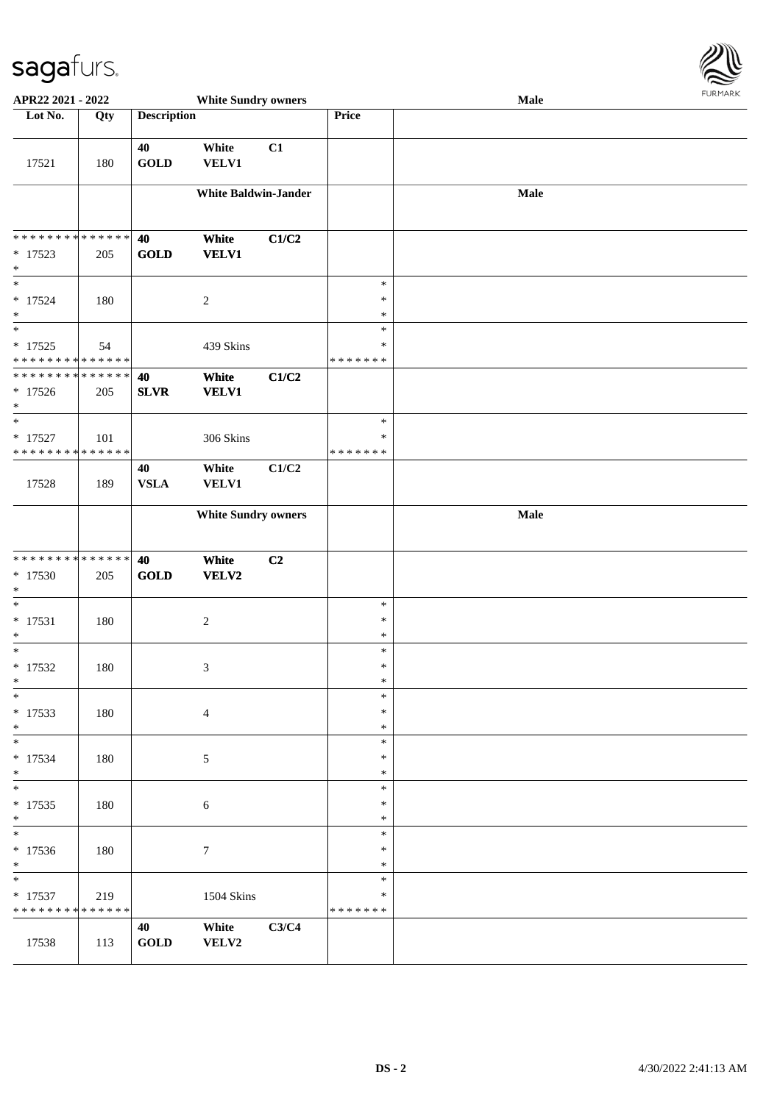

| APR22 2021 - 2022                                   |     |                    | <b>White Sundry owners</b>  |                |                                      | Male |  |
|-----------------------------------------------------|-----|--------------------|-----------------------------|----------------|--------------------------------------|------|--|
| Lot No.                                             | Qty | <b>Description</b> |                             |                | Price                                |      |  |
| 17521                                               | 180 | 40<br><b>GOLD</b>  | White<br><b>VELV1</b>       | C1             |                                      |      |  |
|                                                     |     |                    | <b>White Baldwin-Jander</b> |                |                                      | Male |  |
| * * * * * * * * * * * * * *<br>$* 17523$<br>$\ast$  | 205 | 40<br><b>GOLD</b>  | White<br><b>VELV1</b>       | C1/C2          |                                      |      |  |
| $\ast$<br>$* 17524$<br>$\ast$<br>$\ast$             | 180 |                    | $\sqrt{2}$                  |                | $\ast$<br>$\ast$<br>$\ast$<br>$\ast$ |      |  |
| $* 17525$<br>* * * * * * * * * * * * * *            | 54  |                    | 439 Skins                   |                | $\ast$<br>*******                    |      |  |
| * * * * * * * * * * * * * *<br>$* 17526$<br>$*$     | 205 | 40<br><b>SLVR</b>  | White<br><b>VELV1</b>       | C1/C2          |                                      |      |  |
| $\ast$<br>$* 17527$<br>* * * * * * * * * * * * * *  | 101 |                    | 306 Skins                   |                | $\ast$<br>$\ast$<br>* * * * * * *    |      |  |
| 17528                                               | 189 | 40<br><b>VSLA</b>  | White<br><b>VELV1</b>       | C1/C2          |                                      |      |  |
|                                                     |     |                    | <b>White Sundry owners</b>  |                |                                      | Male |  |
| * * * * * * * * * * * * * *<br>* 17530<br>$\ast$    | 205 | 40<br><b>GOLD</b>  | White<br>VELV2              | C <sub>2</sub> |                                      |      |  |
| $\ast$<br>$* 17531$<br>$\ast$                       | 180 |                    | $\sqrt{2}$                  |                | $\ast$<br>$\ast$<br>$\ast$           |      |  |
| $\ast$<br>$* 17532$<br>$*$                          | 180 |                    | 3                           |                | $\ast$<br>$\ast$<br>$\ast$           |      |  |
| $\ast$<br>$* 17533$<br>$*$                          | 180 |                    | $\overline{4}$              |                | $\ast$<br>$\ast$<br>$\ast$           |      |  |
| $* 17534$<br>$*$                                    | 180 |                    | 5                           |                | $\ast$<br>$\ast$<br>$\ast$           |      |  |
| $*$<br>$* 17535$<br>$*$<br>$\overline{\phantom{0}}$ | 180 |                    | 6                           |                | $\ast$<br>$\ast$<br>$\ast$           |      |  |
| $* 17536$<br>$*$                                    | 180 |                    | $\tau$                      |                | $\ast$<br>$\ast$<br>$\ast$           |      |  |
| $*$<br>$* 17537$<br>* * * * * * * * * * * * * *     | 219 |                    | <b>1504 Skins</b>           |                | $\ast$<br>$\ast$<br>*******          |      |  |
| 17538                                               | 113 | 40<br>GOLD         | White<br>VELV2              | C3/C4          |                                      |      |  |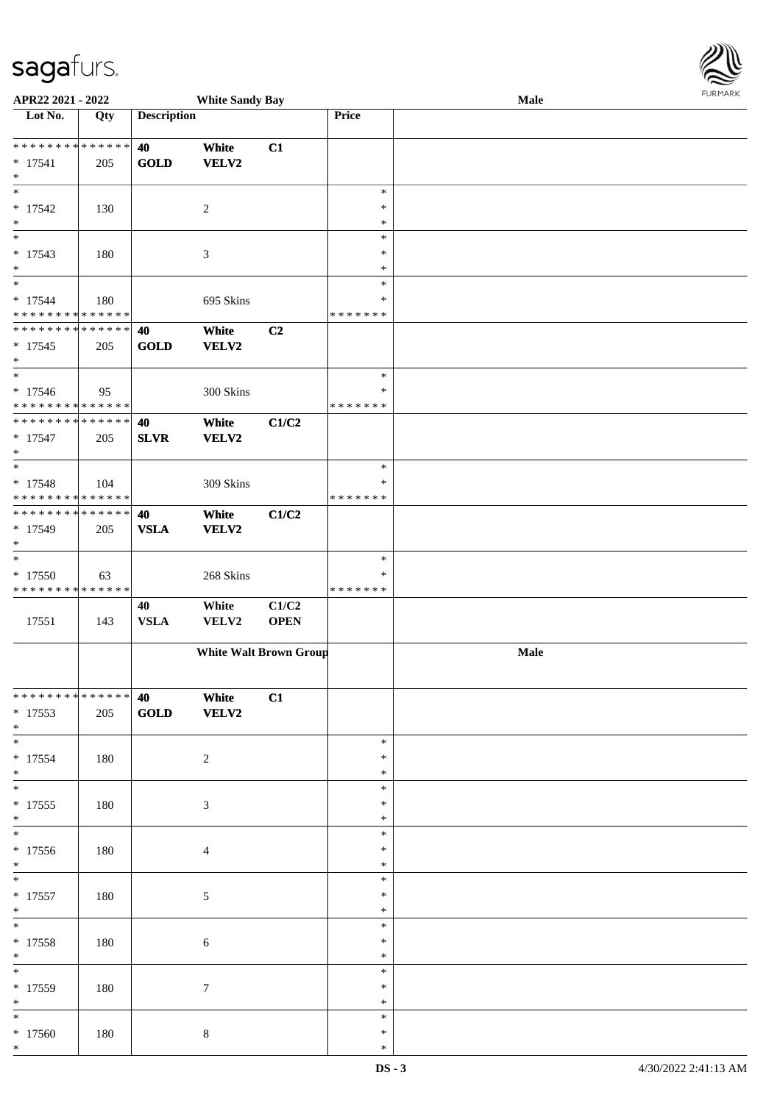\*

| APR22 2021 - 2022                          |     |                    | <b>White Sandy Bay</b> |                               |               | Male | <b>FURPIARA</b> |
|--------------------------------------------|-----|--------------------|------------------------|-------------------------------|---------------|------|-----------------|
| Lot No.                                    | Qty | <b>Description</b> |                        |                               | Price         |      |                 |
|                                            |     |                    |                        |                               |               |      |                 |
| * * * * * * * * * * * * * * <mark>*</mark> |     | 40                 | White                  | C1                            |               |      |                 |
| $* 17541$                                  | 205 | <b>GOLD</b>        | <b>VELV2</b>           |                               |               |      |                 |
| $\ast$                                     |     |                    |                        |                               |               |      |                 |
| $\overline{\ast}$                          |     |                    |                        |                               | $\ast$        |      |                 |
| $* 17542$                                  | 130 |                    | 2                      |                               | $\ast$        |      |                 |
| $\ast$                                     |     |                    |                        |                               | $\ast$        |      |                 |
| $\ddot{x}$                                 |     |                    |                        |                               | $\ast$        |      |                 |
| $* 17543$                                  | 180 |                    | 3                      |                               | $\ast$        |      |                 |
| $\ast$                                     |     |                    |                        |                               | $\ast$        |      |                 |
| $\overline{\ast}$                          |     |                    |                        |                               | $\ast$        |      |                 |
| $* 17544$                                  | 180 |                    | 695 Skins              |                               | ∗             |      |                 |
| * * * * * * * * * * * * * * *              |     |                    |                        |                               | * * * * * * * |      |                 |
| ******** <mark>******</mark>               |     | 40                 | White                  | C2                            |               |      |                 |
| $* 17545$                                  | 205 | <b>GOLD</b>        | <b>VELV2</b>           |                               |               |      |                 |
| $\ast$                                     |     |                    |                        |                               |               |      |                 |
| $\overline{\phantom{0}}$                   |     |                    |                        |                               | $\ast$        |      |                 |
| $* 17546$                                  | 95  |                    | 300 Skins              |                               | ∗             |      |                 |
| * * * * * * * * * * * * * * *              |     |                    |                        |                               | * * * * * * * |      |                 |
| * * * * * * * * <mark>* * * * * * *</mark> |     | 40                 | White                  | C1/C2                         |               |      |                 |
| $* 17547$                                  | 205 | <b>SLVR</b>        | <b>VELV2</b>           |                               |               |      |                 |
| $\ast$                                     |     |                    |                        |                               |               |      |                 |
| $\overline{\ast}$                          |     |                    |                        |                               | $\ast$        |      |                 |
| $* 17548$                                  | 104 |                    | 309 Skins              |                               | $\ast$        |      |                 |
| * * * * * * * * * * * * * * <mark>*</mark> |     |                    |                        |                               | * * * * * * * |      |                 |
| * * * * * * * * <mark>* * * * * *</mark>   |     | 40                 | White                  | C1/C2                         |               |      |                 |
| $* 17549$                                  | 205 | <b>VSLA</b>        | <b>VELV2</b>           |                               |               |      |                 |
| $\ast$                                     |     |                    |                        |                               |               |      |                 |
| $\ast$                                     |     |                    |                        |                               | $\ast$        |      |                 |
| $*17550$                                   | 63  |                    | 268 Skins              |                               | ∗             |      |                 |
| * * * * * * * * * * * * * *                |     |                    |                        |                               | * * * * * * * |      |                 |
|                                            |     | 40                 | White                  | C1/C2                         |               |      |                 |
| 17551                                      | 143 | <b>VSLA</b>        | VELV2                  | <b>OPEN</b>                   |               |      |                 |
|                                            |     |                    |                        |                               |               |      |                 |
|                                            |     |                    |                        | <b>White Walt Brown Group</b> |               | Male |                 |
|                                            |     |                    |                        |                               |               |      |                 |
|                                            |     |                    |                        |                               |               |      |                 |
| * * * * * * * * * * * * * * *              |     | 40                 | White                  | C1                            |               |      |                 |
| $*17553$                                   | 205 | <b>GOLD</b>        | <b>VELV2</b>           |                               |               |      |                 |
| $*$                                        |     |                    |                        |                               |               |      |                 |
|                                            |     |                    |                        |                               | $\ast$        |      |                 |
| $*17554$                                   | 180 |                    | 2                      |                               | $\ast$        |      |                 |
| $*$                                        |     |                    |                        |                               | $\ast$        |      |                 |
|                                            |     |                    |                        |                               | $\ast$        |      |                 |
| $* 17555$                                  | 180 |                    | 3                      |                               | $\ast$        |      |                 |
| $*$                                        |     |                    |                        |                               | $\ast$        |      |                 |
| $*$                                        |     |                    |                        |                               | $\ast$        |      |                 |
| $*17556$                                   | 180 |                    | $\overline{4}$         |                               | ∗             |      |                 |
| $*$                                        |     |                    |                        |                               | $\ast$        |      |                 |
| $\ast$                                     |     |                    |                        |                               | $\ast$        |      |                 |
| $* 17557$                                  | 180 |                    | $\mathfrak{S}$         |                               | $\ast$        |      |                 |
| $*$                                        |     |                    |                        |                               | $\ast$        |      |                 |
| $\ddot{x}$                                 |     |                    |                        |                               | $\ast$        |      |                 |
| $* 17558$                                  | 180 |                    | $\sqrt{6}$             |                               | $\ast$        |      |                 |
| $*$                                        |     |                    |                        |                               | $\ast$        |      |                 |
|                                            |     |                    |                        |                               | $\ast$        |      |                 |
| * 17559                                    | 180 |                    | $\tau$                 |                               | $\ast$        |      |                 |
| $*$                                        |     |                    |                        |                               | $\ast$        |      |                 |
| $*$                                        |     |                    |                        |                               | $\ast$        |      |                 |
| $*17560$                                   | 180 |                    | $\,8\,$                |                               | $\ast$        |      |                 |
| $\ast$                                     |     |                    |                        |                               | $\ast$        |      |                 |
|                                            |     |                    |                        |                               |               |      |                 |

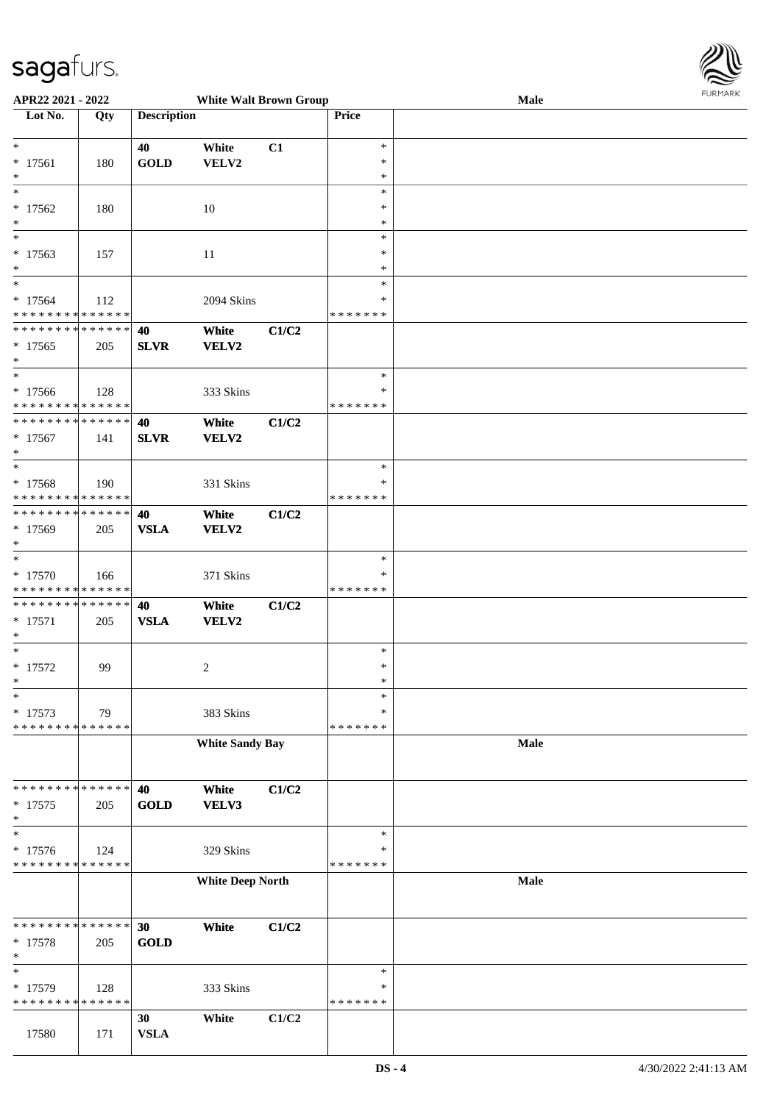

| APR22 2021 - 2022                          |             |                    | <b>White Walt Brown Group</b> |       |               | Male |  |
|--------------------------------------------|-------------|--------------------|-------------------------------|-------|---------------|------|--|
| Lot No.                                    | Qty         | <b>Description</b> |                               |       | Price         |      |  |
|                                            |             |                    |                               |       |               |      |  |
| $\ast$                                     |             | 40                 | White                         | C1    | $\ast$        |      |  |
| $* 17561$                                  | 180         | <b>GOLD</b>        | VELV2                         |       | $\ast$        |      |  |
| $\ast$                                     |             |                    |                               |       | $\ast$        |      |  |
| $_{*}$                                     |             |                    |                               |       | $\ast$        |      |  |
| $* 17562$                                  | 180         |                    | 10                            |       | ∗             |      |  |
| $\ast$                                     |             |                    |                               |       | *             |      |  |
|                                            |             |                    |                               |       |               |      |  |
|                                            |             |                    |                               |       | $\ast$        |      |  |
| $* 17563$                                  | 157         |                    | 11                            |       | $\ast$        |      |  |
| $*$                                        |             |                    |                               |       | $\ast$        |      |  |
| $*$                                        |             |                    |                               |       | $\ast$        |      |  |
| $* 17564$                                  | 112         |                    | 2094 Skins                    |       | $\ast$        |      |  |
| * * * * * * * * * * * * * *                |             |                    |                               |       | * * * * * * * |      |  |
| * * * * * * * * <mark>* * * * * * *</mark> |             | 40                 | White                         | C1/C2 |               |      |  |
| $* 17565$                                  | 205         | <b>SLVR</b>        | VELV2                         |       |               |      |  |
| $*$                                        |             |                    |                               |       |               |      |  |
| $*$                                        |             |                    |                               |       | $\ast$        |      |  |
|                                            |             |                    |                               |       |               |      |  |
| $* 17566$                                  | 128         |                    | 333 Skins                     |       | $\ast$        |      |  |
| * * * * * * * * <mark>* * * * * * *</mark> |             |                    |                               |       | * * * * * * * |      |  |
| * * * * * * * * * * * * * * *              |             | 40                 | White                         | C1/C2 |               |      |  |
| $* 17567$                                  | 141         | <b>SLVR</b>        | <b>VELV2</b>                  |       |               |      |  |
| $\ast$                                     |             |                    |                               |       |               |      |  |
| $*$                                        |             |                    |                               |       | $\ast$        |      |  |
| $* 17568$                                  | 190         |                    | 331 Skins                     |       | *             |      |  |
| * * * * * * * * * * * * * *                |             |                    |                               |       | *******       |      |  |
| * * * * * * * * * * * * * * *              |             | 40                 | White                         | C1/C2 |               |      |  |
|                                            |             |                    |                               |       |               |      |  |
| * 17569                                    | 205         | <b>VSLA</b>        | <b>VELV2</b>                  |       |               |      |  |
| $*$                                        |             |                    |                               |       |               |      |  |
| $\overline{\ }$                            |             |                    |                               |       | $\ast$        |      |  |
| $* 17570$                                  | 166         |                    | 371 Skins                     |       | *             |      |  |
| * * * * * * * * * * * * * *                |             |                    |                               |       | *******       |      |  |
| * * * * * * * * * * * * * * *              |             | 40                 | White                         | C1/C2 |               |      |  |
| $* 17571$                                  | 205         | <b>VSLA</b>        | <b>VELV2</b>                  |       |               |      |  |
| $\ast$                                     |             |                    |                               |       |               |      |  |
| $*$                                        |             |                    |                               |       | $\ast$        |      |  |
| $* 17572$                                  | 99          |                    | 2                             |       | $\ast$        |      |  |
| $*$                                        |             |                    |                               |       | $\ast$        |      |  |
| $\ast$                                     |             |                    |                               |       | $\ast$        |      |  |
|                                            |             |                    |                               |       |               |      |  |
| * 17573                                    | 79          |                    | 383 Skins                     |       | *             |      |  |
| * * * * * * * * * * * * * *                |             |                    |                               |       | * * * * * * * |      |  |
|                                            |             |                    | <b>White Sandy Bay</b>        |       |               | Male |  |
|                                            |             |                    |                               |       |               |      |  |
|                                            |             |                    |                               |       |               |      |  |
| * * * * * * * *                            | * * * * * * | 40                 | White                         | C1/C2 |               |      |  |
| $*17575$                                   | 205         | <b>GOLD</b>        | VELV3                         |       |               |      |  |
| $\ast$                                     |             |                    |                               |       |               |      |  |
| $\ast$                                     |             |                    |                               |       | $\ast$        |      |  |
| * 17576                                    |             |                    |                               |       | *             |      |  |
| * * * * * * * * * * * * * *                | 124         |                    | 329 Skins                     |       | * * * * * * * |      |  |
|                                            |             |                    |                               |       |               |      |  |
|                                            |             |                    | <b>White Deep North</b>       |       |               | Male |  |
|                                            |             |                    |                               |       |               |      |  |
|                                            |             |                    |                               |       |               |      |  |
| * * * * * * * *                            | * * * * * * | 30                 | White                         | C1/C2 |               |      |  |
| $* 17578$                                  | 205         | <b>GOLD</b>        |                               |       |               |      |  |
| $\ast$                                     |             |                    |                               |       |               |      |  |
| $\ast$                                     |             |                    |                               |       | $\ast$        |      |  |
| * 17579                                    | 128         |                    | 333 Skins                     |       | ∗             |      |  |
| * * * * * * * *                            | * * * * * * |                    |                               |       | * * * * * * * |      |  |
|                                            |             |                    |                               |       |               |      |  |
|                                            |             | 30                 | White                         | C1/C2 |               |      |  |
| 17580                                      | 171         | <b>VSLA</b>        |                               |       |               |      |  |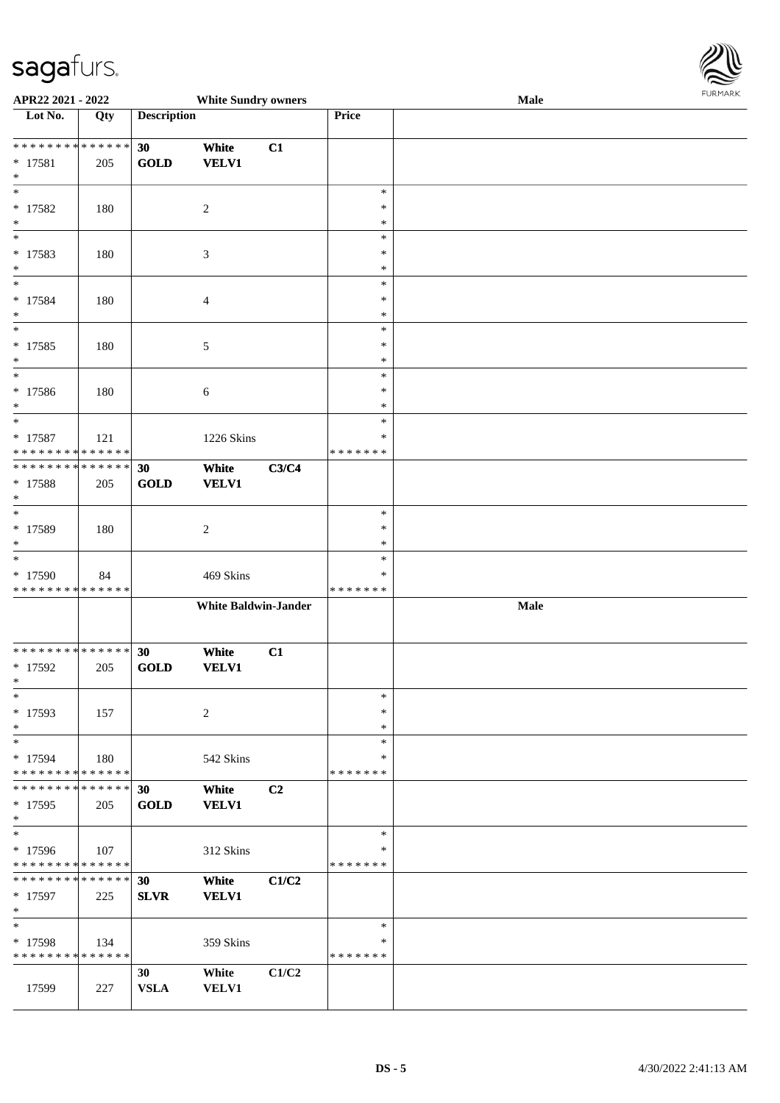

| APR22 2021 - 2022                                                      |     |                    | <b>White Sundry owners</b>  |       |                                      | Male | <b>LOKINKY</b> |
|------------------------------------------------------------------------|-----|--------------------|-----------------------------|-------|--------------------------------------|------|----------------|
| Lot No.                                                                | Qty | <b>Description</b> |                             |       | Price                                |      |                |
| ******** <mark>******</mark><br>$* 17581$<br>$*$                       | 205 | 30<br><b>GOLD</b>  | White<br><b>VELV1</b>       | C1    |                                      |      |                |
| $\ast$<br>$* 17582$<br>$*$                                             | 180 |                    | $\overline{c}$              |       | $\ast$<br>$\ast$<br>$\ast$           |      |                |
| $\ast$<br>* 17583<br>$\ast$                                            | 180 |                    | 3                           |       | $\ast$<br>$\ast$<br>$\ast$           |      |                |
| $\overline{\phantom{0}}$<br>* 17584<br>$\ast$<br>$\overline{\ast}$     | 180 |                    | 4                           |       | $\ast$<br>∗<br>$\ast$                |      |                |
| $* 17585$<br>$\ast$<br>$\overline{\ast}$                               | 180 |                    | 5                           |       | $\ast$<br>$\ast$<br>$\ast$           |      |                |
| $* 17586$<br>$*$<br>$*$                                                | 180 |                    | 6                           |       | $\ast$<br>$\ast$<br>$\ast$           |      |                |
| $* 17587$<br>* * * * * * * * * * * * * *                               | 121 |                    | 1226 Skins                  |       | $\ast$<br>$\ast$<br>* * * * * * *    |      |                |
| * * * * * * * * <mark>* * * * * * *</mark><br>* 17588<br>$*$<br>$\ast$ | 205 | 30<br><b>GOLD</b>  | White<br><b>VELV1</b>       | C3/C4 |                                      |      |                |
| $* 17589$<br>$\ast$<br>$*$                                             | 180 |                    | $\overline{c}$              |       | $\ast$<br>$\ast$<br>$\ast$<br>$\ast$ |      |                |
| * 17590<br>* * * * * * * * * * * * * *                                 | 84  |                    | 469 Skins                   |       | ∗<br>* * * * * * *                   |      |                |
|                                                                        |     |                    | <b>White Baldwin-Jander</b> |       |                                      | Male |                |
| * * * * * * * * * * * * * * *<br>$* 17592$<br>$\mathbf{x}$             | 205 | 30<br>GOLD         | White<br><b>VELV1</b>       | C1    |                                      |      |                |
| $*$<br>* 17593<br>$\ast$                                               | 157 |                    | 2                           |       | $\ast$<br>$\ast$<br>$\ast$           |      |                |
| $*$<br>* 17594<br>* * * * * * * * * * * * * * *                        | 180 |                    | 542 Skins                   |       | $\ast$<br>$\ast$<br>* * * * * * *    |      |                |
| * * * * * * * * * * * * * * *<br>$*17595$<br>$*$                       | 205 | 30<br><b>GOLD</b>  | White<br><b>VELV1</b>       | C2    |                                      |      |                |
| $*$<br>* 17596<br>* * * * * * * * * * * * * *                          | 107 |                    | 312 Skins                   |       | $\ast$<br>*<br>* * * * * * *         |      |                |
| * * * * * * * * * * * * * * *<br>* 17597<br>$*$                        | 225 | 30<br><b>SLVR</b>  | White<br><b>VELV1</b>       | C1/C2 |                                      |      |                |
| $*$<br>* 17598<br>* * * * * * * * * * * * * *                          | 134 |                    | 359 Skins                   |       | $\ast$<br>∗<br>* * * * * * *         |      |                |
| 17599                                                                  | 227 | 30<br><b>VSLA</b>  | White<br>VELV1              | C1/C2 |                                      |      |                |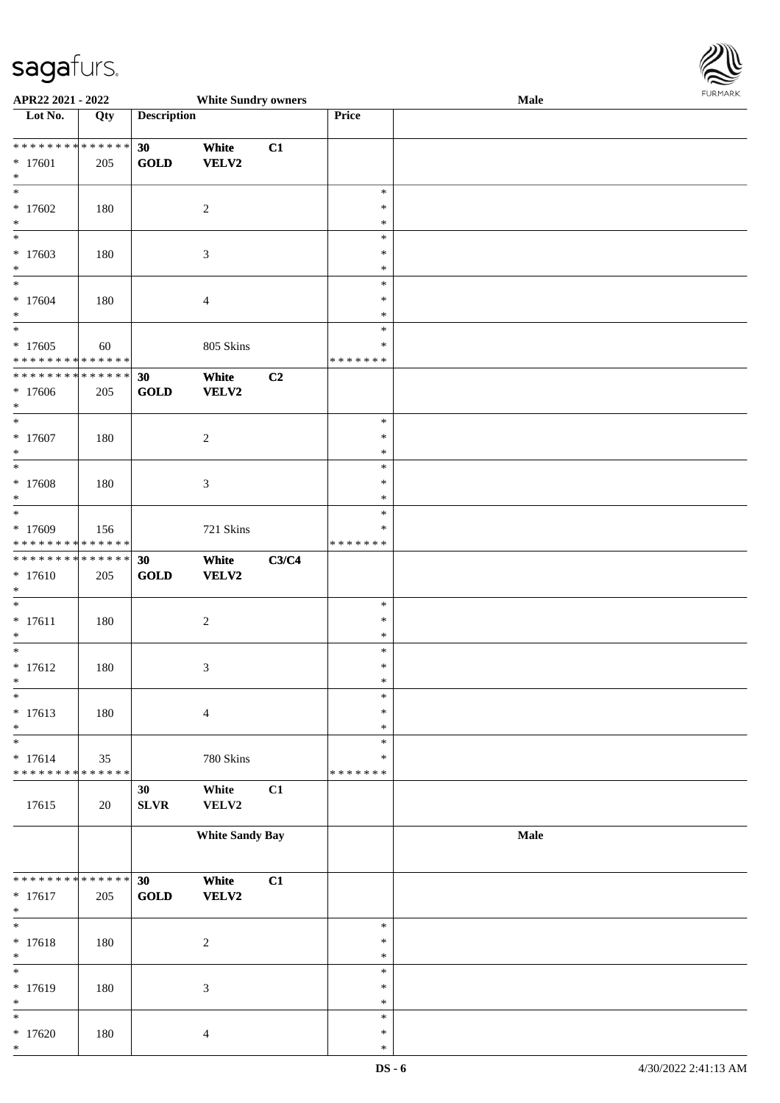

| APR22 2021 - 2022                      |     |                    | <b>White Sundry owners</b>  |       |               | Male | 10111111111 |
|----------------------------------------|-----|--------------------|-----------------------------|-------|---------------|------|-------------|
| Lot No.                                | Qty | <b>Description</b> |                             |       | Price         |      |             |
|                                        |     |                    |                             |       |               |      |             |
| * * * * * * * * * * * * * *            |     | 30                 | White                       | C1    |               |      |             |
| $* 17601$                              | 205 | <b>GOLD</b>        | VELV2                       |       |               |      |             |
| $\ast$                                 |     |                    |                             |       |               |      |             |
| $\ast$                                 |     |                    |                             |       | $\ast$        |      |             |
| $*17602$                               | 180 |                    | $\sqrt{2}$                  |       | $\ast$        |      |             |
| $\ast$                                 |     |                    |                             |       | $\ast$        |      |             |
| $\overline{\phantom{0}}$               |     |                    |                             |       | $\ast$        |      |             |
| $*17603$                               | 180 |                    | $\mathfrak{Z}$              |       | $\ast$        |      |             |
| $\ast$                                 |     |                    |                             |       | $\ast$        |      |             |
| $\overline{\ast}$                      |     |                    |                             |       | $\ast$        |      |             |
| $* 17604$                              | 180 |                    | $\overline{4}$              |       | $\ast$        |      |             |
| $\ast$                                 |     |                    |                             |       | $\ast$        |      |             |
| $\overline{\phantom{0}}$               |     |                    |                             |       | $\ast$        |      |             |
| $*17605$                               | 60  |                    | 805 Skins                   |       | $\ast$        |      |             |
| * * * * * * * * * * * * * *            |     |                    |                             |       | * * * * * * * |      |             |
| ******** <mark>******</mark>           |     | 30                 | White                       | C2    |               |      |             |
| $*17606$                               | 205 | <b>GOLD</b>        | VELV2                       |       |               |      |             |
| $*$                                    |     |                    |                             |       |               |      |             |
| $*$                                    |     |                    |                             |       | $\ast$        |      |             |
| $* 17607$                              | 180 |                    | $\boldsymbol{2}$            |       | $\ast$        |      |             |
| $\ast$                                 |     |                    |                             |       | $\ast$        |      |             |
| $\ast$                                 |     |                    |                             |       | $\ast$        |      |             |
|                                        |     |                    |                             |       | $\ast$        |      |             |
| $* 17608$<br>$\ast$                    | 180 |                    | $\mathfrak{Z}$              |       | $\ast$        |      |             |
| $\overline{\ast}$                      |     |                    |                             |       | $\ast$        |      |             |
|                                        |     |                    |                             |       | ∗             |      |             |
| * 17609<br>* * * * * * * * * * * * * * | 156 |                    | 721 Skins                   |       | * * * * * * * |      |             |
| ******** <mark>******</mark>           |     |                    |                             |       |               |      |             |
|                                        |     | 30                 | White                       | C3/C4 |               |      |             |
| $* 17610$                              | 205 | <b>GOLD</b>        | <b>VELV2</b>                |       |               |      |             |
| $\ast$<br>$\ast$                       |     |                    |                             |       | $\ast$        |      |             |
|                                        |     |                    |                             |       | $\ast$        |      |             |
| $* 17611$                              | 180 |                    | $\boldsymbol{2}$            |       | $\ast$        |      |             |
| $\ast$<br>$*$                          |     |                    |                             |       | $\ast$        |      |             |
|                                        |     |                    |                             |       | $\ast$        |      |             |
| $* 17612$<br>$*$                       | 180 |                    | $\mathfrak{Z}$              |       | $\ast$        |      |             |
| $\ast$                                 |     |                    |                             |       |               |      |             |
|                                        |     |                    |                             |       | $\ast$        |      |             |
| $* 17613$                              | 180 |                    | $\overline{4}$              |       | $\ast$        |      |             |
| $\ast$                                 |     |                    |                             |       | $\ast$        |      |             |
| $\ast$                                 |     |                    |                             |       | $\ast$        |      |             |
| $* 17614$                              | 35  |                    | 780 Skins                   |       | ∗             |      |             |
| ******** <mark>******</mark>           |     |                    |                             |       | * * * * * * * |      |             |
|                                        |     | 30                 | White                       | C1    |               |      |             |
| 17615                                  | 20  | <b>SLVR</b>        | VELV2                       |       |               |      |             |
|                                        |     |                    |                             |       |               |      |             |
|                                        |     |                    | <b>White Sandy Bay</b>      |       |               | Male |             |
|                                        |     |                    |                             |       |               |      |             |
|                                        |     |                    |                             |       |               |      |             |
| * * * * * * * * * * * * * *            |     | 30                 | White                       | C1    |               |      |             |
| $* 17617$                              | 205 | <b>GOLD</b>        | VELV2                       |       |               |      |             |
| $\ast$                                 |     |                    |                             |       |               |      |             |
| $\ast$                                 |     |                    |                             |       | $\ast$        |      |             |
| $* 17618$                              | 180 |                    | $\boldsymbol{2}$            |       | $\ast$        |      |             |
| $\ast$                                 |     |                    |                             |       | $\ast$        |      |             |
| $\ast$                                 |     |                    |                             |       | $\ast$        |      |             |
| * 17619                                | 180 |                    | $\ensuremath{\mathfrak{Z}}$ |       | $\ast$        |      |             |
| $\ast$                                 |     |                    |                             |       | $\ast$        |      |             |
| $\ast$                                 |     |                    |                             |       | $\ast$        |      |             |
| $*17620$                               | 180 |                    | $\overline{4}$              |       | $\ast$        |      |             |
| $\ast$                                 |     |                    |                             |       | $\ast$        |      |             |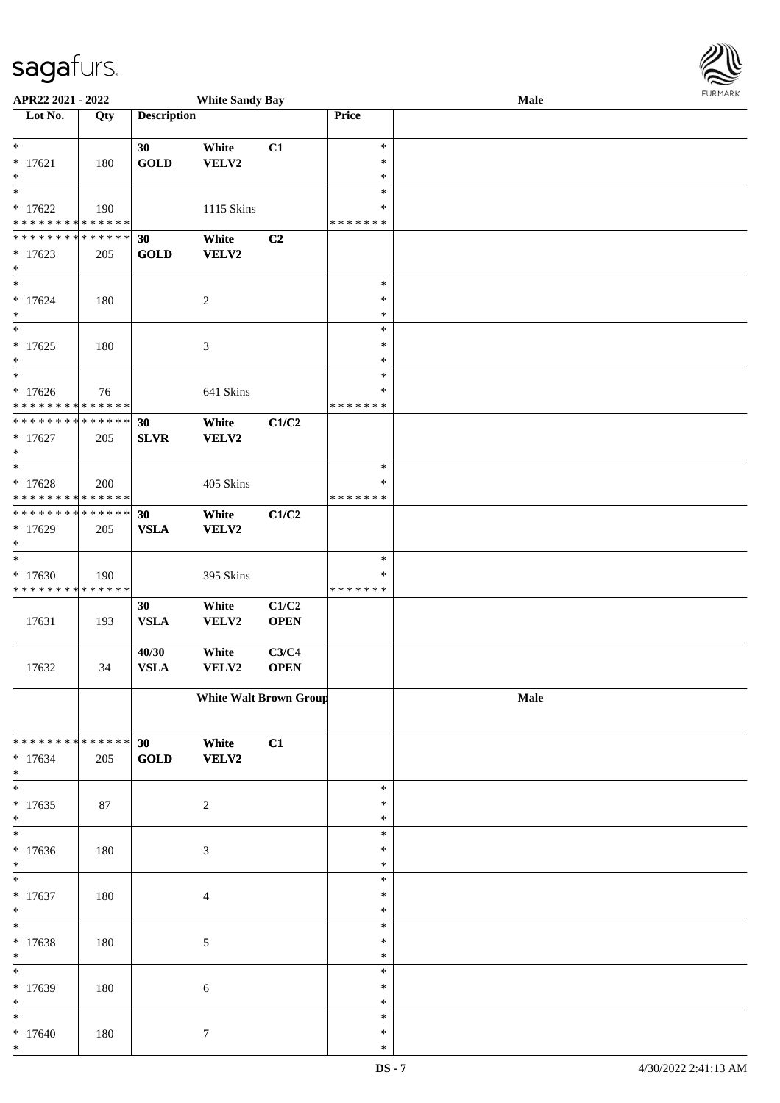| APR22 2021 - 2022                                                                   |     |                      | <b>White Sandy Bay</b>        |                      |                                   | Male | FURMARK |
|-------------------------------------------------------------------------------------|-----|----------------------|-------------------------------|----------------------|-----------------------------------|------|---------|
| Lot No.                                                                             | Qty | <b>Description</b>   |                               |                      | Price                             |      |         |
| $*$<br>$* 17621$<br>$\ast$                                                          | 180 | 30<br><b>GOLD</b>    | White<br>VELV2                | C1                   | $\ast$<br>$\ast$<br>$\ast$        |      |         |
| $* 17622$<br>* * * * * * * * <mark>* * * * * * *</mark>                             | 190 |                      | 1115 Skins                    |                      | $\ast$<br>∗<br>* * * * * * *      |      |         |
| * * * * * * * * <mark>* * * * * * *</mark><br>$*17623$<br>$*$                       | 205 | 30<br><b>GOLD</b>    | White<br>VELV2                | C <sub>2</sub>       |                                   |      |         |
| $\ast$<br>$* 17624$<br>$\ast$                                                       | 180 |                      | 2                             |                      | $\ast$<br>$\ast$<br>$\ast$        |      |         |
| $* 17625$<br>$*$                                                                    | 180 |                      | 3                             |                      | $\ast$<br>$\ast$<br>$\ast$        |      |         |
| $* 17626$<br>* * * * * * * * <mark>* * * * * * *</mark>                             | 76  |                      | 641 Skins                     |                      | $\ast$<br>$\ast$<br>* * * * * * * |      |         |
| ******** <mark>******</mark><br>$* 17627$<br>$\ast$                                 | 205 | 30<br><b>SLVR</b>    | White<br>VELV2                | C1/C2                |                                   |      |         |
| $* 17628$<br>* * * * * * * * <mark>* * * * * * *</mark>                             | 200 |                      | 405 Skins                     |                      | $\ast$<br>$\ast$<br>* * * * * * * |      |         |
| * * * * * * * * <mark>* * * * * * *</mark><br>* 17629<br>$\ast$<br>$*$              | 205 | 30<br><b>VSLA</b>    | White<br>VELV2                | C1/C2                |                                   |      |         |
| $*17630$<br>* * * * * * * * * * * * * *                                             | 190 |                      | 395 Skins                     |                      | $\ast$<br>$\ast$<br>* * * * * * * |      |         |
| 17631                                                                               | 193 | 30<br><b>VSLA</b>    | White<br>VELV2                | C1/C2<br><b>OPEN</b> |                                   |      |         |
| 17632                                                                               | 34  | 40/30<br><b>VSLA</b> | White<br><b>VELV2</b>         | C3/C4<br><b>OPEN</b> |                                   |      |         |
|                                                                                     |     |                      | <b>White Walt Brown Group</b> |                      |                                   | Male |         |
| * * * * * * * * <mark>* * * * * * *</mark><br>$* 17634$<br>$*$<br>$\overline{\ast}$ | 205 | 30<br>GOLD           | White<br>VELV2                | C1                   |                                   |      |         |
| $* 17635$<br>$\ast$                                                                 | 87  |                      | $\sqrt{2}$                    |                      | $\ast$<br>$\ast$<br>$\ast$        |      |         |
| $*17636$<br>$\ast$                                                                  | 180 |                      | $\mathfrak{Z}$                |                      | $\ast$<br>$\ast$<br>$\ast$        |      |         |
| $* 17637$<br>$*$                                                                    | 180 |                      | $\overline{4}$                |                      | $\ast$<br>$\ast$<br>∗             |      |         |
| $\overline{\ast}$<br>* 17638<br>$\ast$                                              | 180 |                      | 5                             |                      | $\ast$<br>∗<br>$\ast$             |      |         |
| $*17639$<br>$\ast$                                                                  | 180 |                      | 6                             |                      | $\ast$<br>$\ast$<br>$\ast$        |      |         |
| $*$<br>$* 17640$<br>$*$                                                             | 180 |                      | $\tau$                        |                      | $\ast$<br>$\ast$<br>$\ast$        |      |         |

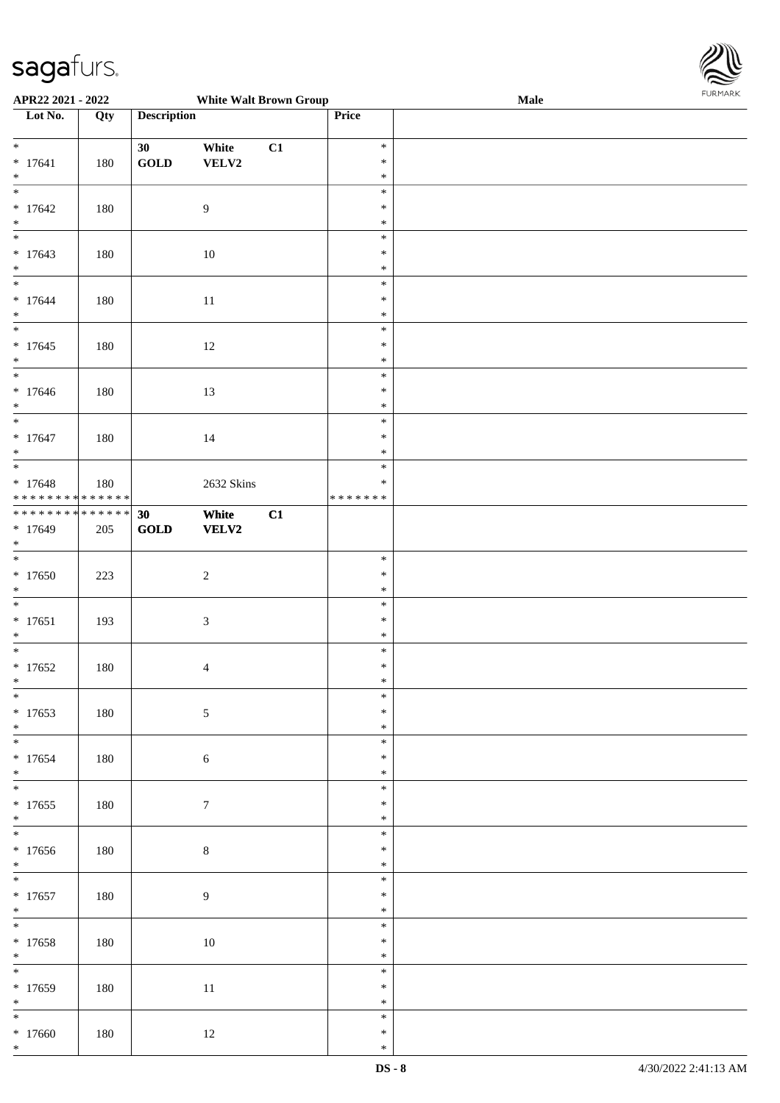

| APR22 2021 - 2022                          |     |                                | <b>White Walt Brown Group</b> |    |         | Male |  |
|--------------------------------------------|-----|--------------------------------|-------------------------------|----|---------|------|--|
| Lot No.                                    | Qty | <b>Description</b>             |                               |    | Price   |      |  |
|                                            |     |                                |                               |    |         |      |  |
| $\ddot{x}$                                 |     | 30                             | White                         | C1 | $\ast$  |      |  |
| $* 17641$                                  | 180 | $\operatorname{GOLD}$          | VELV2                         |    | $\ast$  |      |  |
| $*$                                        |     |                                |                               |    | $\ast$  |      |  |
| $\overline{\mathbf{r}}$                    |     |                                |                               |    |         |      |  |
|                                            |     |                                |                               |    | $\ast$  |      |  |
| $*17642$                                   | 180 |                                | $\overline{9}$                |    | $\ast$  |      |  |
|                                            |     |                                |                               |    | $\ast$  |      |  |
| $*$<br>*                                   |     |                                |                               |    | $\ast$  |      |  |
| $*17643$                                   | 180 |                                | $10\,$                        |    | $\ast$  |      |  |
|                                            |     |                                |                               |    |         |      |  |
| $*$<br>$\overline{\phantom{0}}$            |     |                                |                               |    | $\ast$  |      |  |
|                                            |     |                                |                               |    | $\ast$  |      |  |
| $* 17644$                                  | 180 |                                | 11                            |    | $\ast$  |      |  |
| $*$                                        |     |                                |                               |    | $\ast$  |      |  |
| $\overline{\ast}$                          |     |                                |                               |    | $\ast$  |      |  |
| $*17645$                                   | 180 |                                | 12                            |    | $\ast$  |      |  |
| $*$                                        |     |                                |                               |    | $\ast$  |      |  |
| $\overline{\phantom{0}}$                   |     |                                |                               |    | $\ast$  |      |  |
|                                            |     |                                |                               |    |         |      |  |
| $*17646$                                   | 180 |                                | 13                            |    | $\ast$  |      |  |
| $*$                                        |     |                                |                               |    | $\ast$  |      |  |
| $\overline{\ast}$                          |     |                                |                               |    | $\ast$  |      |  |
| $* 17647$                                  | 180 |                                | 14                            |    | $\ast$  |      |  |
| $*$                                        |     |                                |                               |    | $\ast$  |      |  |
|                                            |     |                                |                               |    | $\ast$  |      |  |
| $* 17648$                                  |     |                                |                               |    | $\ast$  |      |  |
| * * * * * * * * <mark>* * * * * * *</mark> | 180 |                                | 2632 Skins                    |    | ******* |      |  |
|                                            |     |                                |                               |    |         |      |  |
| * * * * * * * * <mark>* * * * * * *</mark> |     | 30                             | White                         | C1 |         |      |  |
| $* 17649$                                  | 205 | $\operatorname{\mathbf{GOLD}}$ | VELV2                         |    |         |      |  |
| $\ast$                                     |     |                                |                               |    |         |      |  |
| $*$                                        |     |                                |                               |    | $\ast$  |      |  |
| $*17650$                                   | 223 |                                | $\overline{c}$                |    | $\ast$  |      |  |
| $*$                                        |     |                                |                               |    | $\ast$  |      |  |
|                                            |     |                                |                               |    | $\ast$  |      |  |
|                                            |     |                                |                               |    |         |      |  |
| $* 17651$                                  | 193 |                                | $\mathfrak{Z}$                |    | $\ast$  |      |  |
| $*$                                        |     |                                |                               |    | $\ast$  |      |  |
| $\overline{\phantom{0}}$                   |     |                                |                               |    | $\ast$  |      |  |
| $*17652$                                   | 180 |                                | $\overline{4}$                |    | $\ast$  |      |  |
| $\ddot{x}$                                 |     |                                |                               |    | $*$     |      |  |
| $*$                                        |     |                                |                               |    | $\ast$  |      |  |
| $*17653$                                   | 180 |                                | $\sqrt{5}$                    |    | $\ast$  |      |  |
|                                            |     |                                |                               |    |         |      |  |
| $*$                                        |     |                                |                               |    | $\ast$  |      |  |
|                                            |     |                                |                               |    | $\ast$  |      |  |
| $* 17654$                                  | 180 |                                | $\sqrt{6}$                    |    | $\ast$  |      |  |
| $*$                                        |     |                                |                               |    | $\ast$  |      |  |
| $*$                                        |     |                                |                               |    | $\ast$  |      |  |
| $* 17655$                                  | 180 |                                | $\boldsymbol{7}$              |    | $\ast$  |      |  |
| $*$                                        |     |                                |                               |    | $\ast$  |      |  |
| $\overline{\ast}$                          |     |                                |                               |    | $\ast$  |      |  |
|                                            |     |                                |                               |    |         |      |  |
| $*17656$                                   | 180 |                                | $8\,$                         |    | $\ast$  |      |  |
| $*$                                        |     |                                |                               |    | $\ast$  |      |  |
| $\overline{\mathbf{r}}$                    |     |                                |                               |    | $\ast$  |      |  |
| $* 17657$                                  | 180 |                                | $\overline{9}$                |    | $\ast$  |      |  |
| $*$                                        |     |                                |                               |    | $\ast$  |      |  |
| $\ddot{x}$                                 |     |                                |                               |    | $\ast$  |      |  |
|                                            |     |                                |                               |    | $\ast$  |      |  |
| * 17658                                    | 180 |                                | $10\,$                        |    |         |      |  |
| $*$                                        |     |                                |                               |    | $\ast$  |      |  |
|                                            |     |                                |                               |    | $\ast$  |      |  |
| * 17659                                    | 180 |                                | 11                            |    | $\ast$  |      |  |
| $*$                                        |     |                                |                               |    | $\ast$  |      |  |
| $\overline{\mathbf{r}}$                    |     |                                |                               |    | $\ast$  |      |  |
| $*17660$                                   | 180 |                                | 12                            |    | $\ast$  |      |  |
| $\ast$                                     |     |                                |                               |    | $\ast$  |      |  |
|                                            |     |                                |                               |    |         |      |  |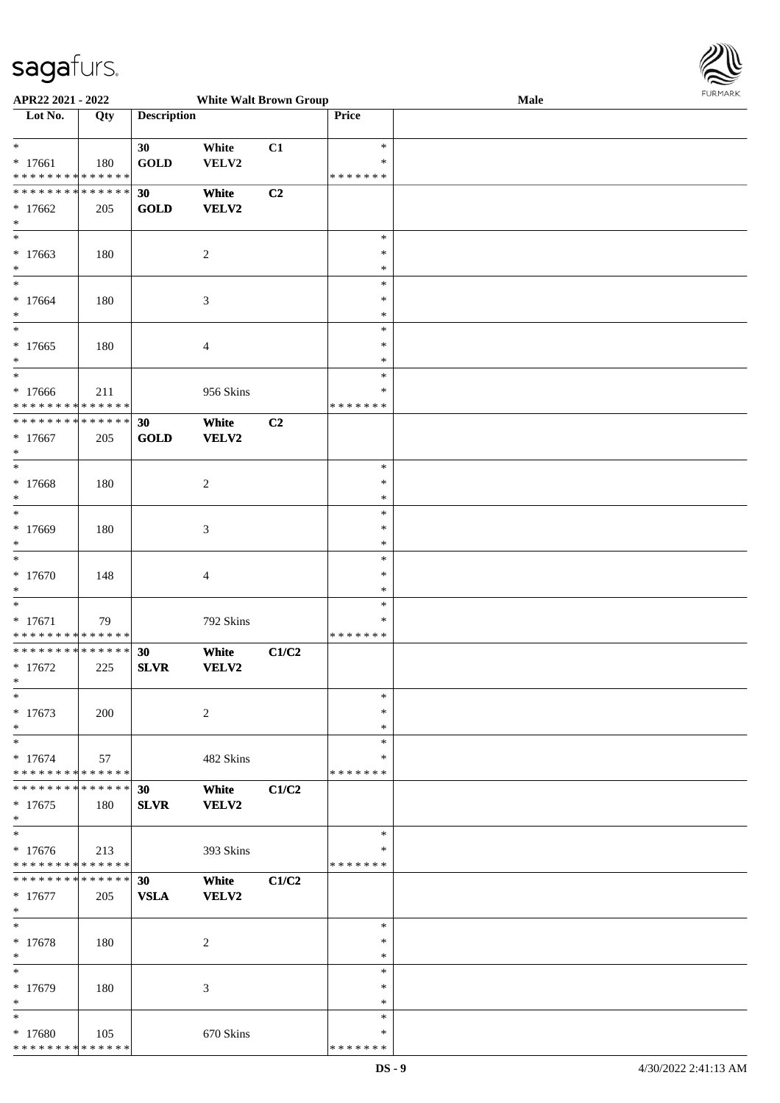\* \* \* \* \* \* \* \* \* \* \* \* \* \* \*



|                                            |     |                    |                               |                |               |      | <b>FURMARK</b> |
|--------------------------------------------|-----|--------------------|-------------------------------|----------------|---------------|------|----------------|
| APR22 2021 - 2022                          |     |                    | <b>White Walt Brown Group</b> |                |               | Male |                |
| Lot No.                                    | Qty | <b>Description</b> |                               |                | Price         |      |                |
|                                            |     |                    |                               |                |               |      |                |
|                                            |     |                    |                               |                |               |      |                |
| $\ast$                                     |     | 30                 | White                         | C1             | $\ast$        |      |                |
| $* 17661$                                  | 180 | <b>GOLD</b>        | VELV2                         |                | $\ast$        |      |                |
| * * * * * * * * <mark>* * * * * * *</mark> |     |                    |                               |                | * * * * * * * |      |                |
| * * * * * * * * <mark>* * * * * * *</mark> |     | 30                 | White                         | C <sub>2</sub> |               |      |                |
|                                            |     |                    |                               |                |               |      |                |
| $*17662$                                   | 205 | <b>GOLD</b>        | VELV2                         |                |               |      |                |
| $\ast$                                     |     |                    |                               |                |               |      |                |
| $*$                                        |     |                    |                               |                | $\ast$        |      |                |
| $* 17663$                                  |     |                    |                               |                | $\ast$        |      |                |
|                                            | 180 |                    | $\overline{c}$                |                |               |      |                |
| $\ast$                                     |     |                    |                               |                | $\ast$        |      |                |
| $\ast$                                     |     |                    |                               |                | $\ast$        |      |                |
| $* 17664$                                  | 180 |                    | 3                             |                | $\ast$        |      |                |
| $\ast$                                     |     |                    |                               |                | $\ast$        |      |                |
|                                            |     |                    |                               |                |               |      |                |
| $\ast$                                     |     |                    |                               |                | $\ast$        |      |                |
| $*17665$                                   | 180 |                    | $\overline{4}$                |                | $\ast$        |      |                |
| $\ast$                                     |     |                    |                               |                | $\ast$        |      |                |
| $\ast$                                     |     |                    |                               |                |               |      |                |
|                                            |     |                    |                               |                | $\ast$        |      |                |
| $*17666$                                   | 211 |                    | 956 Skins                     |                | $\ast$        |      |                |
| * * * * * * * * * * * * * *                |     |                    |                               |                | * * * * * * * |      |                |
| * * * * * * * * <mark>* * * * * * *</mark> |     | 30                 | White                         | C <sub>2</sub> |               |      |                |
|                                            |     |                    |                               |                |               |      |                |
| $* 17667$                                  | 205 | GOLD               | VELV2                         |                |               |      |                |
| $\ast$                                     |     |                    |                               |                |               |      |                |
| $\overline{\ast}$                          |     |                    |                               |                | $\ast$        |      |                |
| * 17668                                    | 180 |                    | 2                             |                | $\ast$        |      |                |
|                                            |     |                    |                               |                |               |      |                |
| $\ast$                                     |     |                    |                               |                | $\ast$        |      |                |
| $\overline{\phantom{0}}$                   |     |                    |                               |                | $\ast$        |      |                |
| * 17669                                    | 180 |                    | 3                             |                | $\ast$        |      |                |
| $\ast$                                     |     |                    |                               |                | $\ast$        |      |                |
| $\overline{\ast}$                          |     |                    |                               |                |               |      |                |
|                                            |     |                    |                               |                | $\ast$        |      |                |
| $* 17670$                                  | 148 |                    | $\overline{4}$                |                | $\ast$        |      |                |
| $\ast$                                     |     |                    |                               |                | $\ast$        |      |                |
|                                            |     |                    |                               |                | $\ast$        |      |                |
|                                            |     |                    |                               |                |               |      |                |
| $* 17671$                                  | 79  |                    | 792 Skins                     |                | $\ast$        |      |                |
| * * * * * * * * <mark>* * * * * * *</mark> |     |                    |                               |                | * * * * * * * |      |                |
| * * * * * * * * <mark>* * * * * *</mark>   |     | 30                 | White                         | C1/C2          |               |      |                |
|                                            |     |                    |                               |                |               |      |                |
| $* 17672$                                  | 225 | <b>SLVR</b>        | VELV2                         |                |               |      |                |
| *                                          |     |                    |                               |                |               |      |                |
| $\ast$                                     |     |                    |                               |                | $\ast$        |      |                |
| * 17673                                    | 200 |                    | $\overline{c}$                |                | $\ast$        |      |                |
|                                            |     |                    |                               |                |               |      |                |
| $\ast$                                     |     |                    |                               |                | $\ast$        |      |                |
| $\ast$                                     |     |                    |                               |                | $\ast$        |      |                |
| $* 17674$                                  | 57  |                    | 482 Skins                     |                | $\ast$        |      |                |
| * * * * * * * * <mark>* * * * * * *</mark> |     |                    |                               |                | * * * * * * * |      |                |
|                                            |     |                    |                               |                |               |      |                |
| * * * * * * * * <mark>* * * * * * *</mark> |     | 30                 | White                         | C1/C2          |               |      |                |
| $* 17675$                                  | 180 | <b>SLVR</b>        | VELV2                         |                |               |      |                |
| $\ast$                                     |     |                    |                               |                |               |      |                |
|                                            |     |                    |                               |                | $\ast$        |      |                |
|                                            |     |                    |                               |                |               |      |                |
| $*17676$                                   | 213 |                    | 393 Skins                     |                | ∗             |      |                |
| * * * * * * * * <mark>* * * * * * *</mark> |     |                    |                               |                | * * * * * * * |      |                |
| * * * * * * * * <mark>* * * * * *</mark>   |     | 30                 | White                         | C1/C2          |               |      |                |
|                                            |     |                    |                               |                |               |      |                |
| $* 17677$                                  | 205 | <b>VSLA</b>        | VELV2                         |                |               |      |                |
| $\ast$                                     |     |                    |                               |                |               |      |                |
| $*$                                        |     |                    |                               |                | $\ast$        |      |                |
|                                            |     |                    |                               |                |               |      |                |
| $* 17678$                                  | 180 |                    | $\boldsymbol{2}$              |                | $\ast$        |      |                |
| $\ast$                                     |     |                    |                               |                | $\ast$        |      |                |
| $\ast$                                     |     |                    |                               |                | $\ast$        |      |                |
|                                            |     |                    |                               |                | $\ast$        |      |                |
| * 17679                                    | 180 |                    | 3                             |                |               |      |                |
| *                                          |     |                    |                               |                | $\ast$        |      |                |
| $\ast$                                     |     |                    |                               |                | $\ast$        |      |                |
| * 17680                                    | 105 |                    | 670 Skins                     |                | $\ast$        |      |                |
|                                            |     |                    |                               |                |               |      |                |

\* \* \* \* \* \* \*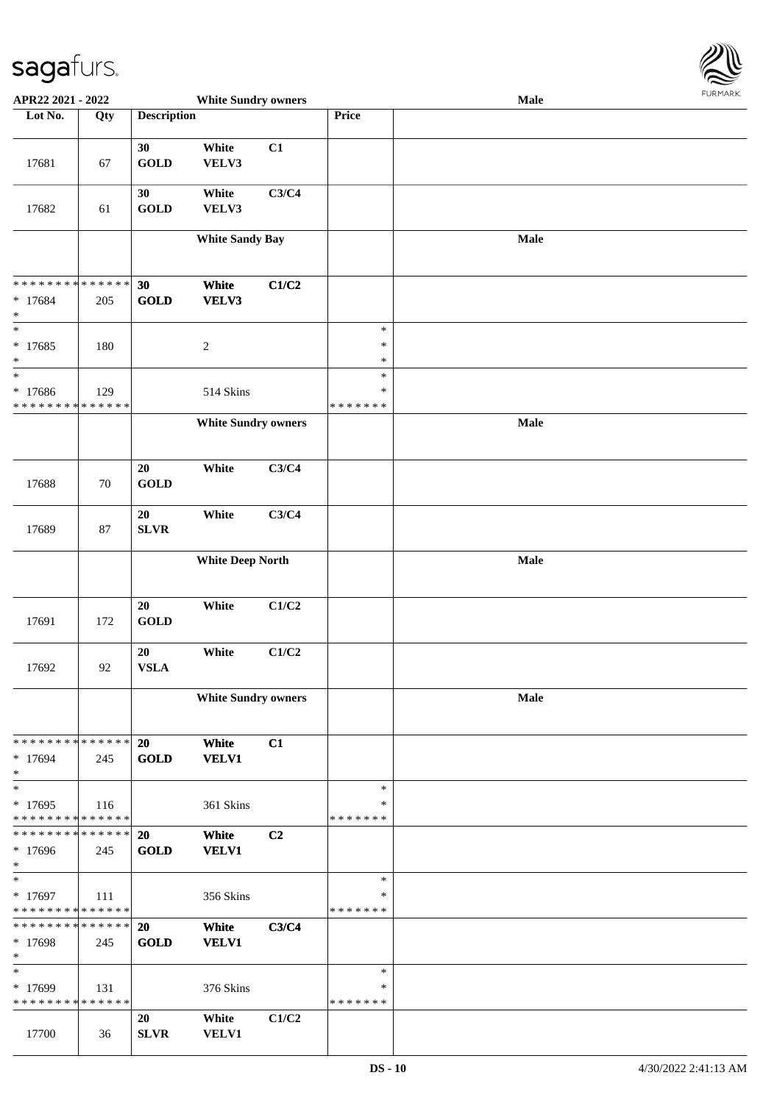

| APR22 2021 - 2022                                            |     |                    | <b>White Sundry owners</b> |       |                  | <b>Male</b> |  |
|--------------------------------------------------------------|-----|--------------------|----------------------------|-------|------------------|-------------|--|
| Lot No.                                                      | Qty | <b>Description</b> |                            |       | Price            |             |  |
|                                                              |     |                    |                            |       |                  |             |  |
|                                                              |     | 30                 | White                      | C1    |                  |             |  |
| 17681                                                        | 67  | <b>GOLD</b>        | VELV3                      |       |                  |             |  |
|                                                              |     |                    |                            |       |                  |             |  |
|                                                              |     | 30                 | White                      | C3/C4 |                  |             |  |
| 17682                                                        | 61  | <b>GOLD</b>        | VELV3                      |       |                  |             |  |
|                                                              |     |                    | <b>White Sandy Bay</b>     |       |                  | Male        |  |
|                                                              |     |                    |                            |       |                  |             |  |
|                                                              |     |                    |                            |       |                  |             |  |
| * * * * * * * * * * * * * *                                  |     | 30                 | White                      | C1/C2 |                  |             |  |
| * 17684                                                      | 205 | <b>GOLD</b>        | VELV3                      |       |                  |             |  |
| $\ast$<br>$\ast$                                             |     |                    |                            |       |                  |             |  |
| $* 17685$                                                    |     |                    |                            |       | $\ast$<br>$\ast$ |             |  |
| $\ast$                                                       | 180 |                    | $\sqrt{2}$                 |       | $\ast$           |             |  |
| $\ast$                                                       |     |                    |                            |       | $\ast$           |             |  |
| * 17686                                                      | 129 |                    | 514 Skins                  |       | $\ast$           |             |  |
| * * * * * * * * * * * * * *                                  |     |                    |                            |       | * * * * * * *    |             |  |
|                                                              |     |                    | <b>White Sundry owners</b> |       |                  | Male        |  |
|                                                              |     |                    |                            |       |                  |             |  |
|                                                              |     | $20\,$             | White                      | C3/C4 |                  |             |  |
| 17688                                                        | 70  | <b>GOLD</b>        |                            |       |                  |             |  |
|                                                              |     |                    |                            |       |                  |             |  |
|                                                              |     | 20                 | White                      | C3/C4 |                  |             |  |
| 17689                                                        | 87  | <b>SLVR</b>        |                            |       |                  |             |  |
|                                                              |     |                    |                            |       |                  |             |  |
|                                                              |     |                    | <b>White Deep North</b>    |       |                  | Male        |  |
|                                                              |     |                    |                            |       |                  |             |  |
|                                                              |     | $20\,$             | White                      | C1/C2 |                  |             |  |
| 17691                                                        | 172 | <b>GOLD</b>        |                            |       |                  |             |  |
|                                                              |     |                    |                            |       |                  |             |  |
|                                                              |     | 20                 | White                      | C1/C2 |                  |             |  |
| 17692                                                        | 92  | <b>VSLA</b>        |                            |       |                  |             |  |
|                                                              |     |                    |                            |       |                  |             |  |
|                                                              |     |                    | <b>White Sundry owners</b> |       |                  | Male        |  |
|                                                              |     |                    |                            |       |                  |             |  |
| * * * * * * * * * * * * * * *                                |     | 20                 | White                      | C1    |                  |             |  |
| * 17694                                                      | 245 | <b>GOLD</b>        | <b>VELV1</b>               |       |                  |             |  |
| $\ast$                                                       |     |                    |                            |       |                  |             |  |
| $\ast$                                                       |     |                    |                            |       | $\ast$           |             |  |
| * 17695                                                      | 116 |                    | 361 Skins                  |       | ∗                |             |  |
| * * * * * * * * * * * * * *<br>* * * * * * * * * * * * * * * |     | 20                 |                            | C2    | * * * * * * *    |             |  |
| * 17696                                                      | 245 | <b>GOLD</b>        | White<br><b>VELV1</b>      |       |                  |             |  |
| $*$                                                          |     |                    |                            |       |                  |             |  |
| $*$                                                          |     |                    |                            |       | $\ast$           |             |  |
| $* 17697$                                                    | 111 |                    | 356 Skins                  |       | ∗                |             |  |
| * * * * * * * * * * * * * *                                  |     |                    |                            |       | * * * * * * *    |             |  |
| * * * * * * * * * * * * * * *                                |     | 20                 | White                      | C3/C4 |                  |             |  |
| * 17698<br>$*$                                               | 245 | <b>GOLD</b>        | <b>VELV1</b>               |       |                  |             |  |
| $\ast$                                                       |     |                    |                            |       | $\ast$           |             |  |
| * 17699                                                      | 131 |                    | 376 Skins                  |       | ∗                |             |  |
| * * * * * * * * * * * * * *                                  |     |                    |                            |       | * * * * * * *    |             |  |
|                                                              |     | 20                 | White                      | C1/C2 |                  |             |  |
| 17700                                                        | 36  | <b>SLVR</b>        | <b>VELV1</b>               |       |                  |             |  |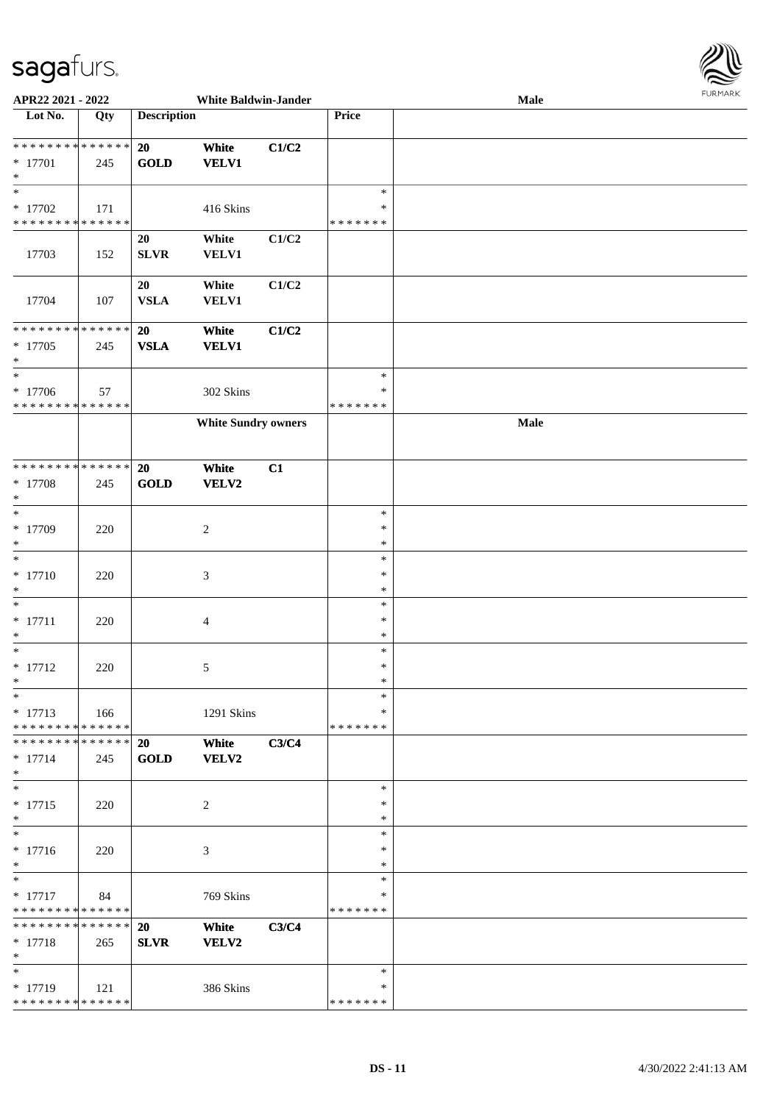

| APR22 2021 - 2022                                                    |     |                    | <b>White Baldwin-Jander</b> |       |                                   | Male | 1.911171777 |
|----------------------------------------------------------------------|-----|--------------------|-----------------------------|-------|-----------------------------------|------|-------------|
| Lot No.                                                              | Qty | <b>Description</b> |                             |       | Price                             |      |             |
| * * * * * * * * * * * * * *<br>$* 17701$<br>$\ast$                   | 245 | 20<br><b>GOLD</b>  | White<br><b>VELV1</b>       | C1/C2 |                                   |      |             |
| $\overline{\phantom{1}}$<br>$*$ 17702<br>* * * * * * * * * * * * * * | 171 |                    | 416 Skins                   |       | $\ast$<br>$\ast$<br>* * * * * * * |      |             |
| 17703                                                                | 152 | 20<br><b>SLVR</b>  | White<br><b>VELV1</b>       | C1/C2 |                                   |      |             |
| 17704                                                                | 107 | 20<br><b>VSLA</b>  | White<br>VELV1              | C1/C2 |                                   |      |             |
| * * * * * * * * * * * * * *<br>$* 17705$<br>$\ast$                   | 245 | 20<br><b>VSLA</b>  | White<br><b>VELV1</b>       | C1/C2 |                                   |      |             |
| $\ast$<br>$* 17706$<br>* * * * * * * * * * * * * *                   | 57  |                    | 302 Skins                   |       | $\ast$<br>$\ast$<br>* * * * * * * |      |             |
|                                                                      |     |                    | <b>White Sundry owners</b>  |       |                                   | Male |             |
| **************<br>$* 17708$<br>$\ast$                                | 245 | 20<br><b>GOLD</b>  | White<br>VELV2              | C1    |                                   |      |             |
| $\ast$<br>* 17709<br>$\ast$                                          | 220 |                    | $\overline{c}$              |       | $\ast$<br>$\ast$<br>$\ast$        |      |             |
| $\ast$<br>$* 17710$<br>$\ast$                                        | 220 |                    | $\mathfrak{Z}$              |       | $\ast$<br>$\ast$<br>$\ast$        |      |             |
| $\ast$<br>$* 17711$<br>$\ast$                                        | 220 |                    | $\overline{4}$              |       | $\ast$<br>$\ast$<br>$\ast$        |      |             |
| $\ast$<br>$* 17712$<br>$*$                                           | 220 |                    | 5                           |       | $\ast$<br>$\ast$<br>$\ast$        |      |             |
| $\ast$<br>$* 17713$<br>* * * * * * * * * * * * * *                   | 166 |                    | 1291 Skins                  |       | $\ast$<br>$\ast$<br>* * * * * * * |      |             |
| ******** <mark>******</mark><br>$* 17714$<br>$\ast$                  | 245 | 20<br><b>GOLD</b>  | White<br><b>VELV2</b>       | C3/C4 |                                   |      |             |
| $\ast$<br>$* 17715$<br>$\ast$                                        | 220 |                    | 2                           |       | $\ast$<br>∗<br>∗                  |      |             |
| $\ast$<br>$* 17716$<br>$\ast$                                        | 220 |                    | 3                           |       | $\ast$<br>∗<br>$\ast$             |      |             |
| $\ast$<br>$* 17717$<br>* * * * * * * * * * * * * *                   | 84  |                    | 769 Skins                   |       | $\ast$<br>∗<br>* * * * * * *      |      |             |
| * * * * * * * * * * * * * * *<br>$* 17718$<br>$*$                    | 265 | 20<br><b>SLVR</b>  | White<br>VELV2              | C3/C4 |                                   |      |             |
| $\ast$<br>* 17719<br>******** <mark>******</mark>                    | 121 |                    | 386 Skins                   |       | $\ast$<br>$\ast$<br>* * * * * * * |      |             |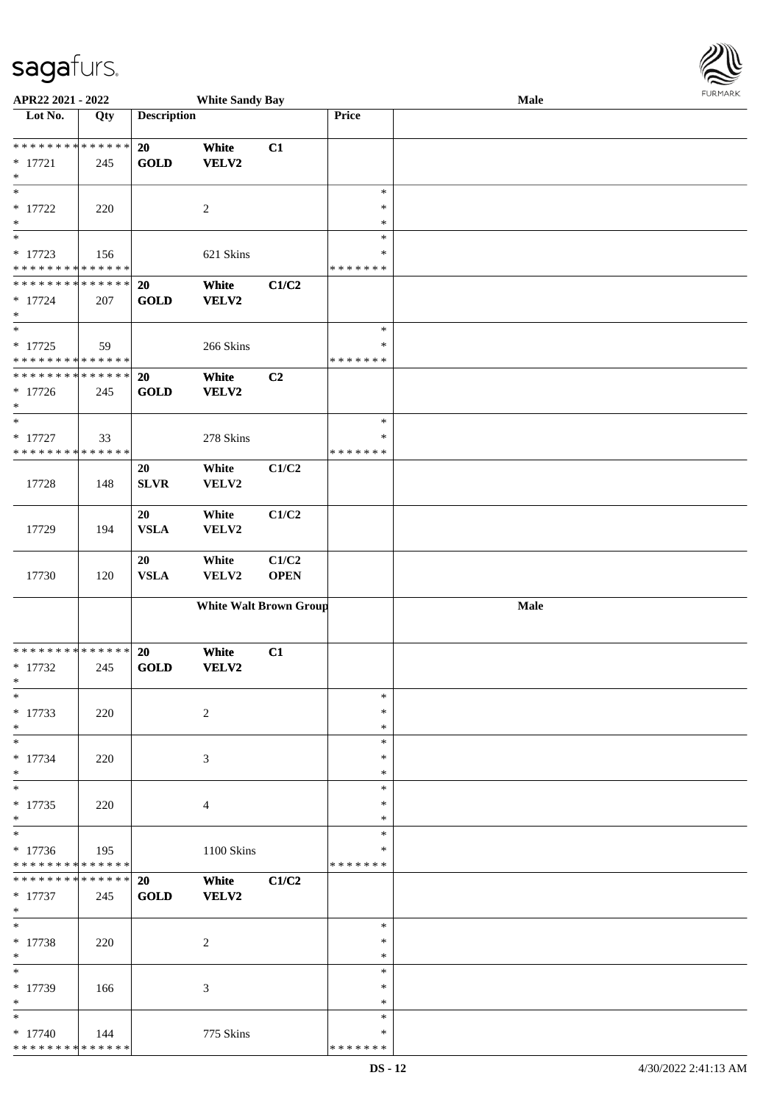\* \* \* \* \* \* \* \* \* \* \* \* \* \* \*

| APR22 2021 - 2022                          |     |                    | <b>White Sandy Bay</b>        |             |               | Male | <b>FUNITANN</b> |
|--------------------------------------------|-----|--------------------|-------------------------------|-------------|---------------|------|-----------------|
| Lot No.                                    | Qty | <b>Description</b> |                               |             | Price         |      |                 |
|                                            |     |                    |                               |             |               |      |                 |
| * * * * * * * * <mark>* * * * * * *</mark> |     | 20                 | White                         | C1          |               |      |                 |
| $* 17721$                                  | 245 | <b>GOLD</b>        | VELV2                         |             |               |      |                 |
| $\ast$                                     |     |                    |                               |             |               |      |                 |
| $\overline{\ast}$                          |     |                    |                               |             | $\ast$        |      |                 |
| $* 17722$                                  | 220 |                    | 2                             |             | $\ast$        |      |                 |
| $\ast$                                     |     |                    |                               |             | $\ast$        |      |                 |
| $\overline{\ast}$                          |     |                    |                               |             | $\ast$        |      |                 |
| $* 17723$                                  | 156 |                    | 621 Skins                     |             | $\ast$        |      |                 |
| * * * * * * * * <mark>* * * * * * *</mark> |     |                    |                               |             | * * * * * * * |      |                 |
| * * * * * * * * <mark>* * * * * * *</mark> |     |                    |                               |             |               |      |                 |
|                                            |     | <b>20</b>          | White                         | C1/C2       |               |      |                 |
| $* 17724$                                  | 207 | <b>GOLD</b>        | VELV2                         |             |               |      |                 |
| $\ast$<br>$\overline{\ast}$                |     |                    |                               |             |               |      |                 |
|                                            |     |                    |                               |             | $\ast$        |      |                 |
| $* 17725$                                  | 59  |                    | 266 Skins                     |             | $\ast$        |      |                 |
| * * * * * * * * <mark>* * * * * * *</mark> |     |                    |                               |             | * * * * * * * |      |                 |
| * * * * * * * * <mark>* * * * * * *</mark> |     | 20                 | White                         | C2          |               |      |                 |
| $* 17726$                                  | 245 | <b>GOLD</b>        | VELV2                         |             |               |      |                 |
| $\ast$                                     |     |                    |                               |             |               |      |                 |
| $*$                                        |     |                    |                               |             | $\ast$        |      |                 |
| $* 17727$                                  | 33  |                    | 278 Skins                     |             | $\ast$        |      |                 |
| * * * * * * * * <mark>* * * * * * *</mark> |     |                    |                               |             | * * * * * * * |      |                 |
|                                            |     | 20                 | White                         | C1/C2       |               |      |                 |
| 17728                                      | 148 | <b>SLVR</b>        | VELV2                         |             |               |      |                 |
|                                            |     |                    |                               |             |               |      |                 |
|                                            |     | 20                 | White                         | C1/C2       |               |      |                 |
| 17729                                      | 194 | <b>VSLA</b>        | VELV2                         |             |               |      |                 |
|                                            |     |                    |                               |             |               |      |                 |
|                                            |     | 20                 | White                         | C1/C2       |               |      |                 |
| 17730                                      | 120 | <b>VSLA</b>        | VELV2                         | <b>OPEN</b> |               |      |                 |
|                                            |     |                    |                               |             |               |      |                 |
|                                            |     |                    | <b>White Walt Brown Group</b> |             |               | Male |                 |
|                                            |     |                    |                               |             |               |      |                 |
|                                            |     |                    |                               |             |               |      |                 |
| * * * * * * * * <mark>* * * * * * *</mark> |     | 20                 | White                         | C1          |               |      |                 |
| $*$ 17732                                  |     | <b>GOLD</b>        | VELV2                         |             |               |      |                 |
| $\ast$                                     | 245 |                    |                               |             |               |      |                 |
| $\ast$                                     |     |                    |                               |             | $\ast$        |      |                 |
|                                            |     |                    |                               |             |               |      |                 |
| * 17733                                    | 220 |                    | 2                             |             | $\ast$        |      |                 |
| $*$                                        |     |                    |                               |             | $\ast$        |      |                 |
|                                            |     |                    |                               |             | $\ast$        |      |                 |
| $* 17734$                                  | 220 |                    | 3                             |             | $\ast$        |      |                 |
| $\ast$                                     |     |                    |                               |             | $\ast$        |      |                 |
| $\overline{\ast}$                          |     |                    |                               |             | $\ast$        |      |                 |
| $* 17735$                                  | 220 |                    | $\overline{4}$                |             | $\ast$        |      |                 |
| $\ast$                                     |     |                    |                               |             | $\ast$        |      |                 |
|                                            |     |                    |                               |             | $\ast$        |      |                 |
| $* 17736$                                  | 195 |                    | 1100 Skins                    |             | ∗             |      |                 |
| * * * * * * * * <mark>* * * * * * *</mark> |     |                    |                               |             | * * * * * * * |      |                 |
| * * * * * * * * <mark>* * * * * *</mark>   |     | 20                 | White                         | C1/C2       |               |      |                 |
| * 17737                                    | 245 | <b>GOLD</b>        | <b>VELV2</b>                  |             |               |      |                 |
| $*$                                        |     |                    |                               |             |               |      |                 |
| $*$                                        |     |                    |                               |             | $\ast$        |      |                 |
| * 17738                                    | 220 |                    | 2                             |             | $\ast$        |      |                 |
| $\ast$                                     |     |                    |                               |             | $\ast$        |      |                 |
| $\overline{\ast}$                          |     |                    |                               |             | $\ast$        |      |                 |
| * 17739                                    | 166 |                    | 3                             |             | $\ast$        |      |                 |
| $*$                                        |     |                    |                               |             | $\ast$        |      |                 |
| $\ast$                                     |     |                    |                               |             | $\ast$        |      |                 |
| $* 17740$                                  | 144 |                    | 775 Skins                     |             | $\ast$        |      |                 |
|                                            |     |                    |                               |             |               |      |                 |

\* \* \* \* \* \* \*

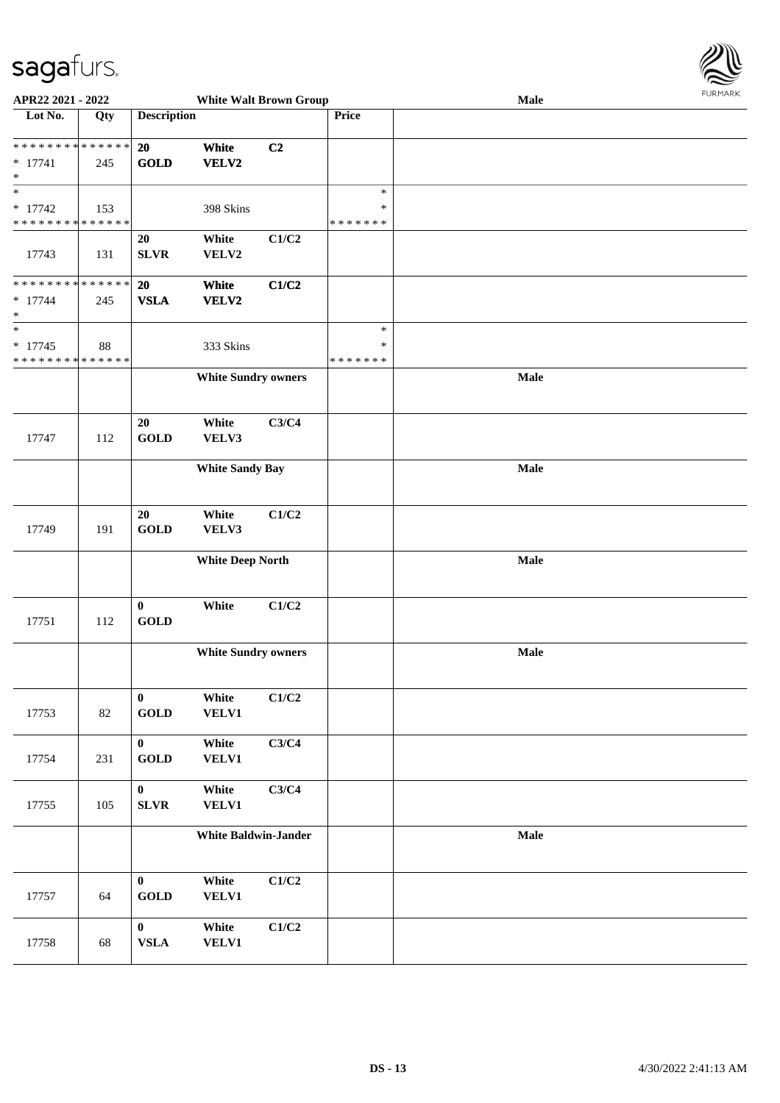

| APR22 2021 - 2022                                                              |     |                          | <b>White Walt Brown Group</b> |       |                                   | $1 \times 1 \times 1 \times 1 \times 1$<br>Male |  |  |  |
|--------------------------------------------------------------------------------|-----|--------------------------|-------------------------------|-------|-----------------------------------|-------------------------------------------------|--|--|--|
| Lot No.                                                                        | Qty | <b>Description</b>       |                               |       | Price                             |                                                 |  |  |  |
| * * * * * * * * * * * * * *<br>$* 17741$<br>$\ast$                             | 245 | 20<br><b>GOLD</b>        | White<br>VELV2                | C2    |                                   |                                                 |  |  |  |
| $\ast$<br>$* 17742$<br>* * * * * * * * * * * * * *                             | 153 |                          | 398 Skins                     |       | $\ast$<br>$\ast$<br>* * * * * * * |                                                 |  |  |  |
| 17743                                                                          | 131 | 20<br><b>SLVR</b>        | White<br>VELV2                | C1/C2 |                                   |                                                 |  |  |  |
| * * * * * * * * * * * * * *<br>$* 17744$<br>$\ast$<br>$\overline{\phantom{0}}$ | 245 | <b>20</b><br><b>VSLA</b> | White<br>VELV2                | C1/C2 | $\ast$                            |                                                 |  |  |  |
| $* 17745$<br>* * * * * * * * * * * * * *                                       | 88  |                          | 333 Skins                     |       | $\ast$<br>* * * * * * *           |                                                 |  |  |  |
|                                                                                |     |                          | <b>White Sundry owners</b>    |       |                                   | Male                                            |  |  |  |
| 17747                                                                          | 112 | 20<br><b>GOLD</b>        | White<br>VELV3                | C3/C4 |                                   |                                                 |  |  |  |
|                                                                                |     |                          | <b>White Sandy Bay</b>        |       |                                   | Male                                            |  |  |  |
| 17749                                                                          | 191 | 20<br><b>GOLD</b>        | White<br>VELV3                | C1/C2 |                                   |                                                 |  |  |  |
|                                                                                |     |                          | <b>White Deep North</b>       |       |                                   | Male                                            |  |  |  |
| 17751                                                                          | 112 | $\bf{0}$<br><b>GOLD</b>  | White                         | C1/C2 |                                   |                                                 |  |  |  |
|                                                                                |     |                          | <b>White Sundry owners</b>    |       |                                   | Male                                            |  |  |  |
| 17753                                                                          | 82  | $\bf{0}$<br><b>GOLD</b>  | White<br><b>VELV1</b>         | C1/C2 |                                   |                                                 |  |  |  |
| 17754                                                                          | 231 | $\mathbf{0}$<br>GOLD     | White<br><b>VELV1</b>         | C3/C4 |                                   |                                                 |  |  |  |
| 17755                                                                          | 105 | $\bf{0}$<br><b>SLVR</b>  | White<br><b>VELV1</b>         | C3/C4 |                                   |                                                 |  |  |  |
|                                                                                |     |                          | <b>White Baldwin-Jander</b>   |       |                                   | Male                                            |  |  |  |
| 17757                                                                          | 64  | $\bf{0}$<br>GOLD         | White<br><b>VELV1</b>         | C1/C2 |                                   |                                                 |  |  |  |
| 17758                                                                          | 68  | $\bf{0}$<br>${\bf VSLA}$ | White<br><b>VELV1</b>         | C1/C2 |                                   |                                                 |  |  |  |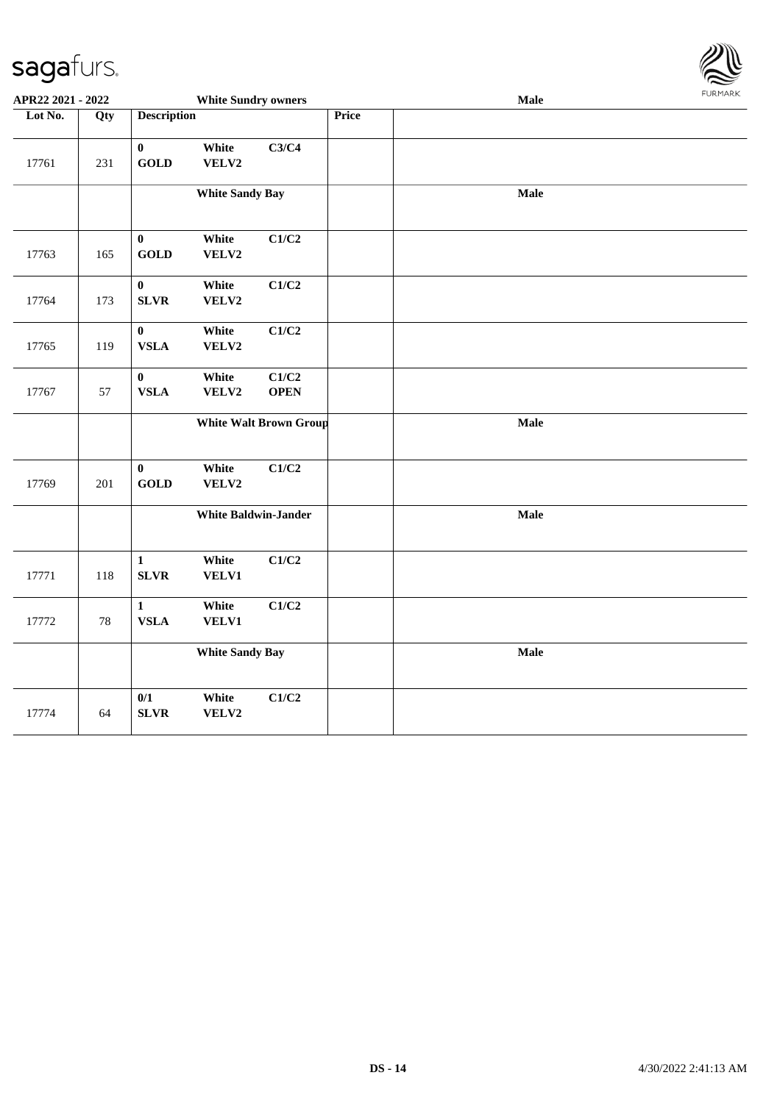

| APR22 2021 - 2022 |        |                             | <b>White Sundry owners</b> |                               |       | Male | <b>FURPIARR</b> |
|-------------------|--------|-----------------------------|----------------------------|-------------------------------|-------|------|-----------------|
| Lot No.           | Qty    | <b>Description</b>          |                            |                               | Price |      |                 |
| 17761             | 231    | $\pmb{0}$<br><b>GOLD</b>    | White<br>VELV2             | C3/C4                         |       |      |                 |
|                   |        |                             | <b>White Sandy Bay</b>     |                               |       | Male |                 |
| 17763             | 165    | $\pmb{0}$<br><b>GOLD</b>    | White<br>VELV2             | C1/C2                         |       |      |                 |
| 17764             | 173    | $\bf{0}$<br><b>SLVR</b>     | White<br>VELV2             | C1/C2                         |       |      |                 |
| 17765             | 119    | $\pmb{0}$<br><b>VSLA</b>    | White<br>VELV2             | C1/C2                         |       |      |                 |
| 17767             | 57     | $\pmb{0}$<br><b>VSLA</b>    | White<br>VELV2             | C1/C2<br><b>OPEN</b>          |       |      |                 |
|                   |        |                             |                            | <b>White Walt Brown Group</b> |       | Male |                 |
| 17769             | 201    | $\pmb{0}$<br><b>GOLD</b>    | White<br>VELV2             | C1/C2                         |       |      |                 |
|                   |        |                             |                            | <b>White Baldwin-Jander</b>   |       | Male |                 |
| 17771             | 118    | $\mathbf{1}$<br><b>SLVR</b> | White<br>VELV1             | C1/C2                         |       |      |                 |
| 17772             | $78\,$ | $\mathbf{1}$<br><b>VSLA</b> | White<br>VELV1             | C1/C2                         |       |      |                 |
|                   |        |                             | <b>White Sandy Bay</b>     |                               |       | Male |                 |
| 17774             | 64     | $0/1$<br><b>SLVR</b>        | White<br>VELV2             | C1/C2                         |       |      |                 |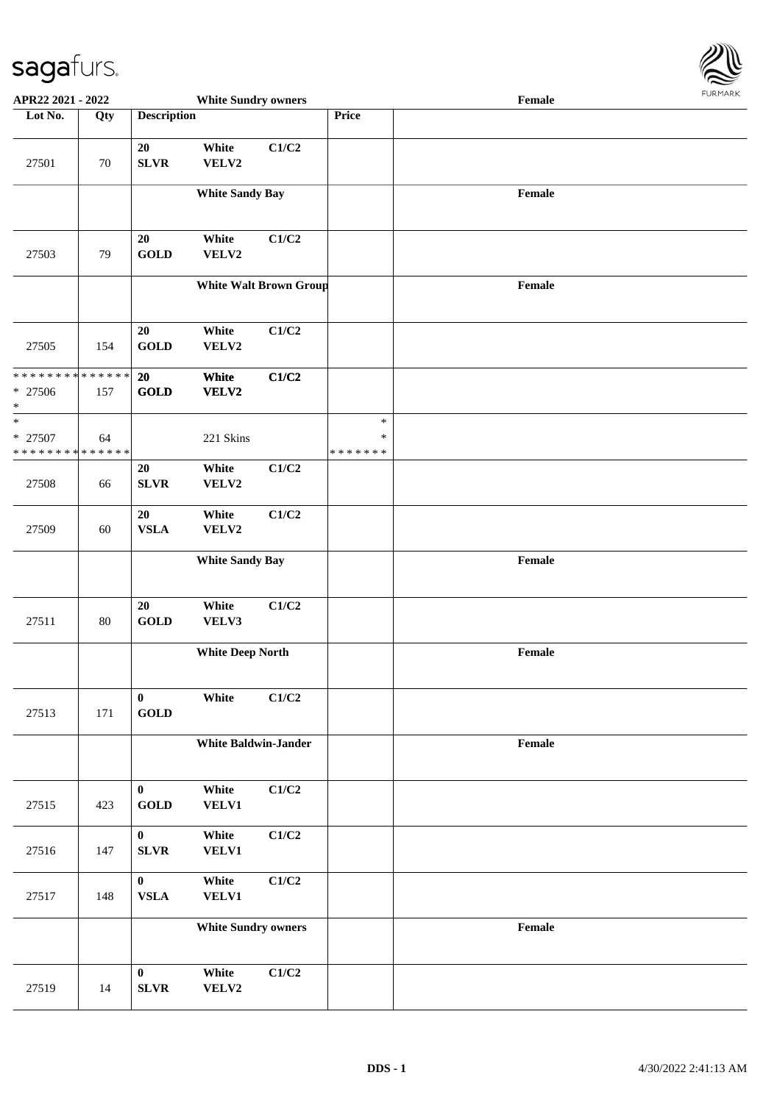

| APR22 2021 - 2022                                   |     |                                   | <b>White Sundry owners</b>  |                               |                                   | Female                                      |  |
|-----------------------------------------------------|-----|-----------------------------------|-----------------------------|-------------------------------|-----------------------------------|---------------------------------------------|--|
| Lot No.                                             | Qty | <b>Description</b>                |                             |                               | Price                             |                                             |  |
| 27501                                               | 70  | 20<br><b>SLVR</b>                 | White<br>VELV2              | C1/C2                         |                                   |                                             |  |
|                                                     |     |                                   | <b>White Sandy Bay</b>      |                               |                                   | Female                                      |  |
| 27503                                               | 79  | 20<br><b>GOLD</b>                 | White<br>VELV2              | C1/C2                         |                                   |                                             |  |
|                                                     |     |                                   |                             | <b>White Walt Brown Group</b> |                                   | Female                                      |  |
| 27505                                               | 154 | 20<br><b>GOLD</b>                 | White<br>VELV2              | C1/C2                         |                                   |                                             |  |
| ******** <mark>******</mark><br>$* 27506$<br>$\ast$ | 157 | 20<br><b>GOLD</b>                 | White<br>VELV2              | C1/C2                         |                                   |                                             |  |
| $\ast$<br>$* 27507$<br>* * * * * * * * * * * * * *  | 64  |                                   | 221 Skins                   |                               | $\ast$<br>$\ast$<br>* * * * * * * |                                             |  |
| 27508                                               | 66  | 20<br><b>SLVR</b>                 | White<br>VELV2              | C1/C2                         |                                   |                                             |  |
| 27509                                               | 60  | 20<br><b>VSLA</b>                 | White<br>VELV2              | C1/C2                         |                                   |                                             |  |
|                                                     |     |                                   | <b>White Sandy Bay</b>      |                               |                                   | Female                                      |  |
| 27511                                               | 80  | 20<br>$\operatorname{GOLD}$       | White<br>VELV3              | C1/C2                         |                                   |                                             |  |
|                                                     |     |                                   | <b>White Deep North</b>     |                               |                                   | Female                                      |  |
| 27513                                               | 171 | $\bf{0}$<br>$\operatorname{GOLD}$ | White                       | C1/C2                         |                                   |                                             |  |
|                                                     |     |                                   | <b>White Baldwin-Jander</b> |                               |                                   | $\ensuremath{\textnormal{\textbf{Female}}}$ |  |
| 27515                                               | 423 | $\bf{0}$<br><b>GOLD</b>           | White<br><b>VELV1</b>       | C1/C2                         |                                   |                                             |  |
| 27516                                               | 147 | $\mathbf{0}$<br>${\bf SLVR}$      | White<br><b>VELV1</b>       | C1/C2                         |                                   |                                             |  |
| 27517                                               | 148 | $\mathbf{0}$<br><b>VSLA</b>       | White<br><b>VELV1</b>       | C1/C2                         |                                   |                                             |  |
|                                                     |     |                                   | <b>White Sundry owners</b>  |                               |                                   | Female                                      |  |
| 27519                                               | 14  | $\bf{0}$<br>${\bf SLVR}$          | White<br>VELV2              | C1/C2                         |                                   |                                             |  |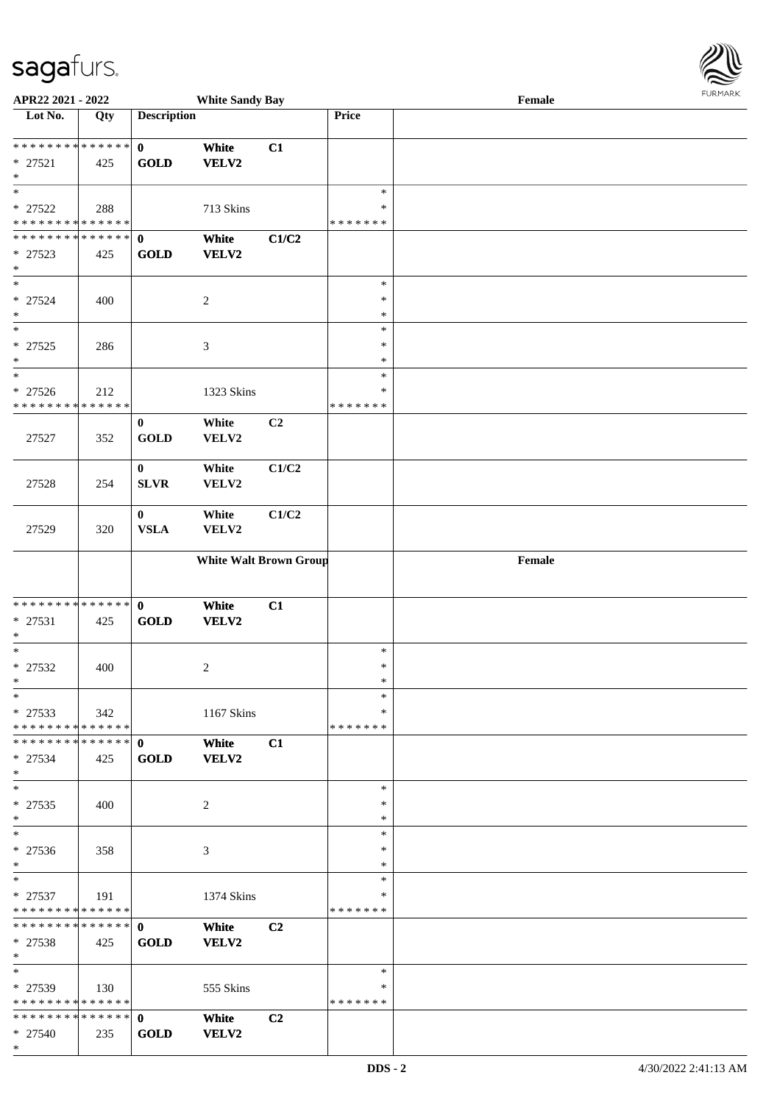\*

| APR22 2021 - 2022                                                           |     |                             | <b>White Sandy Bay</b>        |                |                                   | $\ensuremath{\textnormal{\textbf{Female}}}$ | <b>FURMARK</b> |
|-----------------------------------------------------------------------------|-----|-----------------------------|-------------------------------|----------------|-----------------------------------|---------------------------------------------|----------------|
| $\overline{\text{Lot No.}}$                                                 | Qty | <b>Description</b>          |                               |                | Price                             |                                             |                |
| **************<br>$* 27521$<br>$\ast$                                       | 425 | $\mathbf{0}$<br><b>GOLD</b> | White<br><b>VELV2</b>         | C1             |                                   |                                             |                |
| $\ast$<br>$* 27522$<br>**************                                       | 288 |                             | 713 Skins                     |                | $\ast$<br>∗<br>* * * * * * *      |                                             |                |
| **************<br>* 27523<br>$\ast$                                         | 425 | $\mathbf{0}$<br><b>GOLD</b> | White<br><b>VELV2</b>         | C1/C2          |                                   |                                             |                |
| $\ast$<br>$* 27524$<br>$\ast$                                               | 400 |                             | $\sqrt{2}$                    |                | $\ast$<br>$\ast$<br>$\ast$        |                                             |                |
| $\overline{\phantom{a}}$<br>$* 27525$<br>$\ast$<br>$\overline{\phantom{1}}$ | 286 |                             | $\mathfrak{Z}$                |                | $\ast$<br>$\ast$<br>$\ast$        |                                             |                |
| $* 27526$<br>* * * * * * * * * * * * * *                                    | 212 |                             | 1323 Skins                    |                | $\ast$<br>$\ast$<br>* * * * * * * |                                             |                |
| 27527                                                                       | 352 | $\bf{0}$<br><b>GOLD</b>     | White<br>VELV2                | C <sub>2</sub> |                                   |                                             |                |
| 27528                                                                       | 254 | $\bf{0}$<br>SLVR            | White<br>VELV2                | C1/C2          |                                   |                                             |                |
| 27529                                                                       | 320 | $\bf{0}$<br>${\bf VSLA}$    | White<br>VELV2                | C1/C2          |                                   |                                             |                |
|                                                                             |     |                             | <b>White Walt Brown Group</b> |                |                                   | Female                                      |                |
| **************<br>$* 27531$<br>$\ast$                                       | 425 | $\mathbf 0$<br>GOLD         | White<br><b>VELV2</b>         | C1             |                                   |                                             |                |
| $\ast$<br>$* 27532$<br>$\ast$                                               | 400 |                             | $\overline{c}$                |                | $\ast$<br>$\ast$<br>$\ast$        |                                             |                |
| $\ast$<br>$*27533$<br>* * * * * * * * * * * * * * *                         | 342 |                             | 1167 Skins                    |                | $\ast$<br>$\ast$<br>* * * * * * * |                                             |                |
| **************<br>$* 27534$<br>$\ast$                                       | 425 | $\mathbf{0}$<br><b>GOLD</b> | White<br><b>VELV2</b>         | C1             |                                   |                                             |                |
| $\ast$<br>$* 27535$<br>$*$                                                  | 400 |                             | $\overline{2}$                |                | $\ast$<br>$\ast$<br>$\ast$        |                                             |                |
| $\ast$<br>$* 27536$<br>$\ast$                                               | 358 |                             | 3                             |                | $\ast$<br>$\ast$<br>$\ast$        |                                             |                |
| $\ast$<br>$* 27537$<br>**************                                       | 191 |                             | 1374 Skins                    |                | $\ast$<br>∗<br>* * * * * * *      |                                             |                |
| **************<br>$* 27538$<br>$*$                                          | 425 | $\mathbf{0}$<br><b>GOLD</b> | White<br>VELV2                | C <sub>2</sub> |                                   |                                             |                |
| $\ast$<br>$*$ 27539<br>* * * * * * * * * * * * * * *                        | 130 |                             | 555 Skins                     |                | $\ast$<br>∗<br>* * * * * * *      |                                             |                |
| * 27540                                                                     | 235 | GOLD                        | White<br><b>VELV2</b>         | C <sub>2</sub> |                                   |                                             |                |

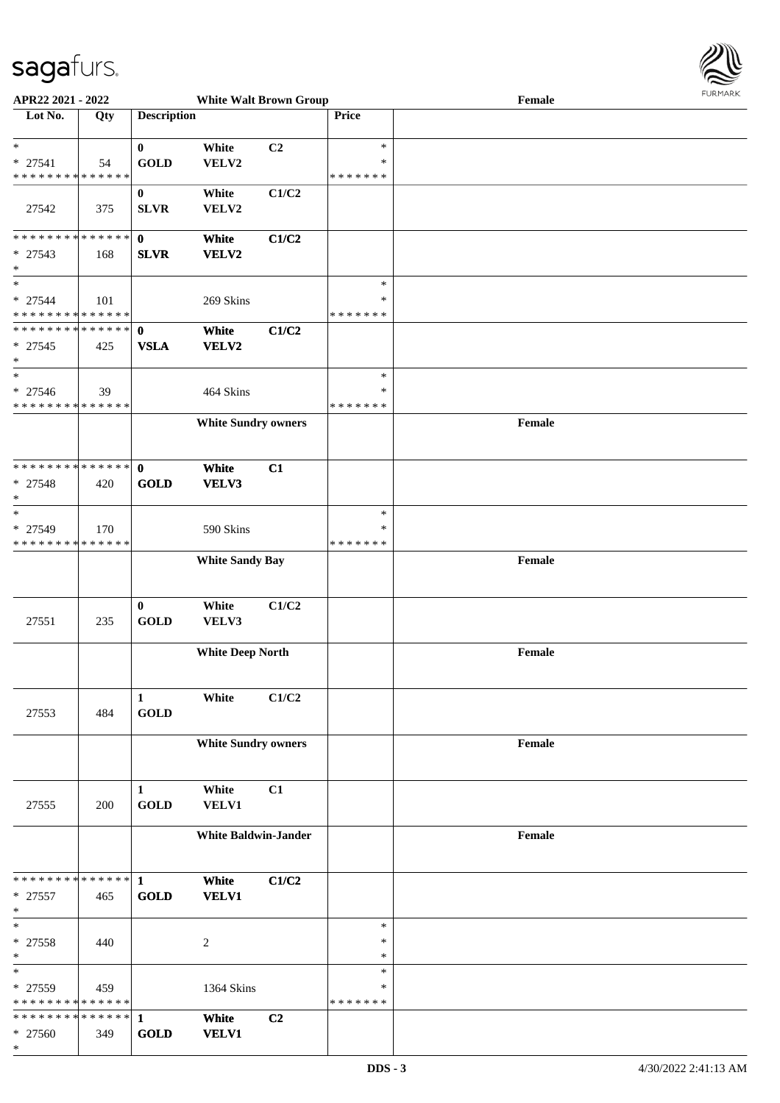

| APR22 2021 - 2022             |     |                    | <b>White Walt Brown Group</b> |                |               | Female |  |
|-------------------------------|-----|--------------------|-------------------------------|----------------|---------------|--------|--|
| Lot No.                       | Qty | <b>Description</b> |                               |                | Price         |        |  |
|                               |     |                    |                               |                |               |        |  |
| $\ast$                        |     |                    |                               |                | $\ast$        |        |  |
|                               |     | $\bf{0}$           | White                         | C <sub>2</sub> |               |        |  |
| $* 27541$                     | 54  | <b>GOLD</b>        | VELV2                         |                | $\ast$        |        |  |
| * * * * * * * * * * * * * *   |     |                    |                               |                | * * * * * * * |        |  |
|                               |     | $\boldsymbol{0}$   | White                         | C1/C2          |               |        |  |
| 27542                         | 375 | <b>SLVR</b>        | VELV2                         |                |               |        |  |
|                               |     |                    |                               |                |               |        |  |
|                               |     |                    |                               |                |               |        |  |
| * * * * * * * * * * * * * * * |     | $\mathbf 0$        | White                         | C1/C2          |               |        |  |
| * 27543                       | 168 | <b>SLVR</b>        | VELV2                         |                |               |        |  |
| $\ast$                        |     |                    |                               |                |               |        |  |
| $\ast$                        |     |                    |                               |                | $\ast$        |        |  |
| $* 27544$                     | 101 |                    | 269 Skins                     |                | $\ast$        |        |  |
|                               |     |                    |                               |                | * * * * * * * |        |  |
| * * * * * * * * * * * * * *   |     |                    |                               |                |               |        |  |
| * * * * * * * * * * * * * * * |     | $\mathbf 0$        | White                         | C1/C2          |               |        |  |
| $* 27545$                     | 425 | <b>VSLA</b>        | VELV2                         |                |               |        |  |
| $\ast$                        |     |                    |                               |                |               |        |  |
| $\ast$                        |     |                    |                               |                | $\ast$        |        |  |
| $* 27546$                     |     |                    |                               |                | $\ast$        |        |  |
|                               | 39  |                    | 464 Skins                     |                |               |        |  |
| * * * * * * * * * * * * * *   |     |                    |                               |                | * * * * * * * |        |  |
|                               |     |                    | <b>White Sundry owners</b>    |                |               | Female |  |
|                               |     |                    |                               |                |               |        |  |
|                               |     |                    |                               |                |               |        |  |
| * * * * * * * * * * * * * * * |     | $\mathbf{0}$       | White                         | C1             |               |        |  |
|                               |     |                    |                               |                |               |        |  |
| * 27548                       | 420 | <b>GOLD</b>        | VELV3                         |                |               |        |  |
| $\ast$                        |     |                    |                               |                |               |        |  |
| $\ast$                        |     |                    |                               |                | $\ast$        |        |  |
| * 27549                       | 170 |                    | 590 Skins                     |                | $\ast$        |        |  |
| * * * * * * * * * * * * * *   |     |                    |                               |                | * * * * * * * |        |  |
|                               |     |                    | <b>White Sandy Bay</b>        |                |               | Female |  |
|                               |     |                    |                               |                |               |        |  |
|                               |     |                    |                               |                |               |        |  |
|                               |     |                    |                               |                |               |        |  |
|                               |     | $\bf{0}$           | White                         | C1/C2          |               |        |  |
| 27551                         | 235 | <b>GOLD</b>        | VELV3                         |                |               |        |  |
|                               |     |                    |                               |                |               |        |  |
|                               |     |                    | <b>White Deep North</b>       |                |               | Female |  |
|                               |     |                    |                               |                |               |        |  |
|                               |     |                    |                               |                |               |        |  |
|                               |     |                    |                               |                |               |        |  |
|                               |     | $\mathbf{1}$       | White                         | C1/C2          |               |        |  |
| 27553                         | 484 | <b>GOLD</b>        |                               |                |               |        |  |
|                               |     |                    |                               |                |               |        |  |
|                               |     |                    | <b>White Sundry owners</b>    |                |               | Female |  |
|                               |     |                    |                               |                |               |        |  |
|                               |     |                    |                               |                |               |        |  |
|                               |     |                    |                               |                |               |        |  |
|                               |     | 1                  | White                         | C1             |               |        |  |
| 27555                         | 200 | <b>GOLD</b>        | VELV1                         |                |               |        |  |
|                               |     |                    |                               |                |               |        |  |
|                               |     |                    | <b>White Baldwin-Jander</b>   |                |               | Female |  |
|                               |     |                    |                               |                |               |        |  |
|                               |     |                    |                               |                |               |        |  |
|                               |     |                    |                               |                |               |        |  |
| * * * * * * * * * * * * * * * |     | $\mathbf{1}$       | White                         | C1/C2          |               |        |  |
| $* 27557$                     | 465 | <b>GOLD</b>        | <b>VELV1</b>                  |                |               |        |  |
| $\ast$                        |     |                    |                               |                |               |        |  |
| $\ast$                        |     |                    |                               |                | $\ast$        |        |  |
|                               |     |                    |                               |                | $\ast$        |        |  |
| $* 27558$                     | 440 |                    | $\sqrt{2}$                    |                |               |        |  |
| $\ast$                        |     |                    |                               |                | $\ast$        |        |  |
| $\ast$                        |     |                    |                               |                | $\ast$        |        |  |
| * 27559                       | 459 |                    | 1364 Skins                    |                | ∗             |        |  |
| * * * * * * * * * * * * * *   |     |                    |                               |                | * * * * * * * |        |  |
| * * * * * * * * * * * * * * * |     | $\mathbf{1}$       | White                         | C <sub>2</sub> |               |        |  |
| * 27560                       |     | <b>GOLD</b>        | <b>VELV1</b>                  |                |               |        |  |
|                               | 349 |                    |                               |                |               |        |  |
| $\ast$                        |     |                    |                               |                |               |        |  |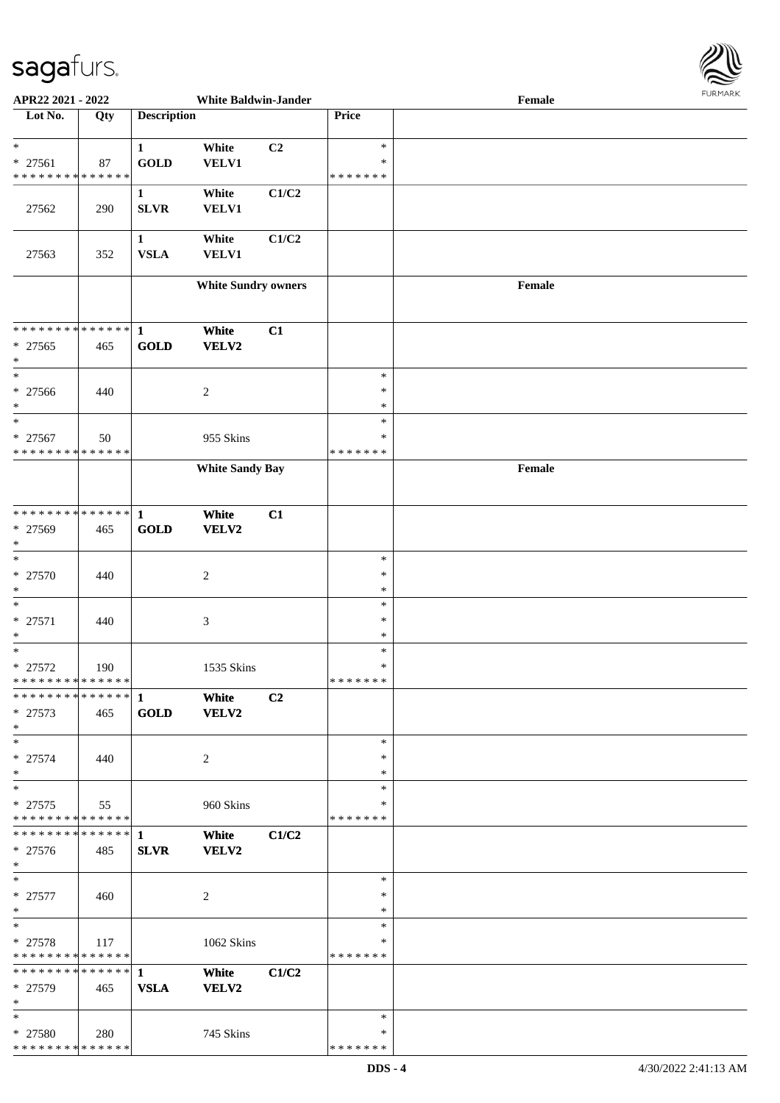

| APR22 2021 - 2022                        |     |                    | <b>White Baldwin-Jander</b> |                |               | Female | 1.9151111515 |
|------------------------------------------|-----|--------------------|-----------------------------|----------------|---------------|--------|--------------|
| Lot No.                                  | Qty | <b>Description</b> |                             |                | Price         |        |              |
|                                          |     |                    |                             |                |               |        |              |
| $\ast$                                   |     | $\mathbf{1}$       | White                       | C2             | $\ast$        |        |              |
| * 27561                                  | 87  | <b>GOLD</b>        | <b>VELV1</b>                |                | $\ast$        |        |              |
| * * * * * * * * * * * * * *              |     |                    |                             |                | * * * * * * * |        |              |
|                                          |     | $\mathbf{1}$       | White                       | C1/C2          |               |        |              |
| 27562                                    | 290 | <b>SLVR</b>        | <b>VELV1</b>                |                |               |        |              |
|                                          |     |                    |                             |                |               |        |              |
|                                          |     | $\mathbf{1}$       | White                       | C1/C2          |               |        |              |
| 27563                                    | 352 | <b>VSLA</b>        | VELV1                       |                |               |        |              |
|                                          |     |                    |                             |                |               |        |              |
|                                          |     |                    | <b>White Sundry owners</b>  |                |               | Female |              |
|                                          |     |                    |                             |                |               |        |              |
|                                          |     |                    |                             |                |               |        |              |
| ******** <mark>******</mark>             |     | $\mathbf{1}$       | White                       | C1             |               |        |              |
| $* 27565$                                | 465 | <b>GOLD</b>        | VELV2                       |                |               |        |              |
| $\ast$                                   |     |                    |                             |                |               |        |              |
| $\ast$                                   |     |                    |                             |                | $\ast$        |        |              |
| $* 27566$                                | 440 |                    | $\boldsymbol{2}$            |                | $\ast$        |        |              |
| $\ast$                                   |     |                    |                             |                | $\ast$        |        |              |
| $\ast$                                   |     |                    |                             |                | $\ast$        |        |              |
| * 27567                                  | 50  |                    | 955 Skins                   |                | $\ast$        |        |              |
| * * * * * * * * * * * * * *              |     |                    |                             |                | * * * * * * * |        |              |
|                                          |     |                    | <b>White Sandy Bay</b>      |                |               | Female |              |
|                                          |     |                    |                             |                |               |        |              |
|                                          |     |                    |                             |                |               |        |              |
| * * * * * * * * * * * * * * *            |     | $\mathbf{1}$       | White                       | C1             |               |        |              |
| * 27569                                  | 465 | <b>GOLD</b>        | VELV2                       |                |               |        |              |
| $\ast$                                   |     |                    |                             |                |               |        |              |
| $\ast$                                   |     |                    |                             |                | $\ast$        |        |              |
| * 27570                                  | 440 |                    | $\overline{c}$              |                | $\ast$        |        |              |
| $\ast$                                   |     |                    |                             |                | $\ast$        |        |              |
| $\ast$                                   |     |                    |                             |                | $\ast$        |        |              |
| $* 27571$                                | 440 |                    | $\mathfrak{Z}$              |                | $\ast$        |        |              |
| $\ast$                                   |     |                    |                             |                | $\ast$        |        |              |
| $\ast$                                   |     |                    |                             |                | $\ast$        |        |              |
| $* 27572$                                | 190 |                    | 1535 Skins                  |                | $\ast$        |        |              |
| * * * * * * * * * * * * * *              |     |                    |                             |                | * * * * * * * |        |              |
| * * * * * * * * * * * * * * *            |     | $\mathbf{1}$       | White                       | C <sub>2</sub> |               |        |              |
| $* 27573$                                | 465 | GOLD               | VELV2                       |                |               |        |              |
| $*$                                      |     |                    |                             |                |               |        |              |
| $\ast$                                   |     |                    |                             |                | $\ast$        |        |              |
| $* 27574$                                | 440 |                    | 2                           |                | $\ast$        |        |              |
| $\ast$                                   |     |                    |                             |                | $\ast$        |        |              |
| $\ast$                                   |     |                    |                             |                | $\ast$        |        |              |
| $* 27575$<br>* * * * * * * * * * * * * * | 55  |                    | 960 Skins                   |                | ∗<br>*******  |        |              |
| * * * * * * * * * * * * * * *            |     |                    |                             |                |               |        |              |
|                                          |     | 1                  | White                       | C1/C2          |               |        |              |
| * 27576<br>$*$                           | 485 | <b>SLVR</b>        | VELV2                       |                |               |        |              |
| $\ast$                                   |     |                    |                             |                | $\ast$        |        |              |
| $* 27577$                                |     |                    |                             |                | $\ast$        |        |              |
| $*$                                      | 460 |                    | $\overline{c}$              |                | $\ast$        |        |              |
| $*$                                      |     |                    |                             |                | $\ast$        |        |              |
| $* 27578$                                | 117 |                    | 1062 Skins                  |                | ∗             |        |              |
| * * * * * * * * * * * * * *              |     |                    |                             |                | *******       |        |              |
| * * * * * * * * * * * * * * *            |     | $\mathbf{1}$       | White                       | C1/C2          |               |        |              |
| * 27579                                  | 465 | <b>VSLA</b>        | <b>VELV2</b>                |                |               |        |              |
| $*$                                      |     |                    |                             |                |               |        |              |
| $*$                                      |     |                    |                             |                | $\ast$        |        |              |
| * 27580                                  | 280 |                    | 745 Skins                   |                | ∗             |        |              |
| **************                           |     |                    |                             |                | * * * * * * * |        |              |
|                                          |     |                    |                             |                |               |        |              |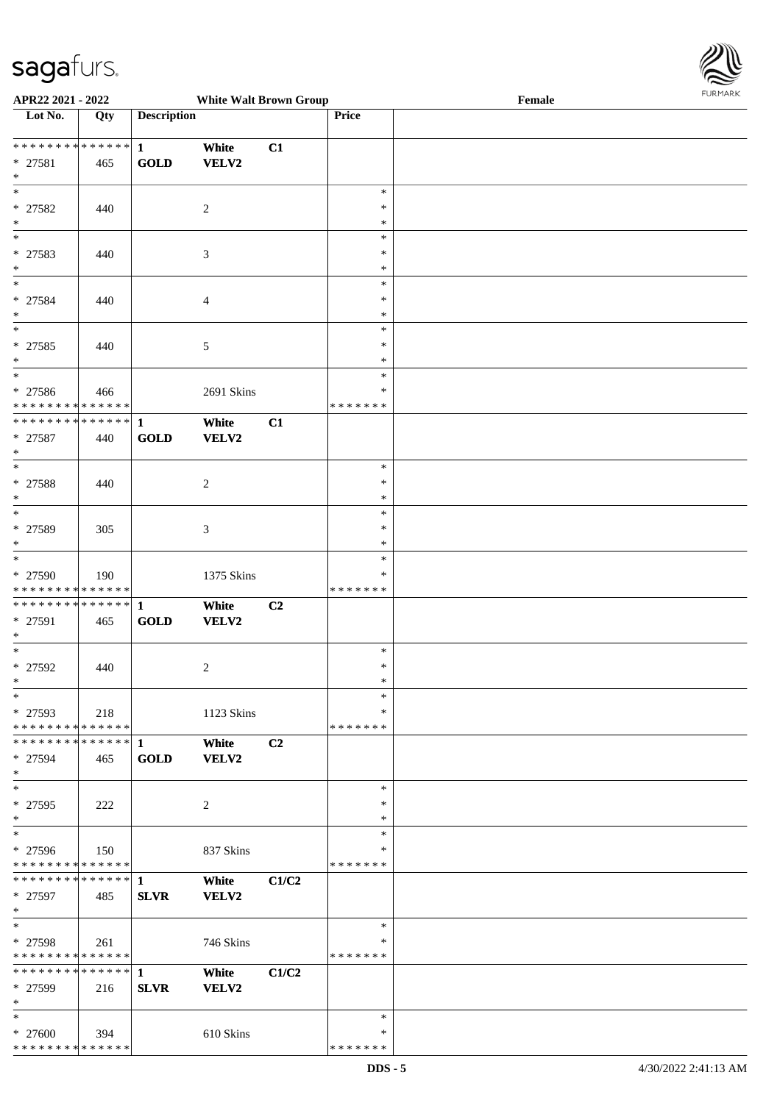

| APR22 2021 - 2022              |                   |                    | <b>White Walt Brown Group</b> |       |               | Female |
|--------------------------------|-------------------|--------------------|-------------------------------|-------|---------------|--------|
| Lot No.                        | $\overline{Q}$ ty | <b>Description</b> |                               |       | Price         |        |
|                                |                   |                    |                               |       |               |        |
| ******** <mark>******</mark>   |                   | $\mathbf{1}$       | White                         | C1    |               |        |
| * 27581                        | 465               | <b>GOLD</b>        | VELV2                         |       |               |        |
| $\ast$                         |                   |                    |                               |       |               |        |
| $\overline{\ast}$              |                   |                    |                               |       |               |        |
|                                |                   |                    |                               |       | $\ast$        |        |
| * 27582                        | 440               |                    | $\overline{c}$                |       | ∗             |        |
| $\ast$                         |                   |                    |                               |       | ∗             |        |
| $_{\ast}^{-}$                  |                   |                    |                               |       | $\ast$        |        |
| * 27583                        | 440               |                    | 3                             |       | $\ast$        |        |
| $\ast$                         |                   |                    |                               |       | $\ast$        |        |
| $\ast$                         |                   |                    |                               |       | $\ast$        |        |
|                                |                   |                    |                               |       |               |        |
| * 27584                        | 440               |                    | $\overline{4}$                |       | $\ast$        |        |
| $\ast$                         |                   |                    |                               |       | $\ast$        |        |
| $\ast$                         |                   |                    |                               |       | $\ast$        |        |
| $* 27585$                      | 440               |                    | 5                             |       | $\ast$        |        |
| $\ast$                         |                   |                    |                               |       | $\ast$        |        |
| $\ast$                         |                   |                    |                               |       | $\ast$        |        |
| $* 27586$                      | 466               |                    | 2691 Skins                    |       | $\ast$        |        |
| * * * * * * * * * * * * * *    |                   |                    |                               |       | * * * * * * * |        |
|                                |                   |                    |                               |       |               |        |
| **************                 |                   | $\mathbf{1}$       | White                         | C1    |               |        |
| $* 27587$                      | 440               | GOLD               | <b>VELV2</b>                  |       |               |        |
| $\ast$                         |                   |                    |                               |       |               |        |
| $\ast$                         |                   |                    |                               |       | $\ast$        |        |
| * 27588                        | 440               |                    | $\overline{c}$                |       | ∗             |        |
| $\ast$                         |                   |                    |                               |       | ∗             |        |
| $\ast$                         |                   |                    |                               |       | $\ast$        |        |
|                                |                   |                    |                               |       |               |        |
| * 27589                        | 305               |                    | 3                             |       | $\ast$        |        |
| $\ast$                         |                   |                    |                               |       | $\ast$        |        |
| $\ast$                         |                   |                    |                               |       | $\ast$        |        |
| * 27590                        | 190               |                    | 1375 Skins                    |       | ∗             |        |
| * * * * * * * * * * * * * *    |                   |                    |                               |       | * * * * * * * |        |
| * * * * * * * * * * * * * * *  |                   | $\mathbf{1}$       | White                         | C2    |               |        |
| * 27591                        | 465               | <b>GOLD</b>        | <b>VELV2</b>                  |       |               |        |
| $\ast$                         |                   |                    |                               |       |               |        |
| $\ast$                         |                   |                    |                               |       |               |        |
|                                |                   |                    |                               |       | $\ast$        |        |
| * 27592                        | 440               |                    | $\overline{2}$                |       | $\ast$        |        |
| $*$                            |                   |                    |                               |       | $\ast$        |        |
| $*$                            |                   |                    |                               |       | $\ast$        |        |
| * 27593                        | 218               |                    | 1123 Skins                    |       | ∗             |        |
| * * * * * * * * * * * * * * *  |                   |                    |                               |       | * * * * * * * |        |
| * * * * * * * * * * * * * * *  |                   | 1                  | White                         | C2    |               |        |
|                                |                   |                    |                               |       |               |        |
| * 27594                        | 465               | <b>GOLD</b>        | VELV2                         |       |               |        |
| $\ast$                         |                   |                    |                               |       |               |        |
| $\ast$                         |                   |                    |                               |       | $\ast$        |        |
| * 27595                        | 222               |                    | $\overline{2}$                |       | $\ast$        |        |
| $\ast$                         |                   |                    |                               |       | $\ast$        |        |
| $\ast$                         |                   |                    |                               |       | $\ast$        |        |
| * 27596                        | 150               |                    | 837 Skins                     |       | ∗             |        |
| * * * * * * * * * * * * * *    |                   |                    |                               |       | *******       |        |
| ******** <mark>******</mark> 1 |                   |                    | White                         | C1/C2 |               |        |
|                                |                   |                    |                               |       |               |        |
| * 27597                        | 485               | <b>SLVR</b>        | <b>VELV2</b>                  |       |               |        |
| $*$                            |                   |                    |                               |       |               |        |
| $\ast$                         |                   |                    |                               |       | $\ast$        |        |
| $* 27598$                      | 261               |                    | 746 Skins                     |       | $\ast$        |        |
| * * * * * * * * * * * * * *    |                   |                    |                               |       | *******       |        |
| ************** 1               |                   |                    | White                         | C1/C2 |               |        |
| * 27599                        | 216               | <b>SLVR</b>        | <b>VELV2</b>                  |       |               |        |
| $\ast$                         |                   |                    |                               |       |               |        |
|                                |                   |                    |                               |       |               |        |
| $*$                            |                   |                    |                               |       | $\ast$        |        |
| * 27600                        | 394               |                    | 610 Skins                     |       | ∗             |        |
| * * * * * * * * * * * * * *    |                   |                    |                               |       | * * * * * * * |        |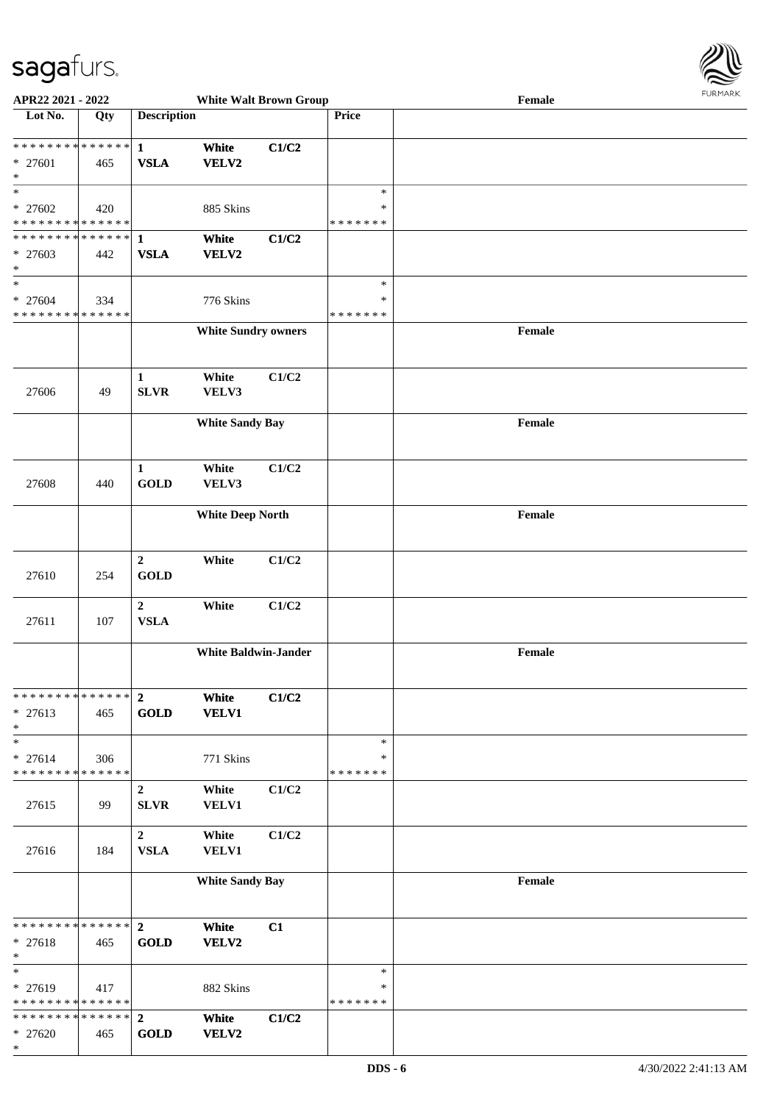

| APR22 2021 - 2022                                     |     |                    | <b>White Walt Brown Group</b> |       |               | Female | . |
|-------------------------------------------------------|-----|--------------------|-------------------------------|-------|---------------|--------|---|
| Lot No.                                               | Qty | <b>Description</b> |                               |       | Price         |        |   |
|                                                       |     |                    |                               |       |               |        |   |
|                                                       |     |                    | White                         | C1/C2 |               |        |   |
| $* 27601$                                             | 465 | <b>VSLA</b>        | VELV2                         |       |               |        |   |
| $\ast$                                                |     |                    |                               |       |               |        |   |
| $\ast$                                                |     |                    |                               |       | $\ast$        |        |   |
| $* 27602$                                             | 420 |                    | 885 Skins                     |       | $\ast$        |        |   |
| * * * * * * * * <mark>* * * * * *</mark>              |     |                    |                               |       | * * * * * * * |        |   |
|                                                       |     |                    | White                         | C1/C2 |               |        |   |
| * 27603                                               | 442 | <b>VSLA</b>        | VELV2                         |       |               |        |   |
| $\ast$                                                |     |                    |                               |       |               |        |   |
| $\overline{\ast}$                                     |     |                    |                               |       | $\ast$        |        |   |
| * 27604                                               | 334 |                    | 776 Skins                     |       | $\ast$        |        |   |
| * * * * * * * * <mark>* * * * * * *</mark>            |     |                    |                               |       | * * * * * * * |        |   |
|                                                       |     |                    | <b>White Sundry owners</b>    |       |               | Female |   |
|                                                       |     |                    |                               |       |               |        |   |
|                                                       |     |                    |                               |       |               |        |   |
|                                                       |     | $\mathbf{1}$       | White                         | C1/C2 |               |        |   |
| 27606                                                 | 49  | <b>SLVR</b>        | VELV3                         |       |               |        |   |
|                                                       |     |                    |                               |       |               |        |   |
|                                                       |     |                    | <b>White Sandy Bay</b>        |       |               | Female |   |
|                                                       |     |                    |                               |       |               |        |   |
|                                                       |     |                    |                               |       |               |        |   |
|                                                       |     | $\mathbf{1}$       | White                         | C1/C2 |               |        |   |
| 27608                                                 | 440 | <b>GOLD</b>        | VELV3                         |       |               |        |   |
|                                                       |     |                    |                               |       |               |        |   |
|                                                       |     |                    | <b>White Deep North</b>       |       |               | Female |   |
|                                                       |     |                    |                               |       |               |        |   |
|                                                       |     |                    |                               |       |               |        |   |
|                                                       |     | $\overline{2}$     | White                         | C1/C2 |               |        |   |
| 27610                                                 | 254 | <b>GOLD</b>        |                               |       |               |        |   |
|                                                       |     |                    |                               |       |               |        |   |
|                                                       |     | $\overline{2}$     | White                         | C1/C2 |               |        |   |
| 27611                                                 | 107 | ${\bf VSLA}$       |                               |       |               |        |   |
|                                                       |     |                    |                               |       |               |        |   |
|                                                       |     |                    | <b>White Baldwin-Jander</b>   |       |               | Female |   |
|                                                       |     |                    |                               |       |               |        |   |
|                                                       |     |                    |                               |       |               |        |   |
| * * * * * * * * <mark>* * * * * * *</mark>            |     | $\overline{2}$     | White                         | C1/C2 |               |        |   |
| $* 27613$                                             | 465 | <b>GOLD</b>        | <b>VELV1</b>                  |       |               |        |   |
| $\ast$                                                |     |                    |                               |       |               |        |   |
| $\ast$                                                |     |                    |                               |       | $\ast$        |        |   |
| $* 27614$                                             | 306 |                    | 771 Skins                     |       | $\ast$        |        |   |
| * * * * * * * * <mark>* * * * * *</mark> *            |     |                    |                               |       | * * * * * * * |        |   |
|                                                       |     | $\boldsymbol{2}$   | White                         | C1/C2 |               |        |   |
| 27615                                                 | 99  | <b>SLVR</b>        | <b>VELV1</b>                  |       |               |        |   |
|                                                       |     |                    |                               |       |               |        |   |
|                                                       |     | $2^{\circ}$        | White                         | C1/C2 |               |        |   |
| 27616                                                 | 184 | <b>VSLA</b>        | VELV1                         |       |               |        |   |
|                                                       |     |                    |                               |       |               |        |   |
|                                                       |     |                    | <b>White Sandy Bay</b>        |       |               | Female |   |
|                                                       |     |                    |                               |       |               |        |   |
|                                                       |     |                    |                               |       |               |        |   |
|                                                       |     |                    | White                         | C1    |               |        |   |
| * 27618                                               | 465 | <b>GOLD</b>        | VELV2                         |       |               |        |   |
| $\ast$<br>$\ast$                                      |     |                    |                               |       | $\ast$        |        |   |
|                                                       |     |                    |                               |       | $\ast$        |        |   |
| $* 27619$<br>* * * * * * * * <mark>* * * * * *</mark> | 417 |                    | 882 Skins                     |       | * * * * * * * |        |   |
|                                                       |     |                    | White                         | C1/C2 |               |        |   |
| $*27620$                                              | 465 | <b>GOLD</b>        | VELV2                         |       |               |        |   |
| $\ast$                                                |     |                    |                               |       |               |        |   |
|                                                       |     |                    |                               |       |               |        |   |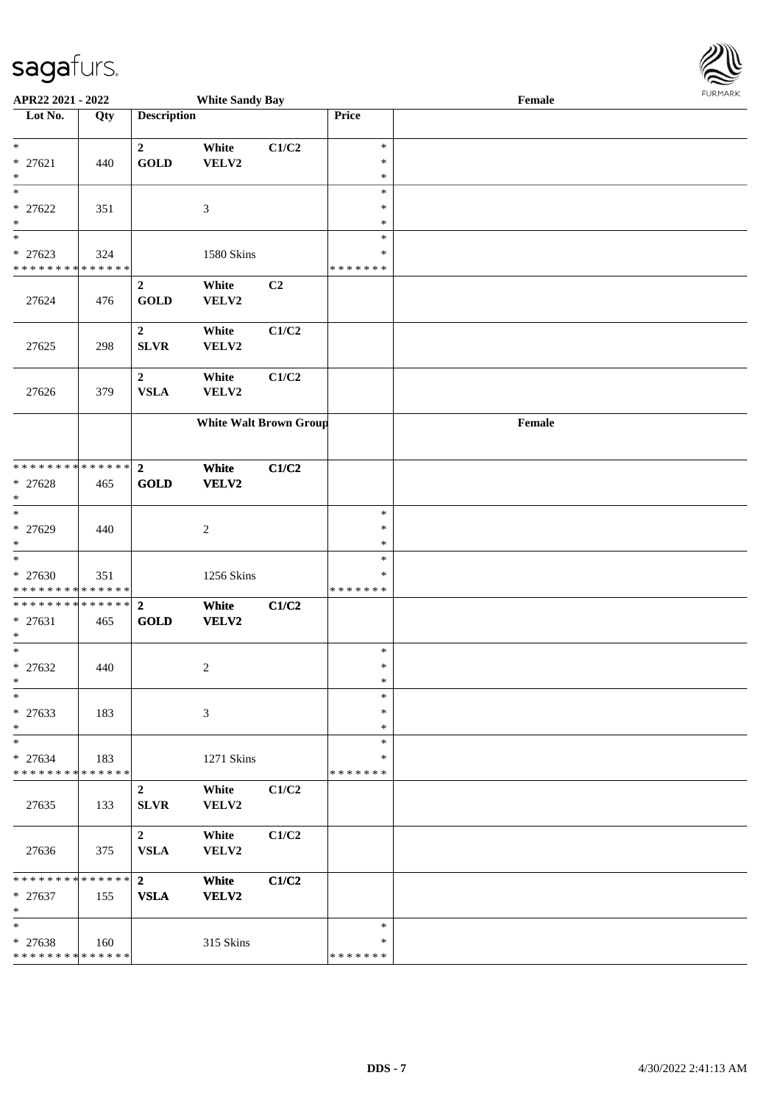| APR22 2021 - 2022                                                 |                    |                                        | <b>White Sandy Bay</b>        |       |                                   | Female |  |
|-------------------------------------------------------------------|--------------------|----------------------------------------|-------------------------------|-------|-----------------------------------|--------|--|
| Lot No.                                                           | Qty                | <b>Description</b>                     |                               |       | Price                             |        |  |
| $\ast$<br>$* 27621$<br>*                                          | 440                | $\mathbf{2}$<br><b>GOLD</b>            | White<br>VELV2                | C1/C2 | $\ast$<br>$\ast$<br>$\ast$        |        |  |
| $_{*}$<br>$* 27622$<br>$\ast$                                     | 351                |                                        | $\mathfrak{Z}$                |       | $\ast$<br>$\ast$<br>$\ast$        |        |  |
| $\overline{\ast}$<br>$* 27623$<br>* * * * * * * *                 | 324<br>* * * * * * |                                        | 1580 Skins                    |       | $\ast$<br>$\ast$<br>* * * * * * * |        |  |
| 27624                                                             | 476                | $\boldsymbol{2}$<br><b>GOLD</b>        | White<br>VELV2                | C2    |                                   |        |  |
| 27625                                                             | 298                | $\boldsymbol{2}$<br><b>SLVR</b>        | White<br>VELV2                | C1/C2 |                                   |        |  |
| 27626                                                             | 379                | $\overline{2}$<br><b>VSLA</b>          | White<br>VELV2                | C1/C2 |                                   |        |  |
|                                                                   |                    |                                        | <b>White Walt Brown Group</b> |       |                                   | Female |  |
| * * * * * * * * * * * * * *  <br>$* 27628$<br>$\ast$              | 465                | $\overline{2}$<br><b>GOLD</b>          | White<br><b>VELV2</b>         | C1/C2 |                                   |        |  |
| $\ast$<br>* 27629<br>$\ast$                                       | 440                |                                        | $\overline{c}$                |       | $\ast$<br>$\ast$<br>$\ast$        |        |  |
| $\ast$<br>$* 27630$<br>* * * * * * * * <mark>* * * * * * *</mark> | 351                |                                        | 1256 Skins                    |       | $\ast$<br>$\ast$<br>* * * * * * * |        |  |
| * * * * * * * * <mark>* * * * * *</mark> *<br>* 27631<br>*        | 465                | $\overline{2}$<br>GOLD                 | White<br>VELV2                | C1/C2 |                                   |        |  |
| $\ast$<br>$* 27632$<br>$*$                                        | 440                |                                        | $\overline{2}$                |       | $\ast$<br>$\ast$<br>$\ast$        |        |  |
| $\ast$<br>* 27633<br>$\ast$                                       | 183                |                                        | 3                             |       | $\ast$<br>$\ast$<br>$\ast$        |        |  |
| $\ast$<br>* 27634<br>* * * * * * * * <mark>* * * * * *</mark>     | 183                |                                        | 1271 Skins                    |       | $\ast$<br>∗<br>*******            |        |  |
| 27635                                                             | 133                | $\overline{2}$<br><b>SLVR</b>          | White<br>VELV2                | C1/C2 |                                   |        |  |
| 27636                                                             | 375                | $2^{\circ}$<br>${\bf VSLA}$            | White<br>VELV2                | C1/C2 |                                   |        |  |
| * * * * * * * * * * * * * * <mark>*</mark><br>$* 27637$<br>$\ast$ | 155                | $\overline{\mathbf{2}}$<br><b>VSLA</b> | White<br><b>VELV2</b>         | C1/C2 |                                   |        |  |
| $\ast$<br>$* 27638$<br>* * * * * * * * <mark>* * * * * * *</mark> | 160                |                                        | 315 Skins                     |       | $\ast$<br>$\ast$<br>* * * * * * * |        |  |

**FURMAR**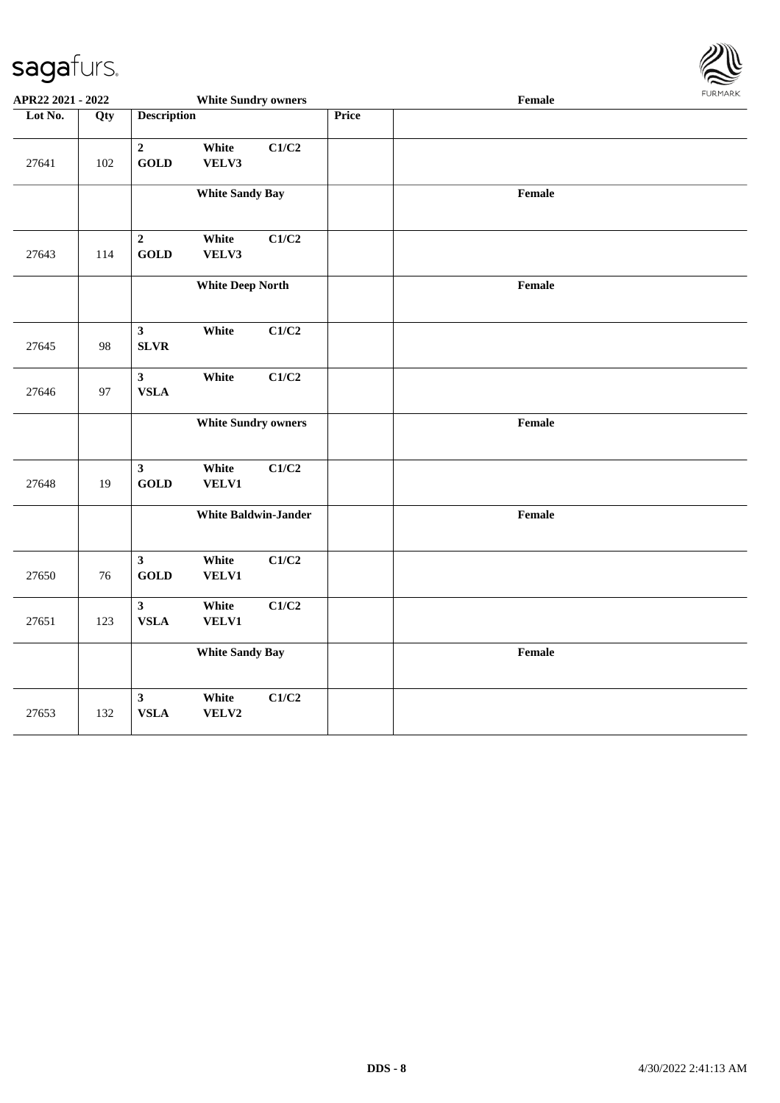

| APR22 2021 - 2022 |     |                                        |                            | <b>White Sundry owners</b><br>Female |       |        |  |
|-------------------|-----|----------------------------------------|----------------------------|--------------------------------------|-------|--------|--|
| Lot No.           | Qty | <b>Description</b>                     |                            |                                      | Price |        |  |
| 27641             | 102 | $\mathbf 2$<br><b>GOLD</b>             | White<br>VELV3             | C1/C2                                |       |        |  |
|                   |     |                                        | <b>White Sandy Bay</b>     |                                      |       | Female |  |
| 27643             | 114 | $\overline{2}$<br><b>GOLD</b>          | White<br>VELV3             | C1/C2                                |       |        |  |
|                   |     |                                        | <b>White Deep North</b>    |                                      |       | Female |  |
| 27645             | 98  | $\mathbf{3}$<br><b>SLVR</b>            | White                      | C1/C2                                |       |        |  |
| 27646             | 97  | $\mathbf{3}$<br>${\bf VSLA}$           | White                      | C1/C2                                |       |        |  |
|                   |     |                                        | <b>White Sundry owners</b> |                                      |       | Female |  |
| 27648             | 19  | $\mathbf{3}$<br><b>GOLD</b>            | White<br>VELV1             | C1/C2                                |       |        |  |
|                   |     |                                        |                            | <b>White Baldwin-Jander</b>          |       | Female |  |
| 27650             | 76  | $\mathbf{3}$<br><b>GOLD</b>            | White<br>VELV1             | C1/C2                                |       |        |  |
| 27651             | 123 | $\mathbf{3}$<br>${\bf VSLA}$           | White<br>VELV1             | C1/C2                                |       |        |  |
|                   |     |                                        | <b>White Sandy Bay</b>     |                                      |       | Female |  |
| 27653             | 132 | $\overline{\mathbf{3}}$<br><b>VSLA</b> | White<br>VELV2             | C1/C2                                |       |        |  |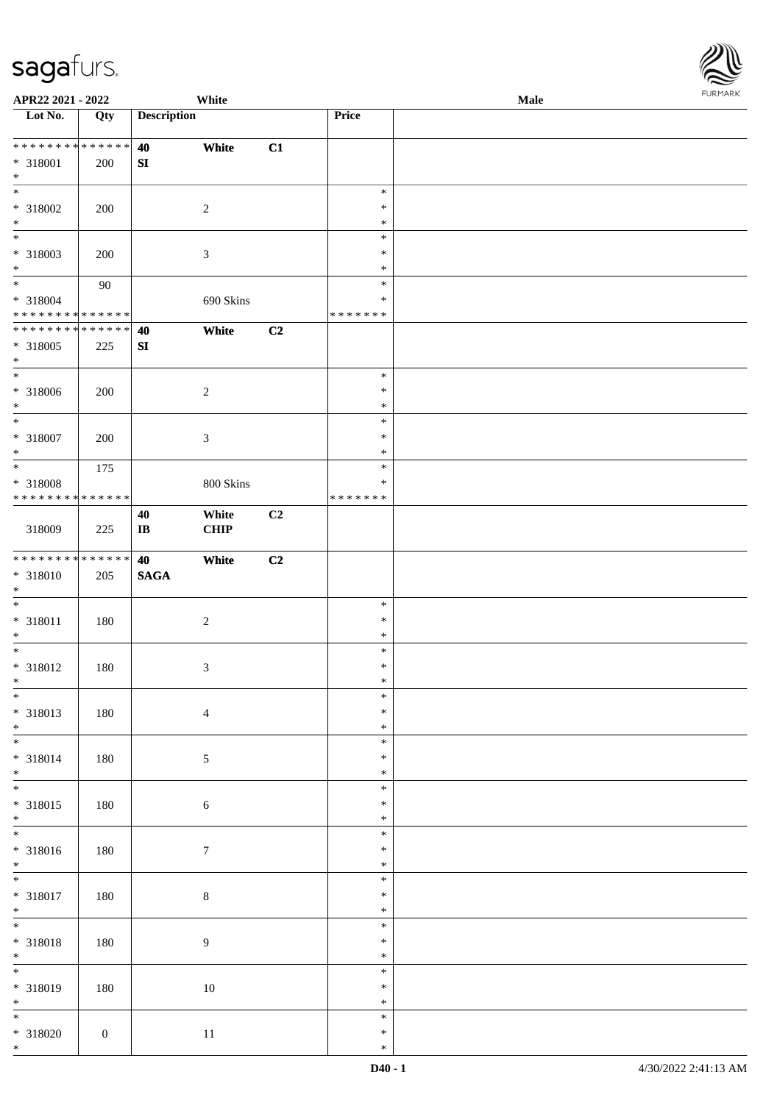| APR22 2021 - 2022            |                  |                        | White            |                |               | <b>Male</b> |
|------------------------------|------------------|------------------------|------------------|----------------|---------------|-------------|
| Lot No.                      | Qty              | <b>Description</b>     |                  |                | Price         |             |
|                              |                  |                        |                  |                |               |             |
| ******** <mark>******</mark> |                  | 40                     | White            | C1             |               |             |
| $* 318001$                   | 200              | ${\bf SI}$             |                  |                |               |             |
| $*$                          |                  |                        |                  |                |               |             |
|                              |                  |                        |                  |                | $\ast$        |             |
|                              |                  |                        |                  |                | $\ast$        |             |
| * 318002                     | 200              |                        | $\sqrt{2}$       |                |               |             |
| $*$                          |                  |                        |                  |                | $\ast$        |             |
| $\overline{\phantom{0}}$     |                  |                        |                  |                | $\ast$        |             |
| * 318003                     | 200              |                        | $\mathfrak{Z}$   |                | $\ast$        |             |
| $*$                          |                  |                        |                  |                | $\ast$        |             |
| $*$                          | 90               |                        |                  |                | $\ast$        |             |
| $* 318004$                   |                  |                        | 690 Skins        |                | $\ast$        |             |
| * * * * * * * * * * * * * *  |                  |                        |                  |                | * * * * * * * |             |
| ******** <mark>******</mark> |                  | 40                     | White            | C2             |               |             |
| $* 318005$                   | 225              | ${\bf S}{\bf I}$       |                  |                |               |             |
| $*$                          |                  |                        |                  |                |               |             |
| $\overline{\ast}$            |                  |                        |                  |                | $\ast$        |             |
|                              |                  |                        |                  |                |               |             |
| $* 318006$                   | 200              |                        | $\sqrt{2}$       |                | $\ast$        |             |
| $*$                          |                  |                        |                  |                | $\ast$        |             |
| $*$                          |                  |                        |                  |                | $\ast$        |             |
| $* 318007$                   | 200              |                        | $\mathfrak{Z}$   |                | $\ast$        |             |
| $\ast$                       |                  |                        |                  |                | $\ast$        |             |
| $*$                          | 175              |                        |                  |                | $\ast$        |             |
| * 318008                     |                  |                        | 800 Skins        |                | $\ast$        |             |
| * * * * * * * * * * * * * *  |                  |                        |                  |                | * * * * * * * |             |
|                              |                  |                        |                  |                |               |             |
|                              |                  | 40                     | White            | C2             |               |             |
| 318009                       | 225              | $\mathbf{I}\mathbf{B}$ | CHIP             |                |               |             |
|                              |                  |                        |                  |                |               |             |
| * * * * * * * * * * * * * *  |                  | 40                     | White            | C <sub>2</sub> |               |             |
| $* 318010$                   | 205              | $\mathbf{SAGA}$        |                  |                |               |             |
| $*$                          |                  |                        |                  |                |               |             |
| $\ast$                       |                  |                        |                  |                | $\ast$        |             |
| $* 318011$                   | 180              |                        | $\boldsymbol{2}$ |                | $\ast$        |             |
| $*$                          |                  |                        |                  |                | $\ast$        |             |
| $*$                          |                  |                        |                  |                | $\ast$        |             |
| $* 318012$                   | 180              |                        | $\mathfrak{Z}$   |                | $\ast$        |             |
| $*$                          |                  |                        |                  |                | $\ast$        |             |
| $*$                          |                  |                        |                  |                |               |             |
|                              |                  |                        |                  |                | $\ast$        |             |
| $* 318013$                   | 180              |                        | $\overline{4}$   |                | $\ast$        |             |
| $*$                          |                  |                        |                  |                | $\ast$        |             |
| $\overline{\phantom{0}}$     |                  |                        |                  |                | $\ast$        |             |
| * 318014                     | 180              |                        | $\sqrt{5}$       |                | $\ast$        |             |
| $*$                          |                  |                        |                  |                | $\ast$        |             |
| $\overline{\phantom{0}}$     |                  |                        |                  |                | $\ast$        |             |
| * 318015                     | 180              |                        | $\sqrt{6}$       |                | $\ast$        |             |
| $*$                          |                  |                        |                  |                | $\ast$        |             |
| $\overline{\phantom{0}}$     |                  |                        |                  |                | $\ast$        |             |
|                              |                  |                        |                  |                |               |             |
| * 318016                     | 180              |                        | $\boldsymbol{7}$ |                | $\ast$        |             |
| $*$                          |                  |                        |                  |                | $\ast$        |             |
| $*$                          |                  |                        |                  |                | $\ast$        |             |
| * 318017                     | 180              |                        | $8\,$            |                | $\ast$        |             |
| $*$                          |                  |                        |                  |                | $\ast$        |             |
| $*$                          |                  |                        |                  |                | $\ast$        |             |
| $* 318018$                   | 180              |                        | $\overline{9}$   |                | $\ast$        |             |
| $*$                          |                  |                        |                  |                | $\ast$        |             |
| $\overline{\ast}$            |                  |                        |                  |                |               |             |
|                              |                  |                        |                  |                | $\ast$        |             |
| * 318019                     | 180              |                        | $10\,$           |                | $\ast$        |             |
| $*$                          |                  |                        |                  |                | $\ast$        |             |
| $\overline{\ast}$            |                  |                        |                  |                | $\ast$        |             |
| $* 318020$                   | $\boldsymbol{0}$ |                        | $11\,$           |                | $\ast$        |             |
| $*$                          |                  |                        |                  |                | $\ast$        |             |

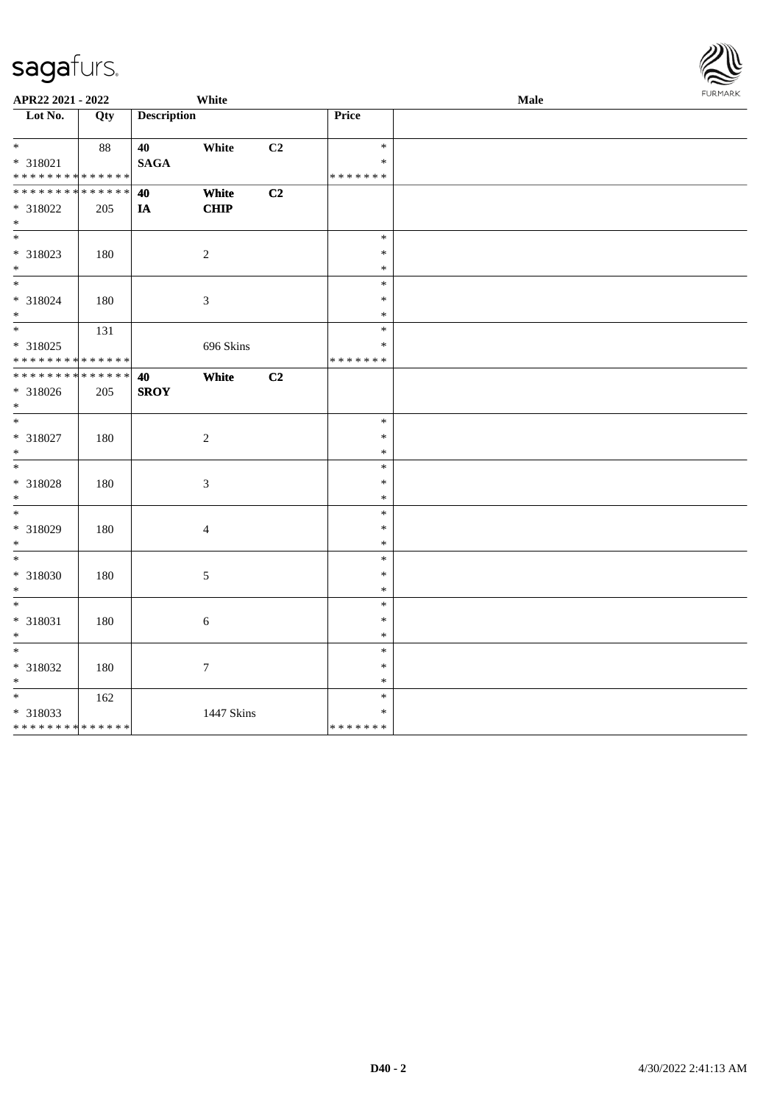| APR22 2021 - 2022                          |     |                    | White            |                |                  | Male | <b>FURPIARR</b> |
|--------------------------------------------|-----|--------------------|------------------|----------------|------------------|------|-----------------|
| Lot No.                                    | Qty | <b>Description</b> |                  |                | Price            |      |                 |
|                                            |     |                    |                  |                |                  |      |                 |
| $*$                                        | 88  | 40                 | White            | C <sub>2</sub> | $\ast$           |      |                 |
| * 318021                                   |     | <b>SAGA</b>        |                  |                | $\ast$           |      |                 |
| * * * * * * * * <mark>* * * * * * *</mark> |     |                    |                  |                | * * * * * * *    |      |                 |
| * * * * * * * * <mark>* * * * * * *</mark> |     | 40                 | White            | C2             |                  |      |                 |
| * 318022                                   | 205 | $I\!\!A$           | <b>CHIP</b>      |                |                  |      |                 |
| $*$<br>$\overline{\ast}$                   |     |                    |                  |                |                  |      |                 |
|                                            |     |                    |                  |                | $\ast$<br>$\ast$ |      |                 |
| * 318023<br>$*$                            | 180 |                    | $\sqrt{2}$       |                | $\ast$           |      |                 |
| $\overline{\phantom{0}}$                   |     |                    |                  |                | $\ast$           |      |                 |
| * 318024                                   | 180 |                    | $\mathfrak{Z}$   |                | $\ast$           |      |                 |
| $*$                                        |     |                    |                  |                | $\ast$           |      |                 |
| $\overline{\phantom{0}}$                   | 131 |                    |                  |                | $\ast$           |      |                 |
| * 318025                                   |     |                    | 696 Skins        |                | $\ast$           |      |                 |
| * * * * * * * * * * * * * *                |     |                    |                  |                | * * * * * * *    |      |                 |
| * * * * * * * * * * * * * * *              |     | 40                 | White            | C <sub>2</sub> |                  |      |                 |
| * 318026                                   | 205 | <b>SROY</b>        |                  |                |                  |      |                 |
| $\ast$                                     |     |                    |                  |                |                  |      |                 |
| $*$                                        |     |                    |                  |                | $\ast$           |      |                 |
| * 318027                                   | 180 |                    | $\sqrt{2}$       |                | $\ast$           |      |                 |
| $*$                                        |     |                    |                  |                | $\ast$           |      |                 |
| $*$                                        |     |                    |                  |                | $\ast$           |      |                 |
| * 318028                                   | 180 |                    | $\mathfrak{Z}$   |                | $\ast$           |      |                 |
| $*$                                        |     |                    |                  |                | $\ast$           |      |                 |
| $\overline{\ast}$                          |     |                    |                  |                | $\ast$           |      |                 |
| * 318029                                   | 180 |                    | $\overline{4}$   |                | $\ast$           |      |                 |
| $*$<br>$\frac{1}{1}$                       |     |                    |                  |                | $\ast$           |      |                 |
|                                            |     |                    |                  |                | $\ast$           |      |                 |
| * 318030<br>$*$                            | 180 |                    | 5                |                | $\ast$<br>$\ast$ |      |                 |
| $\overline{\ast}$                          |     |                    |                  |                | $\ast$           |      |                 |
| * 318031                                   | 180 |                    | $\sqrt{6}$       |                | $\ast$           |      |                 |
| $\ast$                                     |     |                    |                  |                | $\ast$           |      |                 |
| $\ast$                                     |     |                    |                  |                | $\ast$           |      |                 |
| * 318032                                   | 180 |                    | $\boldsymbol{7}$ |                | $\ast$           |      |                 |
| $*$                                        |     |                    |                  |                | $\ast$           |      |                 |
|                                            | 162 |                    |                  |                | $\ast$           |      |                 |
| * 318033                                   |     |                    | 1447 Skins       |                | $\ast$           |      |                 |
| * * * * * * * * <mark>* * * * * * *</mark> |     |                    |                  |                | * * * * * * *    |      |                 |

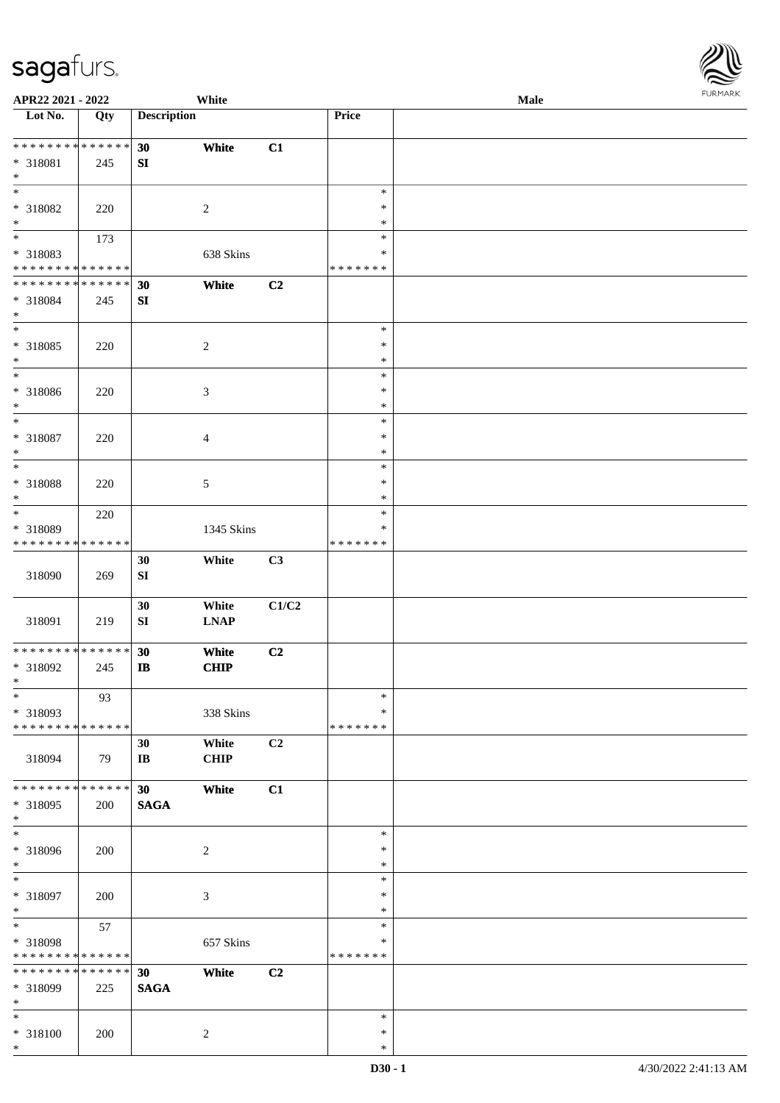\*

| APR22 2021 - 2022                          |                 |                    | White          |       |               | Male | <b>FUNITANN</b> |
|--------------------------------------------|-----------------|--------------------|----------------|-------|---------------|------|-----------------|
| Lot No.                                    | Qty             | <b>Description</b> |                |       | Price         |      |                 |
|                                            |                 |                    |                |       |               |      |                 |
| ******** <mark>******</mark>               |                 | 30                 | White          | C1    |               |      |                 |
| * 318081                                   | 245             | SI                 |                |       |               |      |                 |
| $\ast$                                     |                 |                    |                |       |               |      |                 |
| $\overline{\ast}$                          |                 |                    |                |       | $\ast$        |      |                 |
| * 318082                                   | 220             |                    | 2              |       | $\ast$        |      |                 |
| $\ast$                                     |                 |                    |                |       | $\ast$        |      |                 |
|                                            | 173             |                    |                |       | $\ast$        |      |                 |
| * 318083                                   |                 |                    | 638 Skins      |       | $\ast$        |      |                 |
| * * * * * * * * * * * * * *                |                 |                    |                |       | * * * * * * * |      |                 |
| * * * * * * * * <mark>* * * * * *</mark>   |                 | 30                 | White          | C2    |               |      |                 |
| * 318084                                   | 245             | ${\bf SI}$         |                |       |               |      |                 |
| $\ast$                                     |                 |                    |                |       |               |      |                 |
|                                            |                 |                    |                |       | $\ast$        |      |                 |
| * 318085                                   | 220             |                    | $\sqrt{2}$     |       | $\ast$        |      |                 |
| $\ast$                                     |                 |                    |                |       | $\ast$        |      |                 |
| $\overline{\phantom{0}}$                   |                 |                    |                |       | $\ast$        |      |                 |
| * 318086                                   | 220             |                    | $\mathfrak{Z}$ |       | $\ast$        |      |                 |
| $*$                                        |                 |                    |                |       | $\ast$        |      |                 |
| $\overline{\ast}$                          |                 |                    |                |       | $\ast$        |      |                 |
| * 318087                                   | 220             |                    | $\overline{4}$ |       | $\ast$        |      |                 |
| $\ast$                                     |                 |                    |                |       | $\ast$        |      |                 |
|                                            |                 |                    |                |       | $\ast$        |      |                 |
| * 318088                                   | 220             |                    | 5              |       | $\ast$        |      |                 |
| $\ast$                                     |                 |                    |                |       | $\ast$        |      |                 |
| $\overline{\ast}$                          | 220             |                    |                |       | $\ast$        |      |                 |
| * 318089                                   |                 |                    | 1345 Skins     |       | $\ast$        |      |                 |
| * * * * * * * *                            | * * * * * *     |                    |                |       | * * * * * * * |      |                 |
|                                            |                 | 30                 | White          | C3    |               |      |                 |
| 318090                                     | 269             | SI                 |                |       |               |      |                 |
|                                            |                 |                    |                |       |               |      |                 |
|                                            |                 | 30                 | White          | C1/C2 |               |      |                 |
| 318091                                     | 219             | SI                 | <b>LNAP</b>    |       |               |      |                 |
|                                            |                 |                    |                |       |               |      |                 |
| * * * * * * * * <mark>* * * * * * *</mark> |                 | 30                 | White          | C2    |               |      |                 |
| * 318092                                   | 245             | $\mathbf{I}$       | CHIP           |       |               |      |                 |
| $\ast$                                     |                 |                    |                |       |               |      |                 |
| $\ast$                                     | 93              |                    |                |       | $\ast$        |      |                 |
| * 318093                                   |                 |                    | 338 Skins      |       | $\ast$        |      |                 |
| * * * * * * * * <mark>* * * * * *</mark>   |                 |                    |                |       | * * * * * * * |      |                 |
|                                            |                 | 30                 | White          | C2    |               |      |                 |
| 318094                                     | 79              | $\bf IB$           | <b>CHIP</b>    |       |               |      |                 |
|                                            |                 |                    |                |       |               |      |                 |
| * * * * * * * * <mark>* * * * * * *</mark> |                 | 30 <sup>°</sup>    | White          | C1    |               |      |                 |
| * 318095                                   | 200             | <b>SAGA</b>        |                |       |               |      |                 |
| $\ast$                                     |                 |                    |                |       |               |      |                 |
|                                            |                 |                    |                |       | $\ast$        |      |                 |
| * 318096                                   | 200             |                    | 2              |       | $\ast$        |      |                 |
| $\ast$                                     |                 |                    |                |       | $\ast$        |      |                 |
| $*$                                        |                 |                    |                |       | $\ast$        |      |                 |
| * 318097                                   | 200             |                    | 3              |       | $\ast$        |      |                 |
| $*$                                        |                 |                    |                |       | $\ast$        |      |                 |
| $\ddot{x}$                                 | 57              |                    |                |       | $\ast$        |      |                 |
| * 318098                                   |                 |                    | 657 Skins      |       | ∗             |      |                 |
| * * * * * * * *                            | * * * * * *     |                    |                |       | * * * * * * * |      |                 |
| * * * * * * * *                            | $* * * * * * *$ | 30                 | White          | C2    |               |      |                 |
| * 318099                                   | 225             | <b>SAGA</b>        |                |       |               |      |                 |
| $*$                                        |                 |                    |                |       |               |      |                 |
|                                            |                 |                    |                |       | $\ast$        |      |                 |
| * 318100                                   | 200             |                    | 2              |       | $\ast$        |      |                 |
| $\ast$                                     |                 |                    |                |       | $\ast$        |      |                 |

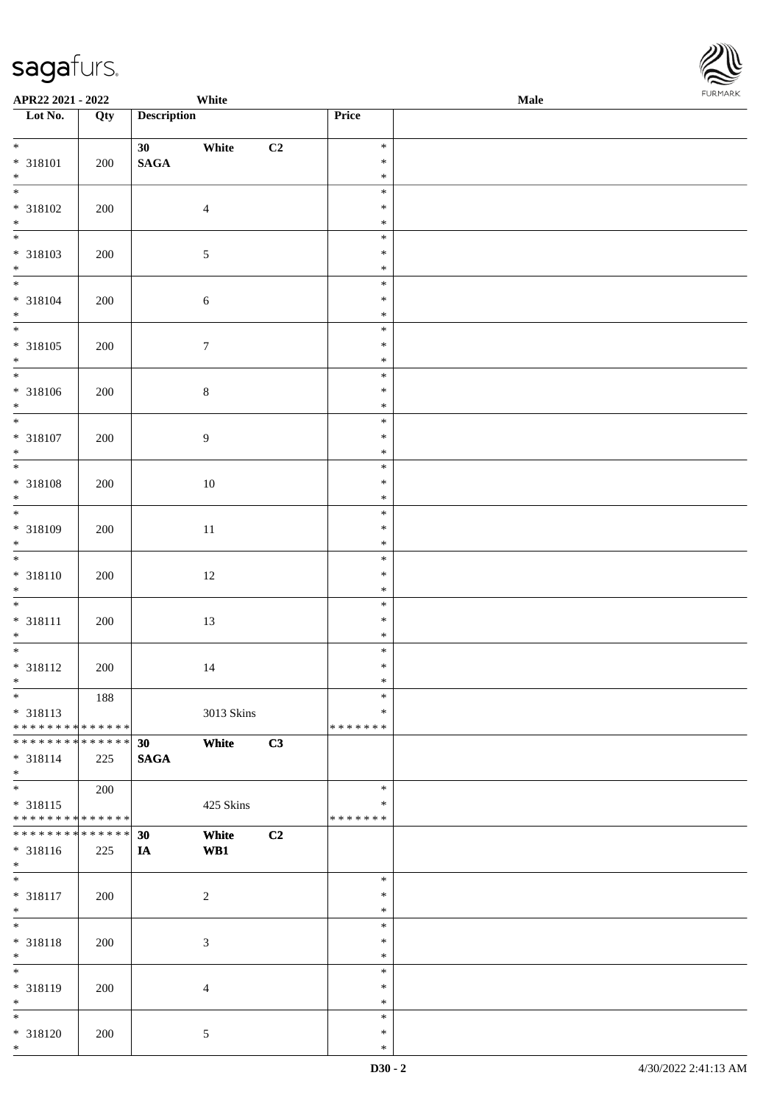| APR22 2021 - 2022                                      |     |                    | White            |    |                         | <b>Male</b> |
|--------------------------------------------------------|-----|--------------------|------------------|----|-------------------------|-------------|
| Lot No.                                                | Qty | <b>Description</b> |                  |    | Price                   |             |
| $\ast$                                                 |     |                    |                  |    |                         |             |
|                                                        |     | 30                 | White            | C2 | $\ast$<br>$\ast$        |             |
| * 318101<br>$*$                                        | 200 | $\mathbf{SAGA}$    |                  |    | $\ast$                  |             |
|                                                        |     |                    |                  |    | $\ast$                  |             |
| * 318102                                               | 200 |                    | $\overline{4}$   |    | $\ast$                  |             |
| $*$                                                    |     |                    |                  |    | $\ast$                  |             |
|                                                        |     |                    |                  |    | $\ast$                  |             |
| * 318103                                               | 200 |                    | $\sqrt{5}$       |    | $\ast$                  |             |
| $*$                                                    |     |                    |                  |    | $\ast$                  |             |
| $\overline{\phantom{0}}$                               |     |                    |                  |    | $\ast$                  |             |
| * 318104                                               | 200 |                    | $\sqrt{6}$       |    | $\ast$                  |             |
| $*$                                                    |     |                    |                  |    | $\ast$                  |             |
|                                                        |     |                    |                  |    | $\ast$                  |             |
| * 318105                                               | 200 |                    | $\boldsymbol{7}$ |    | $\ast$                  |             |
| $*$                                                    |     |                    |                  |    | $\ast$                  |             |
|                                                        |     |                    |                  |    | $\ast$                  |             |
| * 318106                                               | 200 |                    | $\,8\,$          |    | $\ast$                  |             |
| $*$<br>$\overline{\ast}$                               |     |                    |                  |    | $\ast$                  |             |
|                                                        |     |                    |                  |    | $\ast$                  |             |
| * 318107                                               | 200 |                    | 9                |    | $\ast$<br>$\ast$        |             |
| $\ast$                                                 |     |                    |                  |    | $\ast$                  |             |
| * 318108                                               |     |                    |                  |    | $\ast$                  |             |
| $\ast$                                                 | 200 |                    | $10\,$           |    | $\ast$                  |             |
| $\overline{\phantom{0}}$                               |     |                    |                  |    | $\ast$                  |             |
| * 318109                                               | 200 |                    | $11\,$           |    | $\ast$                  |             |
| $\ast$                                                 |     |                    |                  |    | $\ast$                  |             |
| $\overline{\ast}$                                      |     |                    |                  |    | $\ast$                  |             |
| * 318110                                               | 200 |                    | 12               |    | $\ast$                  |             |
| $*$                                                    |     |                    |                  |    | $\ast$                  |             |
| $*$                                                    |     |                    |                  |    | $\ast$                  |             |
| * 318111                                               | 200 |                    | 13               |    | $\ast$                  |             |
| $*$                                                    |     |                    |                  |    | $\ast$                  |             |
| $\overline{\cdot}$                                     |     |                    |                  |    | $\ast$                  |             |
| * 318112                                               | 200 |                    | 14               |    | $\ast$                  |             |
| $\ast$                                                 |     |                    |                  |    | $*$                     |             |
| $\overline{\ast}$                                      | 188 |                    |                  |    | $\ast$                  |             |
| * 318113                                               |     |                    | 3013 Skins       |    | $\ast$                  |             |
| * * * * * * * * <mark>* * * * * *</mark>               |     |                    |                  |    | * * * * * * *           |             |
| * * * * * * * * <mark>* * * * * * *</mark>             |     | 30                 | White            | C3 |                         |             |
| * 318114                                               | 225 | <b>SAGA</b>        |                  |    |                         |             |
| $\ast$<br>$\ddot{x}$                                   |     |                    |                  |    |                         |             |
|                                                        | 200 |                    |                  |    | $\ast$                  |             |
| * 318115<br>* * * * * * * * <mark>* * * * * * *</mark> |     |                    | 425 Skins        |    | $\ast$<br>* * * * * * * |             |
| * * * * * * * * <mark>* * * * * * *</mark>             |     | 30                 | White            | C2 |                         |             |
| * 318116                                               | 225 | IA                 | WB1              |    |                         |             |
| $*$                                                    |     |                    |                  |    |                         |             |
| $\overline{\ast}$                                      |     |                    |                  |    | $\ast$                  |             |
| * 318117                                               | 200 |                    | $\overline{c}$   |    | $\ast$                  |             |
| $*$                                                    |     |                    |                  |    | $\ast$                  |             |
| $\overline{\phantom{0}}$                               |     |                    |                  |    | $\ast$                  |             |
| * 318118                                               | 200 |                    | 3                |    | $\ast$                  |             |
| $*$                                                    |     |                    |                  |    | $\ast$                  |             |
|                                                        |     |                    |                  |    | $\ast$                  |             |
| * 318119                                               | 200 |                    | 4                |    | $\ast$                  |             |
| $*$                                                    |     |                    |                  |    | $\ast$                  |             |
| $\overline{\phantom{0}}$                               |     |                    |                  |    | $\ast$                  |             |
| * 318120                                               | 200 |                    | $\mathfrak{S}$   |    | $\ast$                  |             |
| $*$                                                    |     |                    |                  |    | $\ast$                  |             |

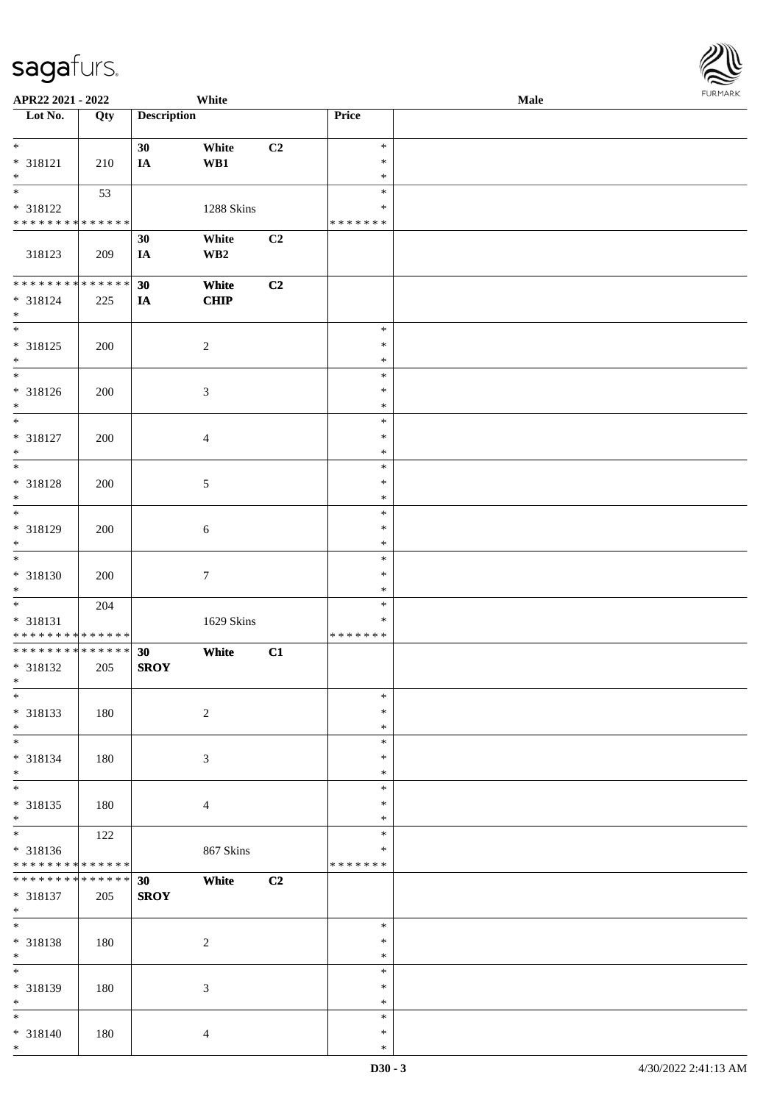| APR22 2021 - 2022                          |             |                    | White           |                |                  | Male | $1 \times 1 \times 1 \times 1 \times 1$ |
|--------------------------------------------|-------------|--------------------|-----------------|----------------|------------------|------|-----------------------------------------|
| Lot No.                                    | Qty         | <b>Description</b> |                 |                | Price            |      |                                         |
|                                            |             |                    |                 |                |                  |      |                                         |
| $\ddot{x}$                                 |             | 30                 | White           | C2             | $\ast$           |      |                                         |
| * 318121                                   | 210         | IA                 | WB1             |                | $\ast$<br>$\ast$ |      |                                         |
| $*$                                        | 53          |                    |                 |                | $\ast$           |      |                                         |
| * 318122                                   |             |                    | 1288 Skins      |                | $\ast$           |      |                                         |
| * * * * * * * * <mark>* * * * * *</mark>   |             |                    |                 |                | * * * * * * *    |      |                                         |
|                                            |             | 30                 | White           | C <sub>2</sub> |                  |      |                                         |
| 318123                                     | 209         | IA                 | WB <sub>2</sub> |                |                  |      |                                         |
|                                            |             |                    |                 |                |                  |      |                                         |
| * * * * * * * * * * * * * *                |             | 30                 | White           | C2             |                  |      |                                         |
| * 318124                                   | 225         | IA                 | CHIP            |                |                  |      |                                         |
| $\ast$                                     |             |                    |                 |                |                  |      |                                         |
| $\overline{\ }$                            |             |                    |                 |                | $\ast$           |      |                                         |
| * 318125                                   | 200         |                    | $\overline{2}$  |                | $\ast$           |      |                                         |
| $*$                                        |             |                    |                 |                | $\ast$           |      |                                         |
| $*$                                        |             |                    |                 |                | $\ast$           |      |                                         |
| * 318126                                   | 200         |                    | $\mathfrak{Z}$  |                | $\ast$           |      |                                         |
| $\ast$<br>$\overline{\phantom{0}}$         |             |                    |                 |                | $\ast$           |      |                                         |
|                                            |             |                    |                 |                | $\ast$           |      |                                         |
| * 318127                                   | 200         |                    | $\overline{4}$  |                | $\ast$           |      |                                         |
| $\ast$<br>$\overline{\ast}$                |             |                    |                 |                | $\ast$<br>$\ast$ |      |                                         |
|                                            |             |                    |                 |                | $\ast$           |      |                                         |
| * 318128<br>$*$                            | 200         |                    | 5               |                | $\ast$           |      |                                         |
|                                            |             |                    |                 |                | $\ast$           |      |                                         |
| * 318129                                   | 200         |                    | 6               |                | $\ast$           |      |                                         |
| $\ast$                                     |             |                    |                 |                | $\ast$           |      |                                         |
| $\overline{\ast}$                          |             |                    |                 |                | $\ast$           |      |                                         |
| * 318130                                   | 200         |                    | $\tau$          |                | $\ast$           |      |                                         |
| $\ast$                                     |             |                    |                 |                | $\ast$           |      |                                         |
|                                            | 204         |                    |                 |                | $\ast$           |      |                                         |
| * 318131                                   |             |                    | 1629 Skins      |                | ∗                |      |                                         |
| * * * * * * * * <mark>* * * * * * *</mark> |             |                    |                 |                | * * * * * * *    |      |                                         |
| * * * * * * * * <mark>* * * * * * *</mark> |             | 30                 | White           | C1             |                  |      |                                         |
| * 318132                                   | 205         | <b>SROY</b>        |                 |                |                  |      |                                         |
| $\ast$                                     |             |                    |                 |                |                  |      |                                         |
| $\ast$                                     |             |                    |                 |                | $\ast$           |      |                                         |
| * 318133                                   | 180         |                    | $\sqrt{2}$      |                | $\ast$           |      |                                         |
| $*$                                        |             |                    |                 |                | $\ast$<br>$\ast$ |      |                                         |
| * 318134                                   |             |                    |                 |                | $\ast$           |      |                                         |
| $*$                                        | 180         |                    | 3               |                | $\ast$           |      |                                         |
| $\overline{\ast}$                          |             |                    |                 |                | $\ast$           |      |                                         |
| * 318135                                   | 180         |                    | $\overline{4}$  |                | $\ast$           |      |                                         |
| $*$                                        |             |                    |                 |                | $\ast$           |      |                                         |
| $\overline{\mathbf{r}}$                    | 122         |                    |                 |                | $\ast$           |      |                                         |
| * 318136                                   |             |                    | 867 Skins       |                | $\ast$           |      |                                         |
| * * * * * * * * <mark>* * * * * * *</mark> |             |                    |                 |                | * * * * * * *    |      |                                         |
| * * * * * * * *                            | * * * * * * | 30                 | White           | C2             |                  |      |                                         |
| * 318137                                   | 205         | <b>SROY</b>        |                 |                |                  |      |                                         |
| $*$                                        |             |                    |                 |                |                  |      |                                         |
| $*$                                        |             |                    |                 |                | $\ast$           |      |                                         |
| * 318138                                   | 180         |                    | $\sqrt{2}$      |                | $\ast$           |      |                                         |
| $*$                                        |             |                    |                 |                | $\ast$<br>$\ast$ |      |                                         |
|                                            |             |                    |                 |                | $\ast$           |      |                                         |
| * 318139<br>$*$                            | 180         |                    | $\mathfrak{Z}$  |                | $\ast$           |      |                                         |
|                                            |             |                    |                 |                | $\ast$           |      |                                         |
| * 318140                                   | 180         |                    | $\overline{4}$  |                | $\ast$           |      |                                         |
| $*$                                        |             |                    |                 |                | $\ast$           |      |                                         |
|                                            |             |                    |                 |                |                  |      |                                         |

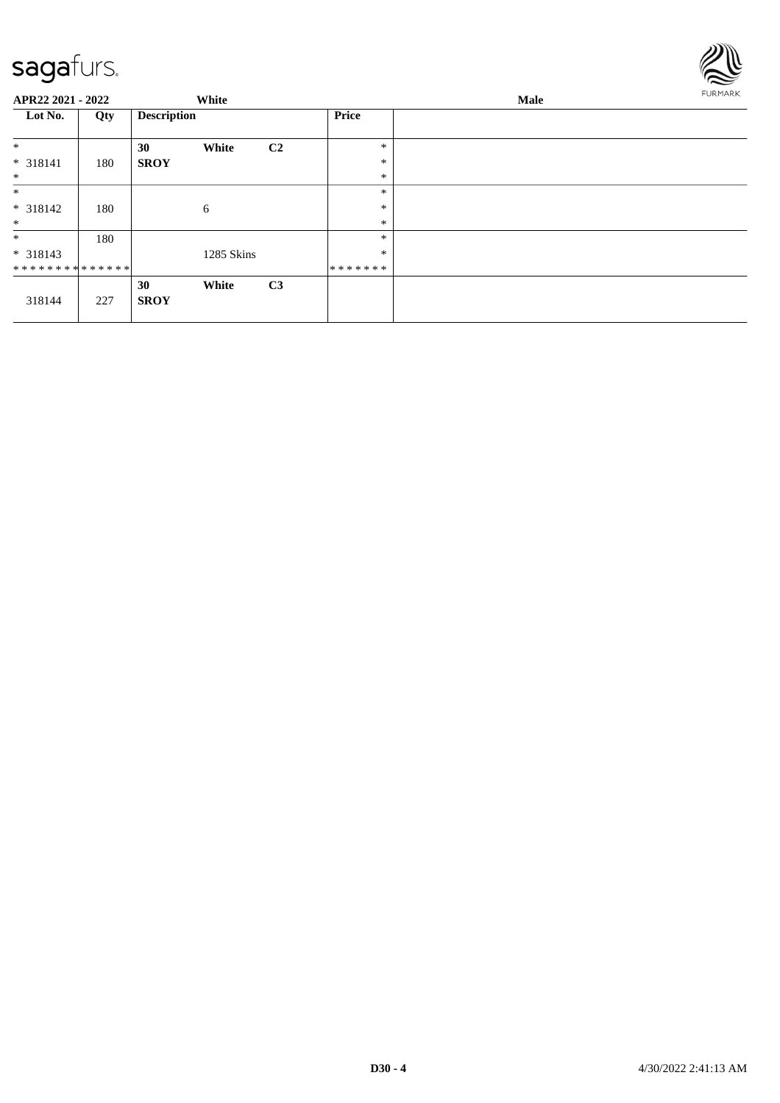

| APR22 2021 - 2022 |     |                    | White      |                |               | <b>Male</b> |  |  |
|-------------------|-----|--------------------|------------|----------------|---------------|-------------|--|--|
| Lot No.           | Qty | <b>Description</b> |            |                | <b>Price</b>  |             |  |  |
| $\ast$            |     | 30                 | White      | C <sub>2</sub> | $\ast$        |             |  |  |
| $* 318141$        | 180 | <b>SROY</b>        |            |                | $\ast$        |             |  |  |
| $\ast$            |     |                    |            |                | $\ast$        |             |  |  |
| $\ast$            |     |                    |            |                | $\ast$        |             |  |  |
| $* 318142$        | 180 |                    | 6          |                | $\ast$        |             |  |  |
| $\ast$            |     |                    |            |                | $\ast$        |             |  |  |
| $\ast$            | 180 |                    |            |                | $\ast$        |             |  |  |
| $* 318143$        |     |                    | 1285 Skins |                | $\ast$        |             |  |  |
| **************    |     |                    |            |                | * * * * * * * |             |  |  |
|                   |     | 30                 | White      | C3             |               |             |  |  |
| 318144            | 227 | <b>SROY</b>        |            |                |               |             |  |  |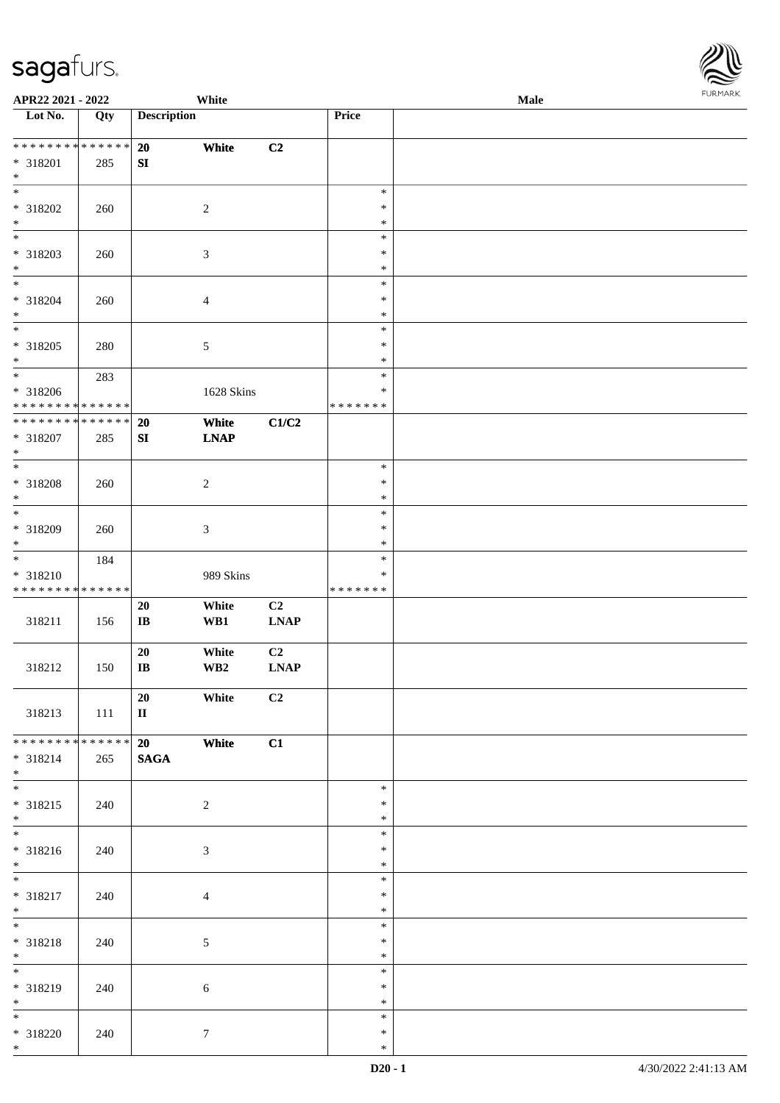| <b>FURMARK</b> |
|----------------|
|                |

| APR22 2021 - 2022                                                                                    |       |                              | White                            |                               |                                   | Male |  |
|------------------------------------------------------------------------------------------------------|-------|------------------------------|----------------------------------|-------------------------------|-----------------------------------|------|--|
| Lot No.                                                                                              | Qty   | <b>Description</b>           |                                  |                               | <b>Price</b>                      |      |  |
| * 318201<br>$\ast$                                                                                   | 285   | 20<br>SI                     | White                            | C2                            |                                   |      |  |
| * 318202<br>$\ast$                                                                                   | 260   |                              | 2                                |                               | $\ast$<br>$\ast$<br>$\ast$        |      |  |
| $\overline{\phantom{0}}$<br>* 318203<br>$\ast$                                                       | 260   |                              | $\mathfrak{Z}$                   |                               | $\ast$<br>$\ast$<br>$\ast$        |      |  |
| $*$<br>* 318204<br>$*$<br>$\overline{\ast}$                                                          | 260   |                              | $\overline{4}$                   |                               | $\ast$<br>$\ast$<br>$\ast$        |      |  |
| * 318205<br>$\ast$<br>$\overline{\phantom{0}}$                                                       | 280   |                              | $\sqrt{5}$                       |                               | $\ast$<br>$\ast$<br>$\ast$        |      |  |
| * 318206<br>* * * * * * * * <mark>* * * * * * *</mark><br>* * * * * * * * <mark>* * * * * * *</mark> | 283   |                              | 1628 Skins                       |                               | $\ast$<br>$\ast$<br>* * * * * * * |      |  |
| * 318207<br>$\ast$<br>$\overline{\phantom{0}}$                                                       | 285   | 20<br>SI                     | White<br><b>LNAP</b>             | C1/C2                         | $\ast$                            |      |  |
| * 318208<br>$\ast$<br>$\overline{\phantom{0}}$                                                       | 260   |                              | $\sqrt{2}$                       |                               | $\ast$<br>$\ast$<br>$\ast$        |      |  |
| * 318209<br>$\ast$<br>$\ddot{x}$                                                                     | 260   |                              | $\mathfrak{Z}$                   |                               | $\ast$<br>$\ast$                  |      |  |
| * 318210<br>* * * * * * * * <mark>* * * * * * *</mark>                                               | 184   |                              | 989 Skins                        |                               | $\ast$<br>$\ast$<br>*******       |      |  |
| 318211                                                                                               | 156   | 20<br>$\mathbf{I}\mathbf{B}$ | White<br>WB1                     | C2<br><b>LNAP</b>             |                                   |      |  |
| 318212                                                                                               | 150   | 20<br>$\bf I\bf B$           | White<br>$\mathbf{W}\mathbf{B2}$ | C <sub>2</sub><br><b>LNAP</b> |                                   |      |  |
| 318213<br>* * * * * * * * * * * * * * *                                                              | - 111 | 20<br>$\mathbf{I}$           | White                            | C2                            |                                   |      |  |
| * 318214<br>$*$<br>$*$                                                                               | 265   | 20<br><b>SAGA</b>            | White                            | C1                            | $\ast$                            |      |  |
| * 318215<br>$*$<br>$\overline{\mathbf{r}}$                                                           | 240   |                              | $\overline{2}$                   |                               | $\ast$<br>$\ast$<br>$\ast$        |      |  |
| * 318216<br>$*$                                                                                      | 240   |                              | 3                                |                               | $\ast$<br>$\ast$<br>$\ast$        |      |  |
| * 318217<br>$*$<br>$\overline{\ast}$                                                                 | 240   |                              | $\overline{4}$                   |                               | $\ast$<br>$\ast$<br>$\ast$        |      |  |
| * 318218<br>$*$                                                                                      | 240   |                              | 5                                |                               | $\ast$<br>$\ast$<br>$\ast$        |      |  |
| * 318219<br>$*$<br>$*$                                                                               | 240   |                              | 6                                |                               | $\ast$<br>$\ast$<br>$\ast$        |      |  |
| * 318220<br>$*$                                                                                      | 240   |                              | $\tau$                           |                               | $\ast$<br>$\ast$                  |      |  |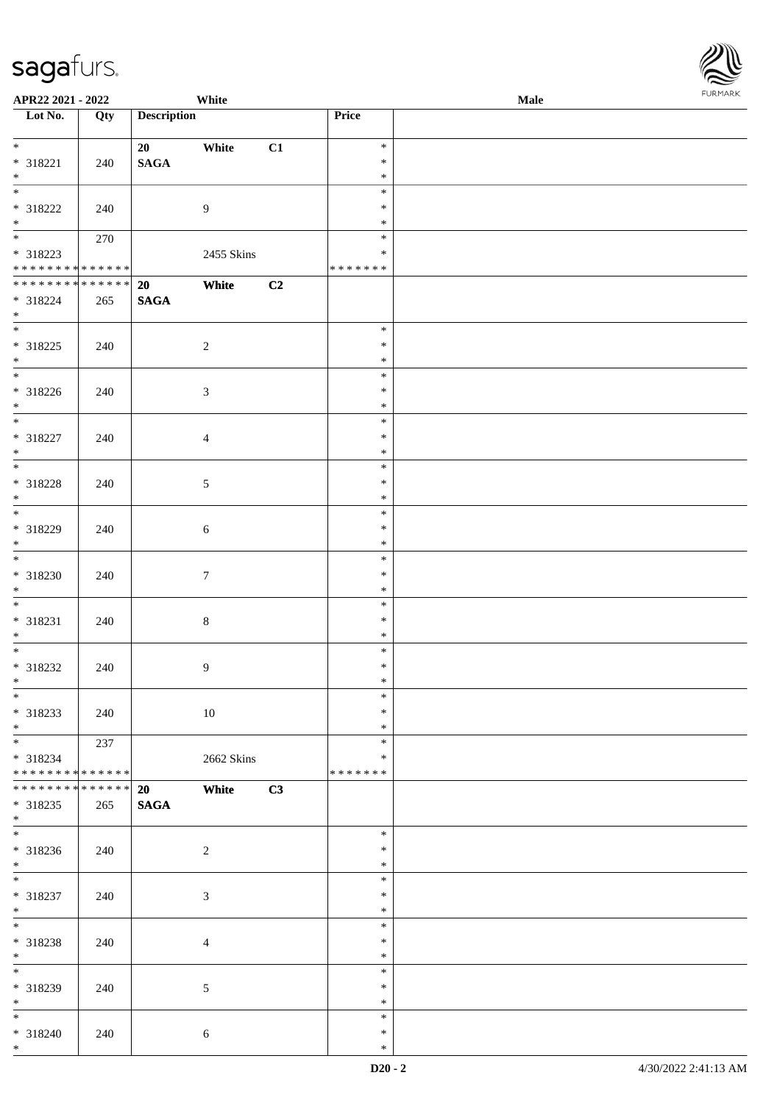| APR22 2021 - 2022                                                  |                    |                       | White            |    |                                   | <b>Male</b> |  |
|--------------------------------------------------------------------|--------------------|-----------------------|------------------|----|-----------------------------------|-------------|--|
| Lot No.                                                            | Qty                | <b>Description</b>    |                  |    | Price                             |             |  |
| $*$<br>* 318221<br>$*$                                             | 240                | 20<br>$\mathbf{SAGA}$ | White            | C1 | $\ast$<br>$\ast$<br>$\ast$        |             |  |
| $\overline{\mathbf{r}}$<br>* 318222<br>$*$                         | 240                |                       | $\overline{9}$   |    | $\ast$<br>$\ast$<br>$\ast$        |             |  |
| $\overline{\mathbf{r}}$<br>* 318223<br>* * * * * * * * * * * * * * | 270                |                       | 2455 Skins       |    | $\ast$<br>$\ast$<br>* * * * * * * |             |  |
| * * * * * * * * * * * * * *<br>* 318224<br>$*$                     | 265                | 20<br><b>SAGA</b>     | White            | C2 |                                   |             |  |
| * 318225<br>$*$                                                    | 240                |                       | $\sqrt{2}$       |    | $\ast$<br>$\ast$<br>$\ast$        |             |  |
| * 318226<br>$*$                                                    | 240                |                       | $\mathfrak{Z}$   |    | $\ast$<br>$\ast$<br>$\ast$        |             |  |
| * 318227<br>$*$                                                    | 240                |                       | $\overline{4}$   |    | $\ast$<br>$\ast$<br>$\ast$        |             |  |
| * 318228<br>$*$<br>$\overline{\phantom{0}}$                        | 240                |                       | 5                |    | $\ast$<br>$\ast$<br>$\ast$        |             |  |
| * 318229<br>$\ast$<br>$\overline{\ast}$                            | 240                |                       | $\sqrt{6}$       |    | $\ast$<br>$\ast$<br>$\ast$        |             |  |
| * 318230<br>$*$                                                    | 240                |                       | $\boldsymbol{7}$ |    | $\ast$<br>$\ast$<br>$\ast$        |             |  |
| * 318231<br>$*$                                                    | 240                |                       | $\,8\,$          |    | $\ast$<br>$\ast$<br>$\ast$        |             |  |
| * 318232<br>$*$ $-$<br>$\overline{\ast}$                           | 240                |                       | $\overline{9}$   |    | $\ast$<br>$\ast$<br>$\ast$        |             |  |
| * 318233<br>$*$<br>$\overline{\mathbf{r}}$                         | 240                |                       | 10               |    | $\ast$<br>$\ast$<br>$\ast$        |             |  |
| $* 318234$<br>* * * * * * * * <mark>* * * * * * *</mark>           | 237                |                       | 2662 Skins       |    | $\ast$<br>*<br>* * * * * * *      |             |  |
| * * * * * * * *<br>* 318235<br>$*$<br>$\overline{\mathbf{r}}$      | * * * * * *<br>265 | 20<br><b>SAGA</b>     | White            | C3 |                                   |             |  |
| * 318236<br>$*$<br>$*$                                             | 240                |                       | 2                |    | $\ast$<br>$\ast$<br>$\ast$        |             |  |
| * 318237<br>$*$                                                    | 240                |                       | $\mathfrak{Z}$   |    | $\ast$<br>$\ast$<br>$\ast$        |             |  |
| * 318238<br>$\ast$                                                 | 240                |                       | $\overline{4}$   |    | $\ast$<br>$\ast$<br>$\ast$        |             |  |
| * 318239<br>$*$                                                    | 240                |                       | 5                |    | $\ast$<br>$\ast$<br>$\ast$        |             |  |
| $*$<br>* 318240<br>$*$                                             | 240                |                       | 6                |    | $\ast$<br>$\ast$<br>$\ast$        |             |  |

**FURMA**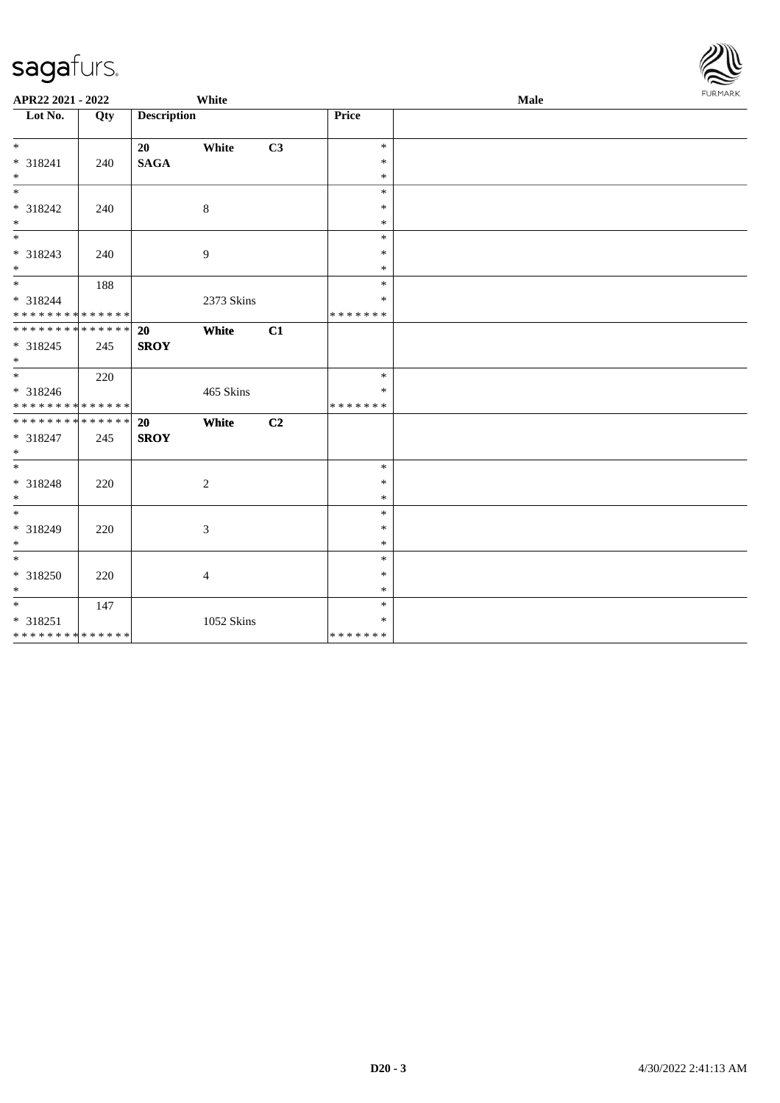| APR22 2021 - 2022                                             |     |                          | White      |    |                                   | Male | <b>FURMARK</b> |
|---------------------------------------------------------------|-----|--------------------------|------------|----|-----------------------------------|------|----------------|
| Lot No.                                                       | Qty | <b>Description</b>       |            |    | Price                             |      |                |
| $*$<br>* 318241<br>$*$                                        | 240 | 20<br><b>SAGA</b>        | White      | C3 | $\ast$<br>$\ast$<br>$\ast$        |      |                |
| $\overline{\phantom{0}}$<br>* 318242<br>$*$                   | 240 |                          | 8          |    | $\ast$<br>$\ast$<br>$\ast$        |      |                |
| * 318243<br>$*$                                               | 240 |                          | 9          |    | $\ast$<br>$\ast$<br>$\ast$        |      |                |
| $*$<br>* 318244<br>* * * * * * * * <mark>* * * * * * *</mark> | 188 |                          | 2373 Skins |    | $\ast$<br>$\ast$<br>* * * * * * * |      |                |
| * * * * * * * * <mark>* * * * * * *</mark><br>* 318245<br>$*$ | 245 | <b>20</b><br><b>SROY</b> | White      | C1 |                                   |      |                |
| $*$<br>* 318246<br>* * * * * * * * <mark>* * * * * *</mark>   | 220 |                          | 465 Skins  |    | $\ast$<br>$\ast$<br>* * * * * * * |      |                |
| **************<br>* 318247<br>$*$                             | 245 | 20<br><b>SROY</b>        | White      | C2 |                                   |      |                |
| $\ast$<br>* 318248<br>$*$                                     | 220 |                          | $\sqrt{2}$ |    | $\ast$<br>$\ast$<br>$\ast$        |      |                |
| $*$<br>* 318249<br>$*$                                        | 220 |                          | 3          |    | $\ast$<br>$\ast$<br>$\ast$        |      |                |
| $\ast$<br>* 318250<br>$\ast$                                  | 220 |                          | 4          |    | $\ast$<br>$\ast$<br>$\ast$        |      |                |
| $*$<br>* 318251<br>* * * * * * * * <mark>* * * * * * *</mark> | 147 |                          | 1052 Skins |    | $\ast$<br>$\ast$<br>* * * * * * * |      |                |

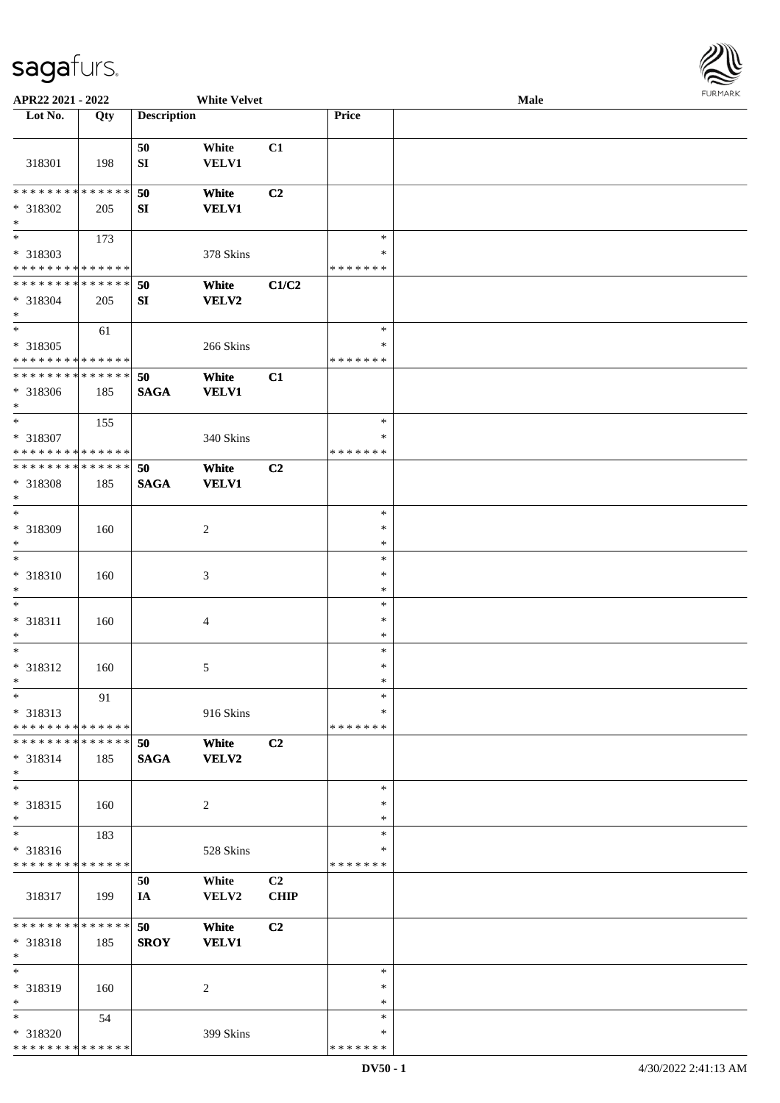

| APR22 2021 - 2022                          |     |                    | <b>White Velvet</b> |                |               | <b>Male</b> |  |
|--------------------------------------------|-----|--------------------|---------------------|----------------|---------------|-------------|--|
| Lot No.                                    | Qty | <b>Description</b> |                     |                | Price         |             |  |
|                                            |     |                    |                     |                |               |             |  |
|                                            |     | 50                 | White               | C1             |               |             |  |
| 318301                                     | 198 | SI                 | <b>VELV1</b>        |                |               |             |  |
|                                            |     |                    |                     |                |               |             |  |
| * * * * * * * * * * * * * *                |     | 50                 | White               | C <sub>2</sub> |               |             |  |
| * 318302                                   | 205 | SI                 | <b>VELV1</b>        |                |               |             |  |
| $\ast$                                     |     |                    |                     |                |               |             |  |
| $\overline{\phantom{0}}$                   | 173 |                    |                     |                | $\ast$        |             |  |
| * 318303                                   |     |                    | 378 Skins           |                | $\ast$        |             |  |
| * * * * * * * * * * * * * *                |     |                    |                     |                | * * * * * * * |             |  |
| ******** <mark>*****</mark> *              |     |                    |                     |                |               |             |  |
|                                            |     | 50                 | White               | C1/C2          |               |             |  |
| * 318304                                   | 205 | ${\bf SI}$         | <b>VELV2</b>        |                |               |             |  |
| $\ast$<br>$\ast$                           |     |                    |                     |                | $\ast$        |             |  |
|                                            | 61  |                    |                     |                |               |             |  |
| $* 318305$                                 |     |                    | 266 Skins           |                | $\ast$        |             |  |
| * * * * * * * * * * * * * *                |     |                    |                     |                | * * * * * * * |             |  |
| ******** <mark>*****</mark> *              |     | 50                 | White               | C1             |               |             |  |
| * 318306                                   | 185 | <b>SAGA</b>        | <b>VELV1</b>        |                |               |             |  |
| $\ast$                                     |     |                    |                     |                |               |             |  |
| $\ast$                                     | 155 |                    |                     |                | $\ast$        |             |  |
| * 318307                                   |     |                    | 340 Skins           |                | ∗             |             |  |
| * * * * * * * * * * * * * *                |     |                    |                     |                | * * * * * * * |             |  |
| * * * * * * * * * * * * * *                |     | 50                 | White               | C <sub>2</sub> |               |             |  |
| * 318308                                   | 185 | <b>SAGA</b>        | <b>VELV1</b>        |                |               |             |  |
| $\ast$                                     |     |                    |                     |                |               |             |  |
| $\ast$                                     |     |                    |                     |                | $\ast$        |             |  |
| * 318309                                   | 160 |                    | $\overline{c}$      |                | $\ast$        |             |  |
| $\ast$                                     |     |                    |                     |                | $\ast$        |             |  |
| $\ast$                                     |     |                    |                     |                | $\ast$        |             |  |
| * 318310                                   | 160 |                    | $\mathfrak{Z}$      |                | $\ast$        |             |  |
| $\ast$                                     |     |                    |                     |                | $\ast$        |             |  |
| $\ast$                                     |     |                    |                     |                | $\ast$        |             |  |
| * 318311                                   | 160 |                    | $\overline{4}$      |                | $\ast$        |             |  |
| $\ast$                                     |     |                    |                     |                | $\ast$        |             |  |
| $\ast$                                     |     |                    |                     |                | $\ast$        |             |  |
|                                            |     |                    |                     |                | $\ast$        |             |  |
| $* 318312$<br>$\ast$                       | 160 |                    | 5                   |                | $\ast$        |             |  |
| $*$                                        |     |                    |                     |                | $\ast$        |             |  |
|                                            | 91  |                    |                     |                |               |             |  |
| * 318313                                   |     |                    | 916 Skins           |                | ∗             |             |  |
| * * * * * * * * <mark>* * * * * * *</mark> |     |                    |                     |                | * * * * * * * |             |  |
| * * * * * * * * * * * * * * *              |     | 50                 | White               | C <sub>2</sub> |               |             |  |
| $* 318314$                                 | 185 | <b>SAGA</b>        | <b>VELV2</b>        |                |               |             |  |
| $\ast$                                     |     |                    |                     |                |               |             |  |
| $\ast$                                     |     |                    |                     |                | $\ast$        |             |  |
| * 318315                                   | 160 |                    | $\overline{c}$      |                | $\ast$        |             |  |
| $\ast$                                     |     |                    |                     |                | $\ast$        |             |  |
| $\ast$                                     | 183 |                    |                     |                | $\ast$        |             |  |
| * 318316                                   |     |                    | 528 Skins           |                | ∗             |             |  |
| * * * * * * * * * * * * * *                |     |                    |                     |                | * * * * * * * |             |  |
|                                            |     | 50                 | White               | C2             |               |             |  |
| 318317                                     | 199 | IA                 | VELV2               | <b>CHIP</b>    |               |             |  |
|                                            |     |                    |                     |                |               |             |  |
| * * * * * * * * * * * * * *                |     | 50                 | White               | C2             |               |             |  |
| * 318318                                   | 185 | <b>SROY</b>        | <b>VELV1</b>        |                |               |             |  |
| $\ast$                                     |     |                    |                     |                |               |             |  |
| $\ast$                                     |     |                    |                     |                | $\ast$        |             |  |
| * 318319                                   | 160 |                    | 2                   |                | ∗             |             |  |
| $\ast$                                     |     |                    |                     |                | $\ast$        |             |  |
| $*$                                        | 54  |                    |                     |                | $\ast$        |             |  |
| * 318320                                   |     |                    | 399 Skins           |                | ∗             |             |  |
| * * * * * * * * * * * * * *                |     |                    |                     |                | * * * * * * * |             |  |
|                                            |     |                    |                     |                |               |             |  |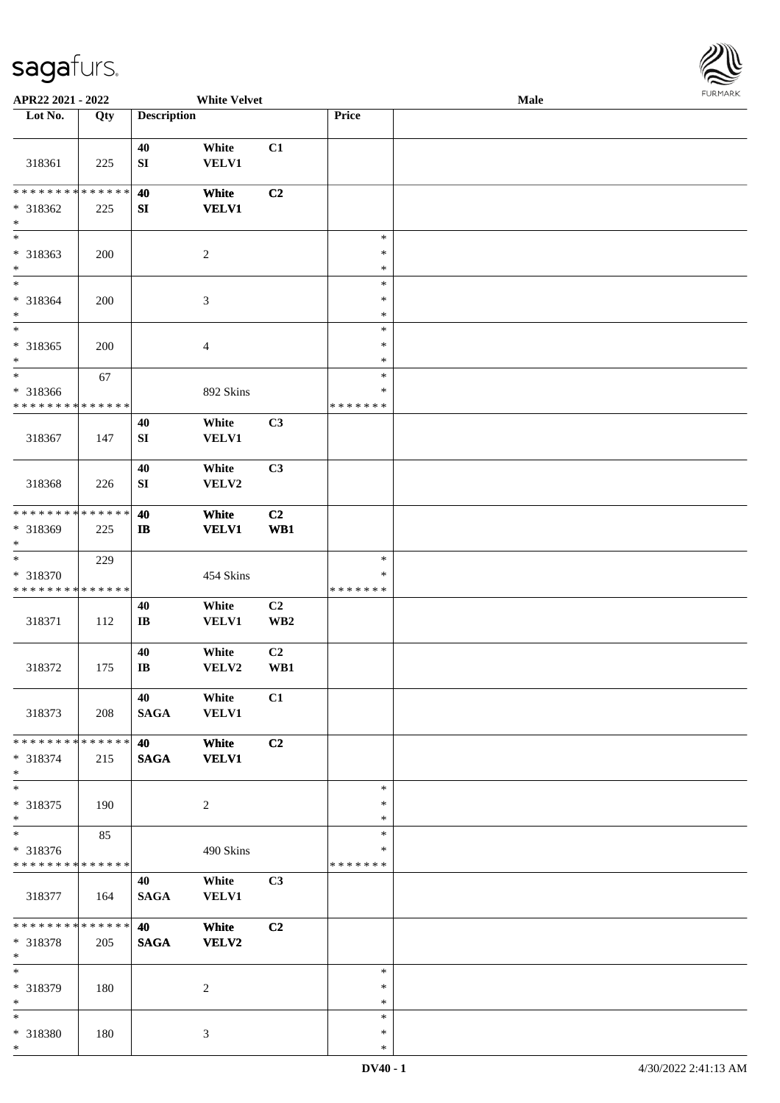\*



| APR22 2021 - 2022                       |     |                              | <b>White Velvet</b>      |                       |                         | <b>Male</b> |  |
|-----------------------------------------|-----|------------------------------|--------------------------|-----------------------|-------------------------|-------------|--|
| Lot No.                                 | Qty | <b>Description</b>           |                          |                       | Price                   |             |  |
|                                         |     | 40                           | White                    | C1                    |                         |             |  |
| 318361                                  | 225 | SI                           | VELV1                    |                       |                         |             |  |
| * * * * * * * * * * * * * *             |     | 40                           | White                    | C <sub>2</sub>        |                         |             |  |
| * 318362<br>$\ast$                      | 225 | SI                           | <b>VELV1</b>             |                       |                         |             |  |
| $\overline{\ast}$                       |     |                              |                          |                       | $\ast$                  |             |  |
| * 318363<br>$*$                         | 200 |                              | $\boldsymbol{2}$         |                       | $\ast$<br>$\ast$        |             |  |
| $\ast$                                  |     |                              |                          |                       | $\ast$                  |             |  |
| * 318364<br>$\ast$                      | 200 |                              | $\mathfrak{Z}$           |                       | $\ast$<br>$\ast$        |             |  |
| $*$                                     |     |                              |                          |                       | $\ast$                  |             |  |
| $* 318365$<br>$\ast$                    | 200 |                              | $\overline{\mathcal{A}}$ |                       | $\ast$<br>$\ast$        |             |  |
| $*$                                     | 67  |                              |                          |                       | $\ast$                  |             |  |
| * 318366<br>* * * * * * * * * * * * * * |     |                              | 892 Skins                |                       | $\ast$<br>* * * * * * * |             |  |
|                                         |     | 40                           | White                    | C3                    |                         |             |  |
| 318367                                  | 147 | ${\bf S}{\bf I}$             | <b>VELV1</b>             |                       |                         |             |  |
|                                         |     | 40                           | White                    | C3                    |                         |             |  |
| 318368                                  | 226 | SI                           | VELV2                    |                       |                         |             |  |
| * * * * * * * * * * * * * *             |     | 40                           | White                    | C2                    |                         |             |  |
| * 318369<br>$*$                         | 225 | $\mathbf{I}$                 | <b>VELV1</b>             | WB1                   |                         |             |  |
| $\ast$                                  | 229 |                              |                          |                       | $\ast$                  |             |  |
| * 318370                                |     |                              | 454 Skins                |                       | $\ast$                  |             |  |
| * * * * * * * * * * * * * *             |     |                              |                          |                       | * * * * * * *           |             |  |
| 318371                                  | 112 | 40<br>$\mathbf{I}\mathbf{B}$ | White<br><b>VELV1</b>    | C2<br>WB <sub>2</sub> |                         |             |  |
|                                         |     | 40                           | White                    | C <sub>2</sub>        |                         |             |  |
| 318372                                  | 175 | $\bf I\bf B$                 | VELV2                    | WB1                   |                         |             |  |
|                                         |     | 40                           | White                    | C1                    |                         |             |  |
| 318373                                  | 208 | <b>SAGA</b>                  | VELV1                    |                       |                         |             |  |
| * * * * * * * * * * * * * * *           |     | 40                           | White                    | C2                    |                         |             |  |
| * 318374<br>$*$                         | 215 | <b>SAGA</b>                  | <b>VELV1</b>             |                       |                         |             |  |
| $*$                                     |     |                              |                          |                       | $\ast$                  |             |  |
| * 318375<br>$*$                         | 190 |                              | 2                        |                       | $\ast$<br>$\ast$        |             |  |
|                                         | 85  |                              |                          |                       | $\ast$                  |             |  |
| * 318376                                |     |                              | 490 Skins                |                       | ∗                       |             |  |
| * * * * * * * * * * * * * *             |     |                              |                          |                       | *******                 |             |  |
| 318377                                  | 164 | 40<br><b>SAGA</b>            | White<br><b>VELV1</b>    | C3                    |                         |             |  |
| ******** <mark>******</mark>            |     | 40                           | White                    | C2                    |                         |             |  |
| * 318378<br>$*$                         | 205 | <b>SAGA</b>                  | <b>VELV2</b>             |                       |                         |             |  |
| $*$                                     |     |                              |                          |                       | $\ast$                  |             |  |
| * 318379<br>$*$                         | 180 |                              | 2                        |                       | $\ast$<br>$\ast$        |             |  |
| $*$                                     |     |                              |                          |                       | $\ast$                  |             |  |
| * 318380                                | 180 |                              | 3                        |                       | $\ast$                  |             |  |
| $*$                                     |     |                              |                          |                       | $\ast$                  |             |  |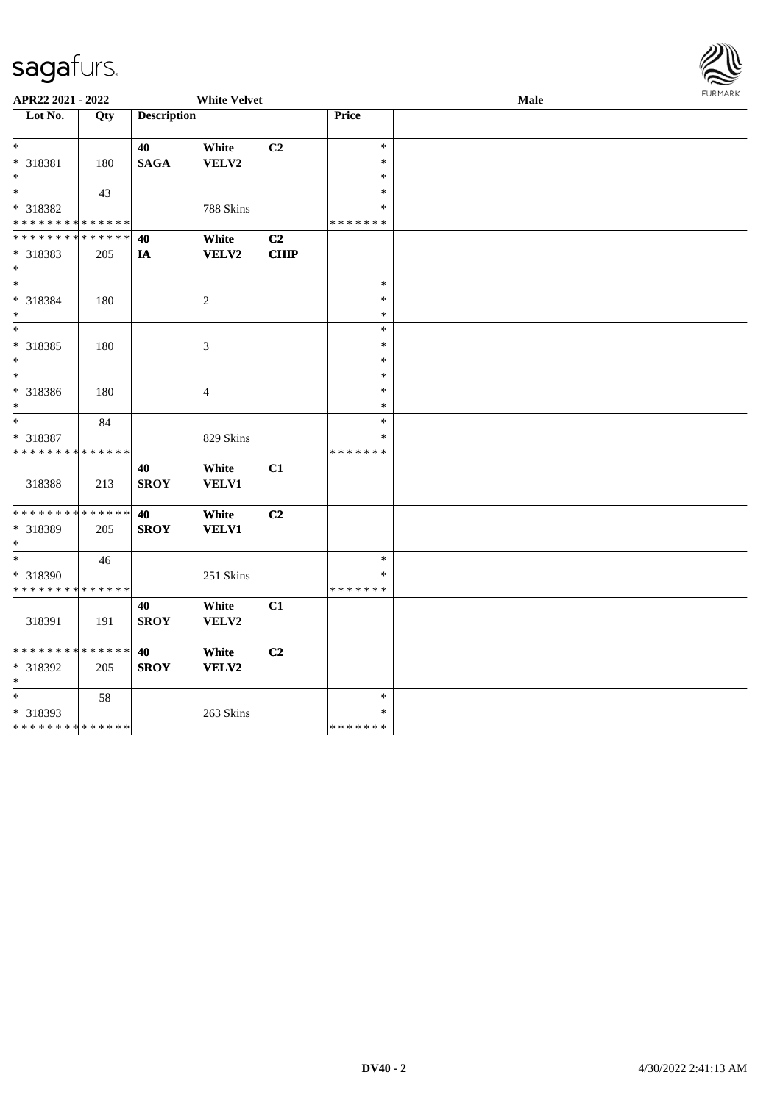\* \*

\* 318393

\* \* \* \* \* \* \* \* \* \* \* \* \* \*

58

263 Skins

| $\sim$                                  |     |                    |                     |                |                         |      | $\tilde{\epsilon}$ |
|-----------------------------------------|-----|--------------------|---------------------|----------------|-------------------------|------|--------------------|
| APR22 2021 - 2022                       |     |                    | <b>White Velvet</b> |                |                         | Male | <b>FURMAR</b>      |
| $\overline{\phantom{1}}$ Lot No.        | Qty | <b>Description</b> |                     |                | Price                   |      |                    |
| $\ast$                                  |     | 40                 | White               | C2             | $\ast$                  |      |                    |
| * 318381                                | 180 | <b>SAGA</b>        | VELV2               |                | $\ast$                  |      |                    |
| $\ast$                                  |     |                    |                     |                | $\ast$                  |      |                    |
| $\overline{\phantom{1}}$                | 43  |                    |                     |                | $\ast$                  |      |                    |
| * 318382<br>* * * * * * * * * * * * * * |     |                    | 788 Skins           |                | $\ast$<br>* * * * * * * |      |                    |
| **************                          |     | 40                 | White               | C <sub>2</sub> |                         |      |                    |
| * 318383                                | 205 | IA                 | VELV2               | <b>CHIP</b>    |                         |      |                    |
| $\ast$                                  |     |                    |                     |                |                         |      |                    |
| $*$                                     |     |                    |                     |                | $\ast$                  |      |                    |
| * 318384                                | 180 |                    | $\overline{c}$      |                | $\ast$                  |      |                    |
| $\ast$                                  |     |                    |                     |                | $\ast$                  |      |                    |
| $\frac{1}{1}$                           |     |                    |                     |                | $\ast$                  |      |                    |
| * 318385                                | 180 |                    | $\mathfrak{Z}$      |                | $\ast$                  |      |                    |
| $\ast$<br>$\overline{\phantom{0}}$      |     |                    |                     |                | $\ast$                  |      |                    |
|                                         |     |                    |                     |                | $\ast$<br>$\ast$        |      |                    |
| $* 318386$<br>$\ast$                    | 180 |                    | $\overline{4}$      |                | $\ast$                  |      |                    |
| $_{\ast}$                               | 84  |                    |                     |                | $\ast$                  |      |                    |
| * 318387                                |     |                    | 829 Skins           |                | ∗                       |      |                    |
| * * * * * * * * * * * * * *             |     |                    |                     |                | * * * * * * *           |      |                    |
|                                         |     | 40                 | White               | C1             |                         |      |                    |
| 318388                                  | 213 | <b>SROY</b>        | VELV1               |                |                         |      |                    |
| **************                          |     | 40                 | White               | C <sub>2</sub> |                         |      |                    |
| * 318389                                | 205 | <b>SROY</b>        | <b>VELV1</b>        |                |                         |      |                    |
| $*$                                     |     |                    |                     |                |                         |      |                    |
| $\ast$                                  | 46  |                    |                     |                | $\ast$                  |      |                    |
| * 318390                                |     |                    | 251 Skins           |                | $\ast$                  |      |                    |
| * * * * * * * * * * * * * *             |     |                    |                     |                | * * * * * * *           |      |                    |
|                                         |     | 40                 | White               | C1             |                         |      |                    |
| 318391                                  | 191 | <b>SROY</b>        | VELV2               |                |                         |      |                    |
| ******** <mark>******</mark>            |     | 40                 | White               | C2             |                         |      |                    |
| * 318392                                | 205 | <b>SROY</b>        | VELV2               |                |                         |      |                    |

\* \*

\* \* \* \* \* \* \*

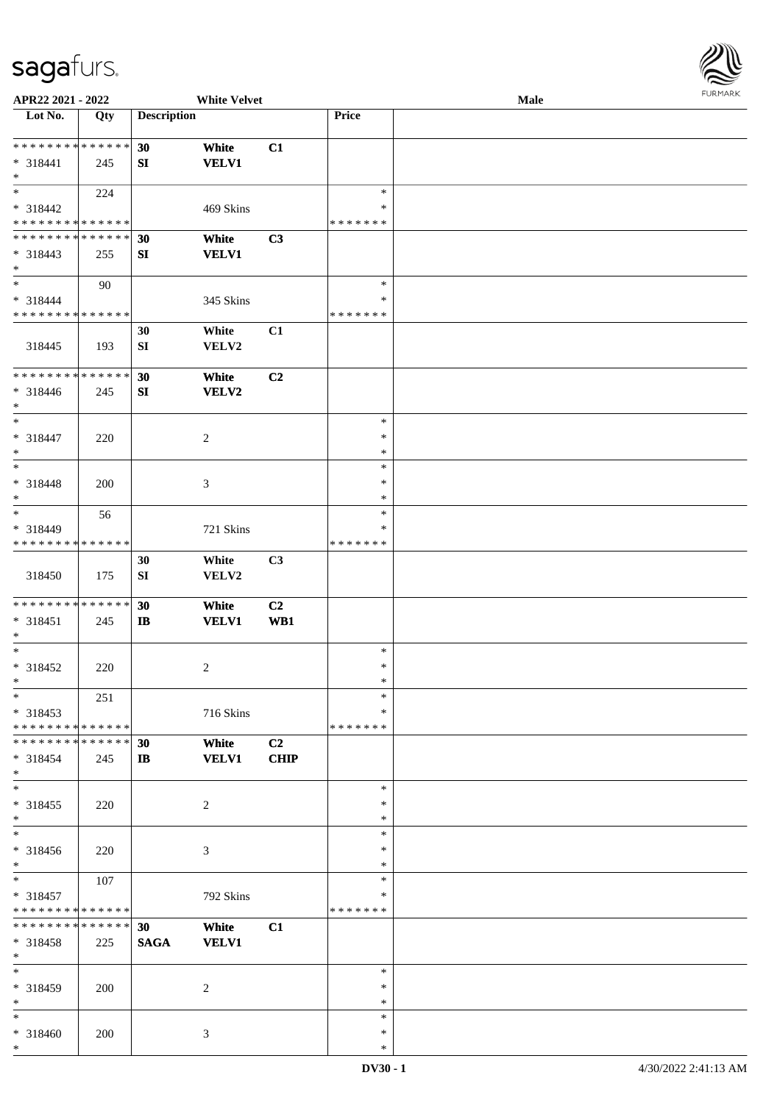

| APR22 2021 - 2022             |     |                    | <b>White Velvet</b> |                |               | Male | . |
|-------------------------------|-----|--------------------|---------------------|----------------|---------------|------|---|
| Lot No.                       | Qty | <b>Description</b> |                     |                | Price         |      |   |
|                               |     |                    |                     |                |               |      |   |
| **************                |     | 30                 | White               | C1             |               |      |   |
| * 318441                      | 245 | SI                 | <b>VELV1</b>        |                |               |      |   |
| $\ast$                        |     |                    |                     |                |               |      |   |
| $\overline{\phantom{a}^*}$    |     |                    |                     |                | $\ast$        |      |   |
|                               | 224 |                    |                     |                |               |      |   |
| * 318442                      |     |                    | 469 Skins           |                | ∗             |      |   |
| * * * * * * * * * * * * * *   |     |                    |                     |                | * * * * * * * |      |   |
| * * * * * * * * * * * * * * * |     | 30                 | White               | C3             |               |      |   |
| $* 318443$                    | 255 | SI                 | <b>VELV1</b>        |                |               |      |   |
| $\ast$                        |     |                    |                     |                |               |      |   |
| $\overline{\phantom{0}}$      | 90  |                    |                     |                | $\ast$        |      |   |
| * 318444                      |     |                    | 345 Skins           |                | ∗             |      |   |
| * * * * * * * * * * * * * *   |     |                    |                     |                | * * * * * * * |      |   |
|                               |     |                    |                     |                |               |      |   |
|                               |     | 30                 | White               | C1             |               |      |   |
| 318445                        | 193 | SI                 | VELV2               |                |               |      |   |
|                               |     |                    |                     |                |               |      |   |
| **************                |     | 30                 | White               | C2             |               |      |   |
| $* 318446$                    | 245 | SI                 | <b>VELV2</b>        |                |               |      |   |
| $\ast$                        |     |                    |                     |                |               |      |   |
| $\ast$                        |     |                    |                     |                | $\ast$        |      |   |
| * 318447                      |     |                    | $\overline{c}$      |                | ∗             |      |   |
| $\ast$                        | 220 |                    |                     |                | $\ast$        |      |   |
| $_{\ast}^{-}$                 |     |                    |                     |                |               |      |   |
|                               |     |                    |                     |                | $\ast$        |      |   |
| * 318448                      | 200 |                    | 3                   |                | $\ast$        |      |   |
| $\ast$                        |     |                    |                     |                | $\ast$        |      |   |
| $*$                           | 56  |                    |                     |                | $\ast$        |      |   |
| * 318449                      |     |                    | 721 Skins           |                | ∗             |      |   |
| * * * * * * * * * * * * * *   |     |                    |                     |                | * * * * * * * |      |   |
|                               |     | 30                 | White               | C3             |               |      |   |
|                               |     |                    |                     |                |               |      |   |
| 318450                        | 175 | ${\bf S}{\bf I}$   | VELV2               |                |               |      |   |
|                               |     |                    |                     |                |               |      |   |
| **************                |     | 30                 | White               | C <sub>2</sub> |               |      |   |
| $* 318451$                    | 245 | $\bf I\bf B$       | <b>VELV1</b>        | WB1            |               |      |   |
| $\ast$                        |     |                    |                     |                |               |      |   |
| $*$                           |     |                    |                     |                | $\ast$        |      |   |
| $* 318452$                    | 220 |                    | $\overline{c}$      |                | $\ast$        |      |   |
| $*$                           |     |                    |                     |                | $\ast$        |      |   |
| $*$                           | 251 |                    |                     |                | $\ast$        |      |   |
| $*318453$                     |     |                    | 716 Skins           |                | ∗             |      |   |
| * * * * * * * * * * * * * * * |     |                    |                     |                | * * * * * * * |      |   |
| * * * * * * * * * * * * * * * |     |                    |                     |                |               |      |   |
|                               |     | 30                 | White               | C <sub>2</sub> |               |      |   |
| $* 318454$                    | 245 | $\mathbf{I}$       | <b>VELV1</b>        | <b>CHIP</b>    |               |      |   |
| $*$                           |     |                    |                     |                |               |      |   |
| $*$                           |     |                    |                     |                | $\ast$        |      |   |
| $* 318455$                    | 220 |                    | $\overline{c}$      |                | ∗             |      |   |
| $*$                           |     |                    |                     |                | $\ast$        |      |   |
| $\ast$                        |     |                    |                     |                | $\ast$        |      |   |
| * 318456                      | 220 |                    | 3                   |                | $\ast$        |      |   |
| $*$                           |     |                    |                     |                | ∗             |      |   |
| $\overline{\phantom{0}}$      | 107 |                    |                     |                | $\ast$        |      |   |
|                               |     |                    |                     |                |               |      |   |
| * 318457                      |     |                    | 792 Skins           |                | ∗             |      |   |
| * * * * * * * * * * * * * *   |     |                    |                     |                | * * * * * * * |      |   |
| **************                |     | 30                 | White               | C1             |               |      |   |
| * 318458                      | 225 | <b>SAGA</b>        | <b>VELV1</b>        |                |               |      |   |
| $*$                           |     |                    |                     |                |               |      |   |
| $*$                           |     |                    |                     |                | $\ast$        |      |   |
| * 318459                      | 200 |                    | 2                   |                | $\ast$        |      |   |
| $*$                           |     |                    |                     |                | ∗             |      |   |
| $\overline{\ast}$             |     |                    |                     |                | $\ast$        |      |   |
|                               |     |                    |                     |                | $\ast$        |      |   |
| * 318460                      | 200 |                    | 3                   |                |               |      |   |
| $*$                           |     |                    |                     |                | $\ast$        |      |   |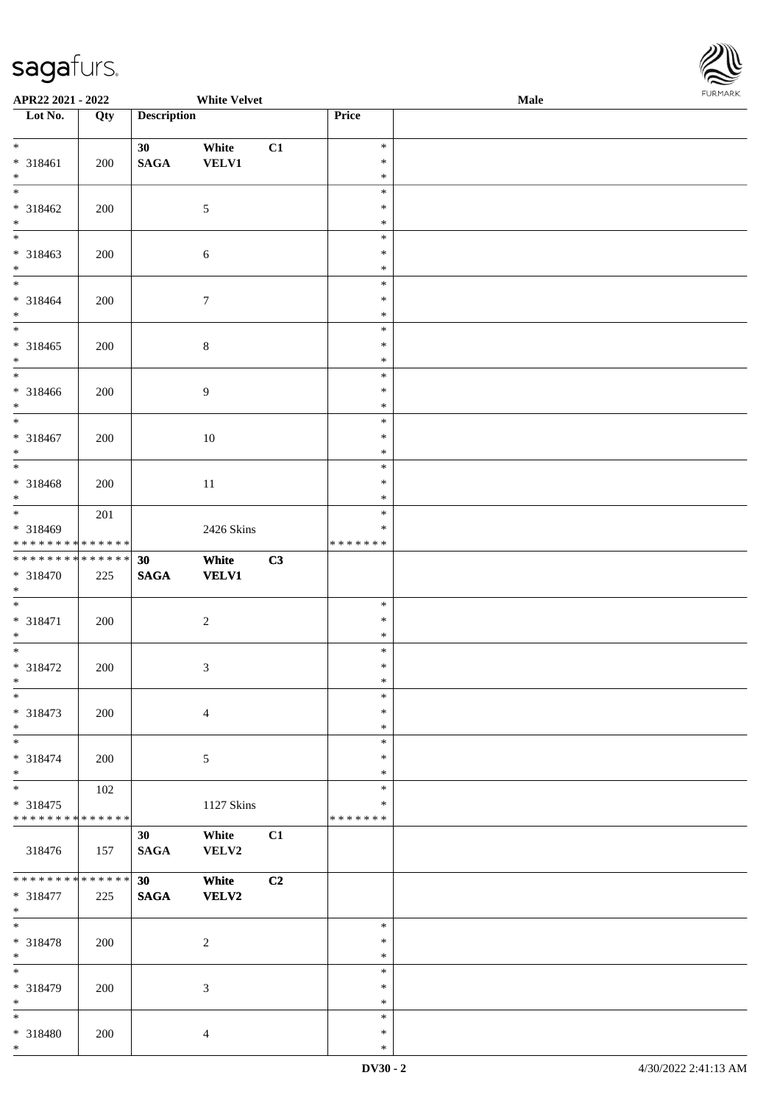

| APR22 2021 - 2022                                             |     |                                    | <b>White Velvet</b>   |    |                                   | <b>Male</b> |  |
|---------------------------------------------------------------|-----|------------------------------------|-----------------------|----|-----------------------------------|-------------|--|
| Lot No.                                                       | Qty | <b>Description</b>                 |                       |    | Price                             |             |  |
| $*$<br>* 318461<br>$*$                                        | 200 | 30 <sup>°</sup><br>$\mathbf{SAGA}$ | White<br><b>VELV1</b> | C1 | $\ast$<br>$\ast$<br>$\ast$        |             |  |
| $\overline{\ }$<br>* 318462<br>$*$                            | 200 |                                    | $\mathfrak{S}$        |    | $\ast$<br>$\ast$<br>$\ast$        |             |  |
| * 318463<br>$*$<br>$\overline{\ast}$                          | 200 |                                    | 6                     |    | $\ast$<br>$\ast$<br>$\ast$        |             |  |
| * 318464<br>$*$                                               | 200 |                                    | $\boldsymbol{7}$      |    | $\ast$<br>$\ast$<br>$\ast$        |             |  |
| $\overline{\phantom{0}}$<br>* 318465<br>$*$                   | 200 |                                    | $\,8\,$               |    | $\ast$<br>$\ast$<br>$\ast$        |             |  |
| * 318466<br>$*$                                               | 200 |                                    | $\overline{9}$        |    | $\ast$<br>$\ast$<br>$\ast$        |             |  |
| $* 318467$<br>$*$                                             | 200 |                                    | 10                    |    | $\ast$<br>$\ast$<br>$\ast$        |             |  |
| * 318468<br>$*$                                               | 200 |                                    | 11                    |    | $\ast$<br>$\ast$<br>$\ast$        |             |  |
| * 318469<br>* * * * * * * * <mark>* * * * * * *</mark>        | 201 |                                    | 2426 Skins            |    | $\ast$<br>$\ast$<br>* * * * * * * |             |  |
| **************<br>* 318470<br>$*$                             | 225 | 30<br><b>SAGA</b>                  | White<br><b>VELV1</b> | C3 |                                   |             |  |
| * 318471<br>$*$                                               | 200 |                                    | $\overline{c}$        |    | $\ast$<br>$\ast$<br>$\ast$        |             |  |
| $*$<br>* 318472<br>$\ddot{x}$                                 | 200 |                                    | $\mathfrak{Z}$        |    | $\ast$<br>$\ast$<br>$\ast$        |             |  |
| $\ast$<br>* 318473<br>$*$                                     | 200 |                                    | $\overline{4}$        |    | $\ast$<br>$\ast$<br>$\ast$        |             |  |
| $\ast$<br>* 318474<br>$\ast$                                  | 200 |                                    | $\mathfrak{S}$        |    | $\ast$<br>$\ast$<br>$\ast$        |             |  |
| * 318475<br>* * * * * * * * <mark>* * * * * * *</mark>        | 102 |                                    | 1127 Skins            |    | $\ast$<br>∗<br>* * * * * * *      |             |  |
| 318476                                                        | 157 | 30<br><b>SAGA</b>                  | White<br>VELV2        | C1 |                                   |             |  |
| * * * * * * * * <mark>* * * * * * *</mark><br>* 318477<br>$*$ | 225 | 30 <sup>1</sup><br><b>SAGA</b>     | White<br>VELV2        | C2 |                                   |             |  |
| $*$<br>* 318478<br>$*$                                        | 200 |                                    | $\overline{c}$        |    | $\ast$<br>$\ast$<br>$\ast$        |             |  |
| * 318479<br>$*$                                               | 200 |                                    | $\mathfrak{Z}$        |    | $\ast$<br>$\ast$<br>$\ast$        |             |  |
| $*$<br>* 318480<br>$\ast$                                     | 200 |                                    | $\overline{4}$        |    | $\ast$<br>$\ast$<br>$\ast$        |             |  |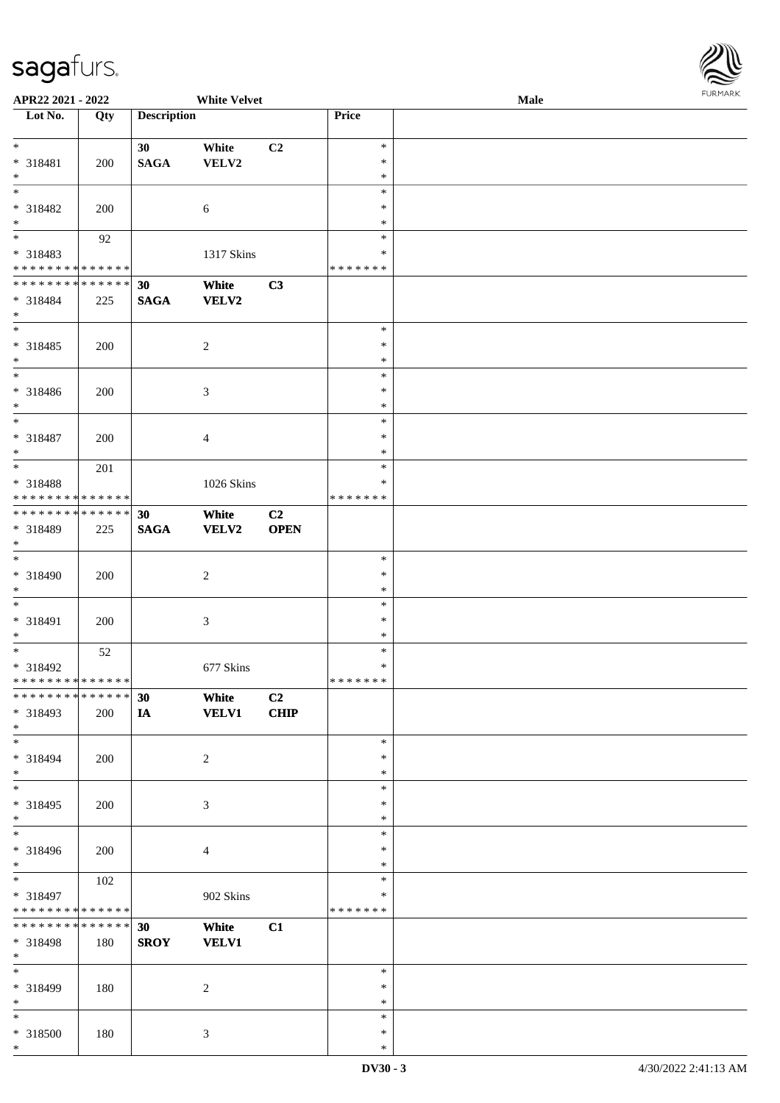

| APR22 2021 - 2022                          |               |                    | <b>White Velvet</b> |                |               | <b>Male</b> |
|--------------------------------------------|---------------|--------------------|---------------------|----------------|---------------|-------------|
| Lot No.                                    | Qty           | <b>Description</b> |                     |                | Price         |             |
|                                            |               |                    |                     |                |               |             |
| $*$                                        |               | 30                 | White               | C2             | $\ast$        |             |
|                                            |               |                    |                     |                | $\ast$        |             |
| * 318481                                   | 200           | <b>SAGA</b>        | VELV2               |                |               |             |
| $*$                                        |               |                    |                     |                | $\ast$        |             |
|                                            |               |                    |                     |                | $\ast$        |             |
| * 318482                                   | 200           |                    | 6                   |                | $\ast$        |             |
| $*$                                        |               |                    |                     |                | $\ast$        |             |
|                                            |               |                    |                     |                | $\ast$        |             |
|                                            | 92            |                    |                     |                |               |             |
| * 318483                                   |               |                    | 1317 Skins          |                | $\ast$        |             |
| * * * * * * * * <mark>* * * * * * *</mark> |               |                    |                     |                | * * * * * * * |             |
| * * * * * * * * <mark>* * * * * * *</mark> |               | 30                 | White               | C3             |               |             |
| * 318484                                   |               |                    |                     |                |               |             |
|                                            | 225           | <b>SAGA</b>        | <b>VELV2</b>        |                |               |             |
| $*$                                        |               |                    |                     |                |               |             |
|                                            |               |                    |                     |                | $\ast$        |             |
| * 318485                                   | 200           |                    | $\overline{c}$      |                | $\ast$        |             |
| $\ast$                                     |               |                    |                     |                | $\ast$        |             |
| $\overline{\phantom{0}}$                   |               |                    |                     |                |               |             |
|                                            |               |                    |                     |                | $\ast$        |             |
| * 318486                                   | 200           |                    | $\mathfrak{Z}$      |                | $\ast$        |             |
| $*$                                        |               |                    |                     |                | $\ast$        |             |
|                                            |               |                    |                     |                | $\ast$        |             |
|                                            |               |                    |                     |                | $\ast$        |             |
| * 318487                                   | 200           |                    | $\overline{4}$      |                |               |             |
| $*$                                        |               |                    |                     |                | $\ast$        |             |
| $\overline{\ast}$                          | 201           |                    |                     |                | $\ast$        |             |
| * 318488                                   |               |                    | 1026 Skins          |                | ∗             |             |
| * * * * * * * * * * * * * *                |               |                    |                     |                | * * * * * * * |             |
|                                            |               |                    |                     |                |               |             |
| * * * * * * * * * * * * * * *              |               | 30                 | White               | C <sub>2</sub> |               |             |
| * 318489                                   | 225           | <b>SAGA</b>        | <b>VELV2</b>        | <b>OPEN</b>    |               |             |
| $*$                                        |               |                    |                     |                |               |             |
| $\overline{\phantom{0}}$                   |               |                    |                     |                | $\ast$        |             |
|                                            |               |                    |                     |                |               |             |
| * 318490                                   | 200           |                    | $\sqrt{2}$          |                | $\ast$        |             |
| $*$                                        |               |                    |                     |                | $\ast$        |             |
| $*$                                        |               |                    |                     |                | $\ast$        |             |
| * 318491                                   |               |                    |                     |                | $\ast$        |             |
|                                            | 200           |                    | $\mathfrak{Z}$      |                |               |             |
| $*$                                        |               |                    |                     |                | $\ast$        |             |
| $*$                                        | 52            |                    |                     |                | $\ast$        |             |
| * 318492                                   |               |                    | 677 Skins           |                | $\ast$        |             |
| * * * * * * * * <mark>* * * * * * *</mark> |               |                    |                     |                | * * * * * * * |             |
| ******** <mark>******</mark>               |               |                    |                     |                |               |             |
|                                            |               | 30                 | White               | C <sub>2</sub> |               |             |
| * 318493                                   | 200           | IA                 | <b>VELV1</b>        | CHIP           |               |             |
| $*$                                        |               |                    |                     |                |               |             |
| $*$                                        |               |                    |                     |                | $\ast$        |             |
|                                            |               |                    |                     |                |               |             |
| * 318494                                   | 200           |                    | $\overline{c}$      |                | $\ast$        |             |
| $\ast$                                     |               |                    |                     |                | $\ast$        |             |
| $\overline{\phantom{0}}$                   |               |                    |                     |                | $\ast$        |             |
| * 318495                                   | 200           |                    | 3                   |                | $\ast$        |             |
| $*$                                        |               |                    |                     |                | $\ast$        |             |
| $_{*}$                                     |               |                    |                     |                |               |             |
|                                            |               |                    |                     |                | $\ast$        |             |
| * 318496                                   | 200           |                    | $\overline{4}$      |                | $\ast$        |             |
| $*$                                        |               |                    |                     |                | $\ast$        |             |
|                                            | 102           |                    |                     |                | $\ast$        |             |
|                                            |               |                    |                     |                | $\ast$        |             |
| * 318497                                   |               |                    | 902 Skins           |                |               |             |
| * * * * * * * * <mark>* * * * * * *</mark> |               |                    |                     |                | * * * * * * * |             |
| * * * * * * * *                            | * * * * * * * | 30                 | White               | C1             |               |             |
| * 318498                                   | 180           | <b>SROY</b>        | <b>VELV1</b>        |                |               |             |
| $*$                                        |               |                    |                     |                |               |             |
|                                            |               |                    |                     |                |               |             |
| $*$                                        |               |                    |                     |                | $\ast$        |             |
| * 318499                                   | 180           |                    | 2                   |                | $\ast$        |             |
| $*$                                        |               |                    |                     |                | $\ast$        |             |
| $*$                                        |               |                    |                     |                | $\ast$        |             |
|                                            |               |                    |                     |                |               |             |
| * 318500                                   | 180           |                    | $\mathfrak{Z}$      |                | ∗             |             |
| $*$                                        |               |                    |                     |                | $\ast$        |             |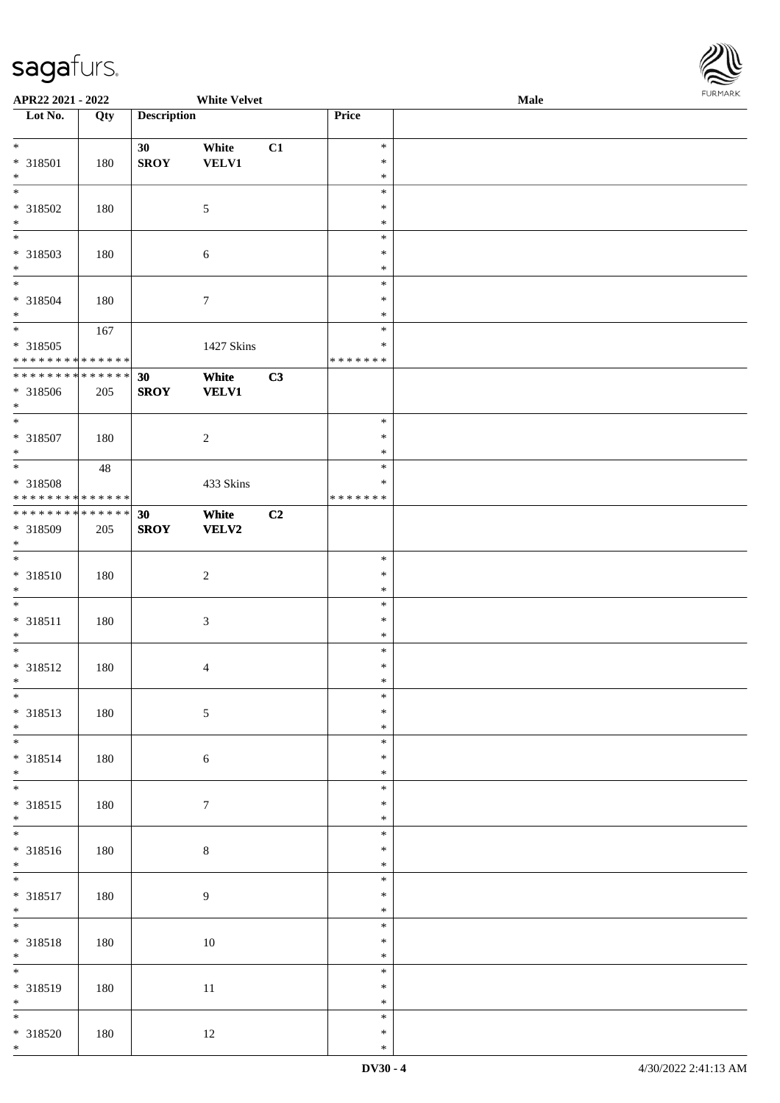

| APR22 2021 - 2022                          |     |                    | <b>White Velvet</b> |    |               | Male |  |
|--------------------------------------------|-----|--------------------|---------------------|----|---------------|------|--|
| Lot No.                                    | Qty | <b>Description</b> |                     |    | Price         |      |  |
|                                            |     |                    |                     |    |               |      |  |
| $*$                                        |     | 30                 | White               | C1 | $\ast$        |      |  |
| * 318501                                   | 180 | <b>SROY</b>        | <b>VELV1</b>        |    | $\ast$        |      |  |
| $\ast$                                     |     |                    |                     |    | $\ast$        |      |  |
|                                            |     |                    |                     |    | $\ast$        |      |  |
| * 318502                                   | 180 |                    | $\mathfrak{S}$      |    | $\ast$        |      |  |
| $\ast$                                     |     |                    |                     |    | $\ast$        |      |  |
| $\overline{\phantom{0}}$                   |     |                    |                     |    | $\ast$        |      |  |
| * 318503                                   | 180 |                    | 6                   |    | $\ast$        |      |  |
| $*$                                        |     |                    |                     |    | $\ast$        |      |  |
| $\overline{\ast}$                          |     |                    |                     |    | $\ast$        |      |  |
| * 318504                                   | 180 |                    | $\boldsymbol{7}$    |    | $\ast$        |      |  |
| $*$                                        |     |                    |                     |    | $\ast$        |      |  |
| $\overline{\ast}$                          | 167 |                    |                     |    | $\ast$        |      |  |
| * 318505                                   |     |                    | 1427 Skins          |    | $\ast$        |      |  |
| * * * * * * * * <mark>* * * * * * *</mark> |     |                    |                     |    | * * * * * * * |      |  |
| * * * * * * * * * * * * * * *              |     | 30                 | White               | C3 |               |      |  |
| * 318506                                   | 205 | <b>SROY</b>        | <b>VELV1</b>        |    |               |      |  |
| $*$                                        |     |                    |                     |    |               |      |  |
| $\overline{\ast}$                          |     |                    |                     |    | $\ast$        |      |  |
| * 318507                                   | 180 |                    | $\sqrt{2}$          |    | $\ast$        |      |  |
| $\ast$                                     |     |                    |                     |    | $\ast$        |      |  |
|                                            | 48  |                    |                     |    | $\ast$        |      |  |
| * 318508                                   |     |                    | 433 Skins           |    | $\ast$        |      |  |
| ******** <mark>******</mark>               |     |                    |                     |    | * * * * * * * |      |  |
| * * * * * * * * <mark>* * * * * * *</mark> |     | 30                 | White               | C2 |               |      |  |
| * 318509                                   | 205 | <b>SROY</b>        | <b>VELV2</b>        |    |               |      |  |
| $\ast$                                     |     |                    |                     |    |               |      |  |
| $\ddot{x}$                                 |     |                    |                     |    | $\ast$        |      |  |
| * 318510                                   | 180 |                    | $\overline{c}$      |    | $\ast$        |      |  |
| $*$                                        |     |                    |                     |    | $\ast$        |      |  |
| $\ast$                                     |     |                    |                     |    | $\ast$        |      |  |
| * 318511                                   | 180 |                    | $\sqrt{3}$          |    | $\ast$        |      |  |
| $\ast$                                     |     |                    |                     |    | $\ast$        |      |  |
| $\ast$                                     |     |                    |                     |    | $\ast$        |      |  |
| * 318512                                   | 180 |                    | $\overline{4}$      |    | $\ast$        |      |  |
| $*$                                        |     |                    |                     |    | $\ast$        |      |  |
| $\overline{\ast}$                          |     |                    |                     |    | $\ast$        |      |  |
| * 318513                                   | 180 |                    | $\sqrt{5}$          |    | $\ast$        |      |  |
| $*$                                        |     |                    |                     |    | $\ast$        |      |  |
|                                            |     |                    |                     |    | $\ast$        |      |  |
| * 318514                                   | 180 |                    | $\sqrt{6}$          |    | $\ast$        |      |  |
| $*$                                        |     |                    |                     |    | $\ast$        |      |  |
| $\ddot{x}$                                 |     |                    |                     |    | $\ast$        |      |  |
| * 318515                                   | 180 |                    | $\boldsymbol{7}$    |    | $\ast$        |      |  |
| $*$                                        |     |                    |                     |    | $\ast$        |      |  |
|                                            |     |                    |                     |    | $\ast$        |      |  |
| * 318516                                   | 180 |                    | $\,8\,$             |    | $\ast$        |      |  |
| $*$                                        |     |                    |                     |    | $\ast$        |      |  |
| $\ddot{x}$                                 |     |                    |                     |    | $\ast$        |      |  |
| * 318517                                   | 180 |                    | $\overline{9}$      |    | $\ast$        |      |  |
| $\ast$                                     |     |                    |                     |    | $\ast$        |      |  |
| $*$                                        |     |                    |                     |    | $\ast$        |      |  |
| * 318518                                   | 180 |                    | 10                  |    | $\ast$        |      |  |
| $*$                                        |     |                    |                     |    | $\ast$        |      |  |
|                                            |     |                    |                     |    | $\ast$        |      |  |
| * 318519                                   | 180 |                    | $11\,$              |    | $\ast$        |      |  |
| $*$                                        |     |                    |                     |    | $\ast$        |      |  |
| $\overline{\phantom{0}}$                   |     |                    |                     |    | $\ast$        |      |  |
| * 318520                                   | 180 |                    | 12                  |    | $\ast$        |      |  |
| $\ast$                                     |     |                    |                     |    | $\ast$        |      |  |
|                                            |     |                    |                     |    |               |      |  |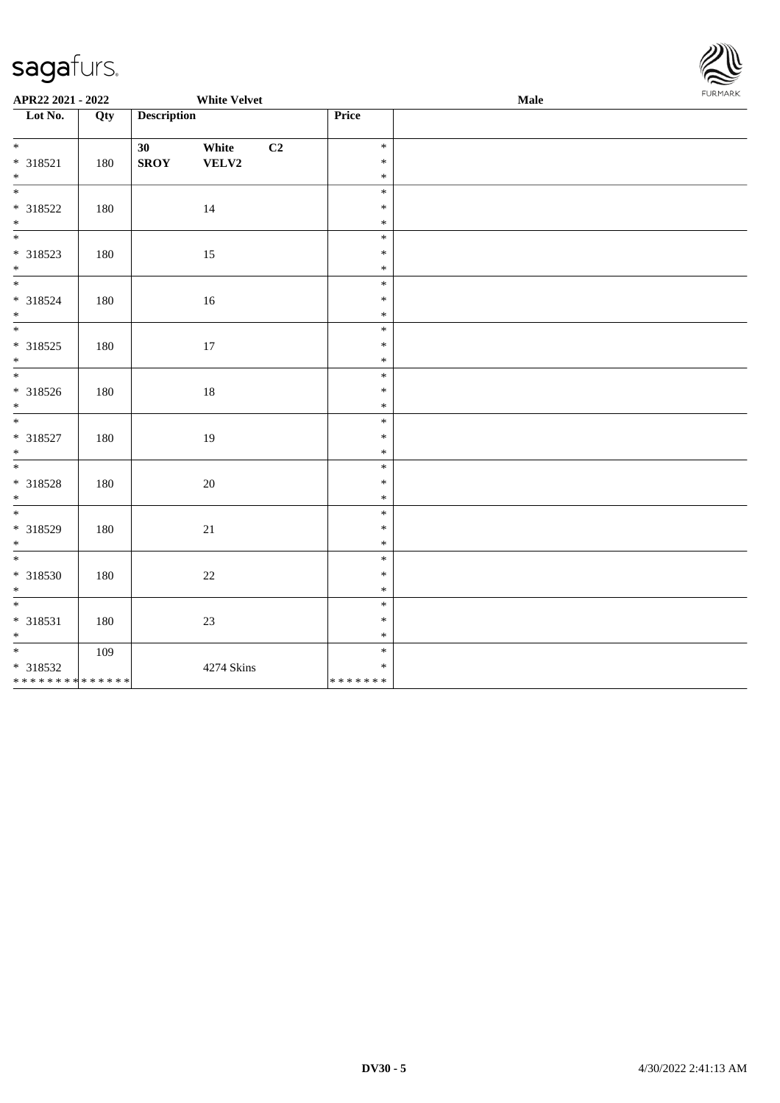

| APR22 2021 - 2022                                      |     |                    | <b>White Velvet</b> |    |                             | Male | <b>FURMARK</b> |
|--------------------------------------------------------|-----|--------------------|---------------------|----|-----------------------------|------|----------------|
| Lot No.                                                | Qty | <b>Description</b> |                     |    | Price                       |      |                |
| $*$<br>* 318521<br>$*$                                 | 180 | 30<br><b>SROY</b>  | White<br>VELV2      | C2 | $\ast$<br>$\ast$<br>$\ast$  |      |                |
| * 318522<br>$*$                                        | 180 |                    | 14                  |    | $\ast$<br>$\ast$<br>$\ast$  |      |                |
| * 318523<br>$*$                                        | 180 |                    | 15                  |    | $\ast$<br>$\ast$<br>$\ast$  |      |                |
| * 318524<br>$*$                                        | 180 |                    | 16                  |    | $\ast$<br>$\ast$<br>$\ast$  |      |                |
| * 318525<br>$*$                                        | 180 |                    | 17                  |    | $\ast$<br>$\ast$<br>$\ast$  |      |                |
| * 318526<br>$*$                                        | 180 |                    | $18\,$              |    | $\ast$<br>$\ast$<br>$\ast$  |      |                |
| * 318527<br>$*$                                        | 180 |                    | 19                  |    | $\ast$<br>$\ast$<br>$\ast$  |      |                |
| * 318528<br>$*$                                        | 180 |                    | 20                  |    | $\ast$<br>$\ast$<br>$\ast$  |      |                |
| * 318529<br>$*$                                        | 180 |                    | 21                  |    | $\ast$<br>$\ast$<br>$\ast$  |      |                |
| $*$<br>* 318530<br>$*$                                 | 180 |                    | $22\,$              |    | $\ast$<br>$\ast$<br>$\ast$  |      |                |
| * 318531<br>$*$                                        | 180 |                    | 23                  |    | $\ast$<br>$\ast$<br>$\ast$  |      |                |
| * 318532<br>* * * * * * * * <mark>* * * * * * *</mark> | 109 |                    | 4274 Skins          |    | $\ast$<br>$\ast$<br>******* |      |                |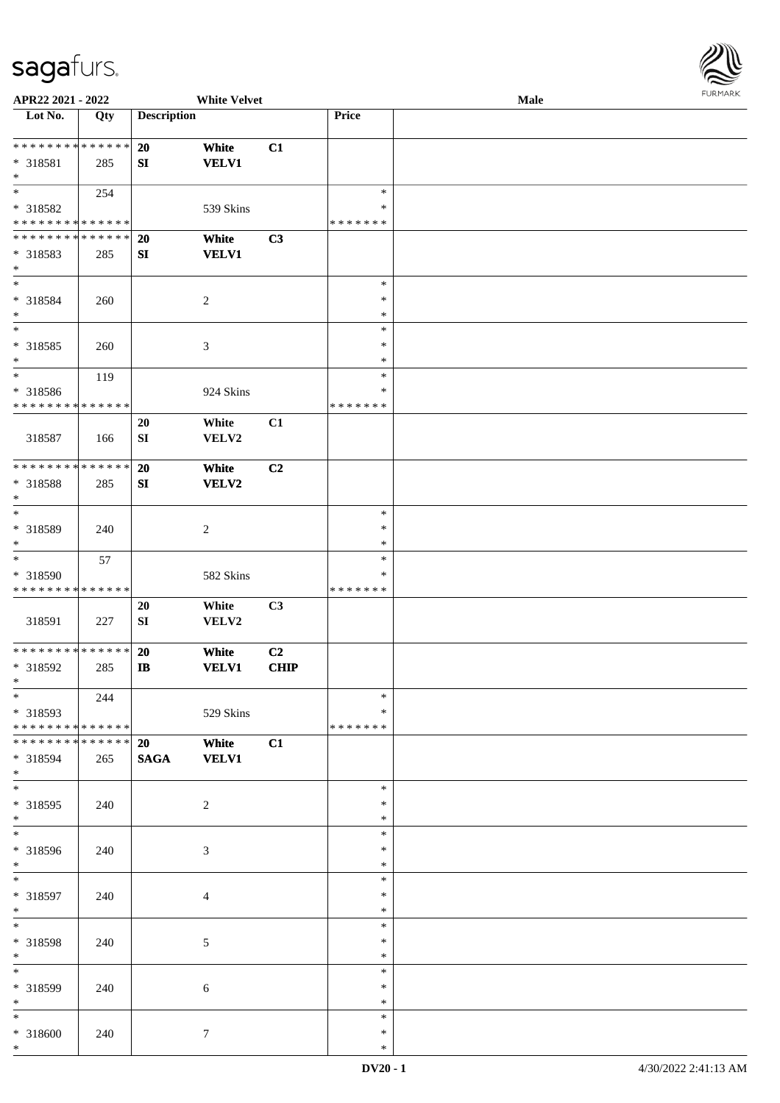

| APR22 2021 - 2022             |             |                    | <b>White Velvet</b> |                |               | Male |
|-------------------------------|-------------|--------------------|---------------------|----------------|---------------|------|
| Lot No.                       | Qty         | <b>Description</b> |                     |                | Price         |      |
|                               |             |                    |                     |                |               |      |
| **************                |             | 20                 | White               | C1             |               |      |
| * 318581                      | 285         | SI                 | <b>VELV1</b>        |                |               |      |
| $\ast$                        |             |                    |                     |                |               |      |
| $\overline{\phantom{0}}$      |             |                    |                     |                | $\ast$        |      |
|                               | 254         |                    |                     |                |               |      |
| * 318582                      |             |                    | 539 Skins           |                | ∗             |      |
| * * * * * * * * * * * * * *   |             |                    |                     |                | * * * * * * * |      |
| **************                |             | 20                 | White               | C3             |               |      |
| * 318583                      | 285         | ${\bf SI}$         | <b>VELV1</b>        |                |               |      |
| $*$                           |             |                    |                     |                |               |      |
| $\ast$                        |             |                    |                     |                | $\ast$        |      |
| * 318584                      | 260         |                    | $\boldsymbol{2}$    |                | $\ast$        |      |
| $\ast$                        |             |                    |                     |                | $\ast$        |      |
| $\overline{\ast}$             |             |                    |                     |                | $\ast$        |      |
|                               |             |                    |                     |                | $\ast$        |      |
| $* 318585$                    | 260         |                    | $\mathfrak{Z}$      |                |               |      |
| $\ast$                        |             |                    |                     |                | $\ast$        |      |
| $\overline{\phantom{a}^*}$    | 119         |                    |                     |                | $\ast$        |      |
| * 318586                      |             |                    | 924 Skins           |                | $\ast$        |      |
| * * * * * * * * * * * * * *   |             |                    |                     |                | * * * * * * * |      |
|                               |             | 20                 | White               | C1             |               |      |
| 318587                        | 166         | SI                 | VELV2               |                |               |      |
|                               |             |                    |                     |                |               |      |
| **************                |             |                    |                     |                |               |      |
|                               |             | 20                 | White               | C <sub>2</sub> |               |      |
| * 318588                      | 285         | SI                 | VELV2               |                |               |      |
| $\ast$                        |             |                    |                     |                |               |      |
| $\ast$                        |             |                    |                     |                | $\ast$        |      |
| * 318589                      | 240         |                    | $\overline{c}$      |                | $\ast$        |      |
| $\ast$                        |             |                    |                     |                | $\ast$        |      |
| $\ast$                        | 57          |                    |                     |                | $\ast$        |      |
| * 318590                      |             |                    | 582 Skins           |                | ∗             |      |
| * * * * * * * * * * * * * *   |             |                    |                     |                | * * * * * * * |      |
|                               |             |                    |                     |                |               |      |
|                               |             | 20                 | White               | C3             |               |      |
| 318591                        | 227         | SI                 | VELV2               |                |               |      |
|                               |             |                    |                     |                |               |      |
| ******** <mark>******</mark>  |             | 20                 | White               | C <sub>2</sub> |               |      |
| * 318592                      | 285         | $\bf I\bf B$       | <b>VELV1</b>        | <b>CHIP</b>    |               |      |
| $*$                           |             |                    |                     |                |               |      |
| $*$                           | 244         |                    |                     |                | $\ast$        |      |
| * 318593                      |             |                    | 529 Skins           |                | *             |      |
| * * * * * * * * * * * * * * * |             |                    |                     |                | * * * * * * * |      |
| * * * * * * * *               | * * * * * * |                    |                     |                |               |      |
|                               |             | 20                 | White               | C1             |               |      |
| * 318594                      | 265         | <b>SAGA</b>        | <b>VELV1</b>        |                |               |      |
| $*$                           |             |                    |                     |                |               |      |
| $*$                           |             |                    |                     |                | $\ast$        |      |
| * 318595                      | 240         |                    | $\overline{2}$      |                | $\ast$        |      |
| $*$                           |             |                    |                     |                | $\ast$        |      |
| $\overline{\ast}$             |             |                    |                     |                | $\ast$        |      |
| * 318596                      | 240         |                    | 3                   |                | $\ast$        |      |
| $*$                           |             |                    |                     |                | $\ast$        |      |
| $*$                           |             |                    |                     |                | $\ast$        |      |
|                               |             |                    |                     |                | $\ast$        |      |
| * 318597                      | 240         |                    | $\overline{4}$      |                |               |      |
| $*$                           |             |                    |                     |                | $\ast$        |      |
| $\ast$                        |             |                    |                     |                | $\ast$        |      |
| * 318598                      | 240         |                    | 5                   |                | $\ast$        |      |
| $*$                           |             |                    |                     |                | $\ast$        |      |
| $\overline{\phantom{0}}$      |             |                    |                     |                | $\ast$        |      |
| * 318599                      | 240         |                    | 6                   |                | ∗             |      |
| $*$                           |             |                    |                     |                | $\ast$        |      |
| $*$                           |             |                    |                     |                | $\ast$        |      |
|                               |             |                    |                     |                | $\ast$        |      |
| * 318600                      | 240         |                    | $\tau$              |                |               |      |
| $*$                           |             |                    |                     |                | $\ast$        |      |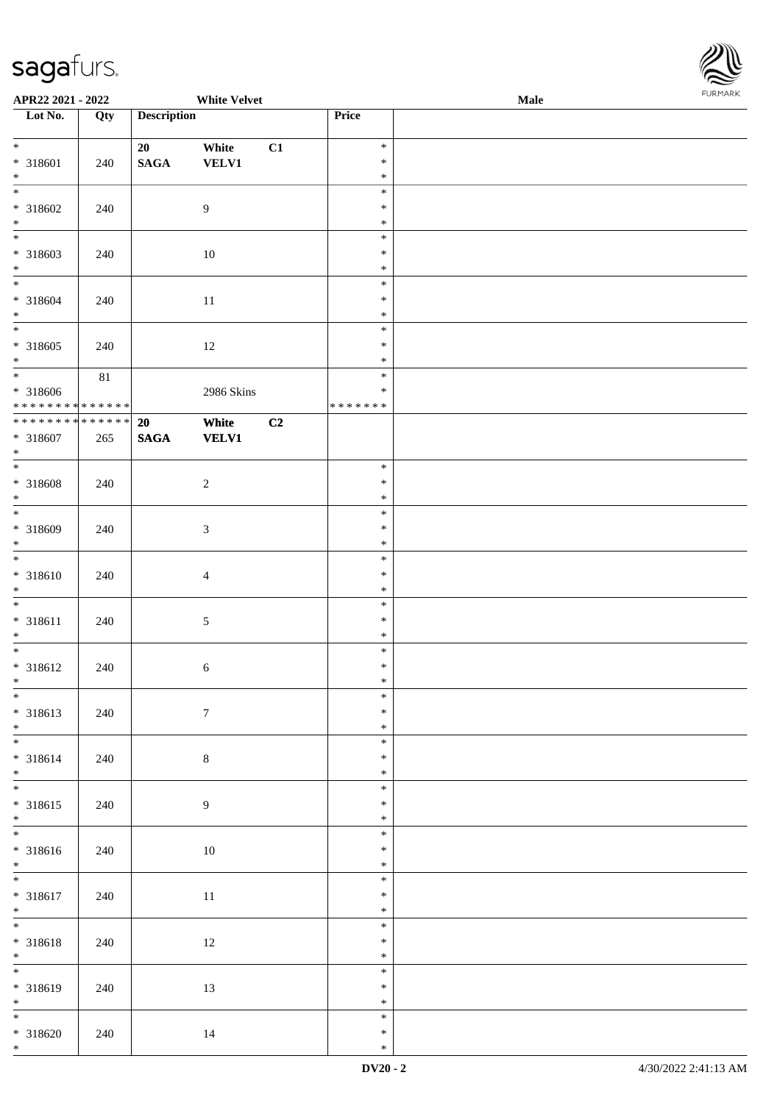

| APR22 2021 - 2022                  |     |                    | <b>White Velvet</b> |    |               | Male |  |
|------------------------------------|-----|--------------------|---------------------|----|---------------|------|--|
| Lot No.                            | Qty | <b>Description</b> |                     |    | Price         |      |  |
|                                    |     |                    |                     |    |               |      |  |
| $*$                                |     | 20                 | White               | C1 | $\ast$        |      |  |
| * 318601                           | 240 | $\mathbf{SAGA}$    | <b>VELV1</b>        |    | $\ast$        |      |  |
| $\ast$                             |     |                    |                     |    | $\ast$        |      |  |
|                                    |     |                    |                     |    | $\ast$        |      |  |
| * 318602                           | 240 |                    | 9                   |    | $\ast$        |      |  |
| $*$                                |     |                    |                     |    | $\ast$        |      |  |
|                                    |     |                    |                     |    | $\ast$        |      |  |
|                                    |     |                    |                     |    | $\ast$        |      |  |
| * 318603                           | 240 |                    | 10                  |    |               |      |  |
| $\ast$<br>$*$                      |     |                    |                     |    | $\ast$        |      |  |
|                                    |     |                    |                     |    | $\ast$        |      |  |
| * 318604                           | 240 |                    | 11                  |    | $\ast$        |      |  |
| $*$                                |     |                    |                     |    | $\ast$        |      |  |
|                                    |     |                    |                     |    | $\ast$        |      |  |
| * 318605                           | 240 |                    | 12                  |    | $\ast$        |      |  |
| $*$                                |     |                    |                     |    | $\ast$        |      |  |
| $\overline{\ast}$                  | 81  |                    |                     |    | $\ast$        |      |  |
| * 318606                           |     |                    | 2986 Skins          |    | $\ast$        |      |  |
| ******** <mark>******</mark>       |     |                    |                     |    | * * * * * * * |      |  |
| * * * * * * * * * * * * * * *      |     | 20                 | White               | C2 |               |      |  |
| * 318607                           | 265 | <b>SAGA</b>        | <b>VELV1</b>        |    |               |      |  |
| $\ast$                             |     |                    |                     |    |               |      |  |
|                                    |     |                    |                     |    | $\ast$        |      |  |
|                                    |     |                    |                     |    |               |      |  |
| $* 318608$                         | 240 |                    | $\sqrt{2}$          |    | $\ast$        |      |  |
| $\ast$<br>$\overline{\phantom{0}}$ |     |                    |                     |    | $\ast$        |      |  |
|                                    |     |                    |                     |    | $\ast$        |      |  |
| * 318609                           | 240 |                    | $\mathfrak{Z}$      |    | $\ast$        |      |  |
| $\ast$                             |     |                    |                     |    | $\ast$        |      |  |
| $\overline{\phantom{0}}$           |     |                    |                     |    | $\ast$        |      |  |
| * 318610                           | 240 |                    | $\overline{4}$      |    | $\ast$        |      |  |
| $*$                                |     |                    |                     |    | $\ast$        |      |  |
| $*$                                |     |                    |                     |    | $\ast$        |      |  |
| * 318611                           | 240 |                    | $\sqrt{5}$          |    | $\ast$        |      |  |
| $\ast$                             |     |                    |                     |    | $\ast$        |      |  |
| $\overline{\phantom{0}}$           |     |                    |                     |    | $\ast$        |      |  |
| * 318612                           |     |                    |                     |    | $\ast$        |      |  |
| $*$                                | 240 |                    | $\sqrt{6}$          |    | $\ast$        |      |  |
| $\overline{\ast}$                  |     |                    |                     |    |               |      |  |
|                                    |     |                    |                     |    | $\ast$        |      |  |
| * 318613                           | 240 |                    | $7\phantom{.0}$     |    | $\ast$        |      |  |
| $*$                                |     |                    |                     |    | $\ast$        |      |  |
|                                    |     |                    |                     |    | $\ast$        |      |  |
| * 318614                           | 240 |                    | $\,8\,$             |    | $\ast$        |      |  |
| $*$                                |     |                    |                     |    | $\ast$        |      |  |
| $\ddot{x}$                         |     |                    |                     |    | $\ast$        |      |  |
| * 318615                           | 240 |                    | $\overline{9}$      |    | $\ast$        |      |  |
| $*$                                |     |                    |                     |    | $\ast$        |      |  |
|                                    |     |                    |                     |    | $\ast$        |      |  |
| * 318616                           | 240 |                    | $10\,$              |    | $\ast$        |      |  |
| $*$                                |     |                    |                     |    | $\ast$        |      |  |
| $\ddot{x}$                         |     |                    |                     |    | $\ast$        |      |  |
|                                    |     |                    |                     |    |               |      |  |
| * 318617                           | 240 |                    | 11                  |    | $\ast$        |      |  |
| $*$<br>$*$                         |     |                    |                     |    | $\ast$        |      |  |
|                                    |     |                    |                     |    | $\ast$        |      |  |
| * 318618                           | 240 |                    | 12                  |    | $\ast$        |      |  |
| $*$                                |     |                    |                     |    | $\ast$        |      |  |
|                                    |     |                    |                     |    | $\ast$        |      |  |
| * 318619                           | 240 |                    | 13                  |    | $\ast$        |      |  |
| $*$                                |     |                    |                     |    | $\ast$        |      |  |
| $\overline{\phantom{0}}$           |     |                    |                     |    | $\ast$        |      |  |
| * 318620                           | 240 |                    | 14                  |    | $\ast$        |      |  |
| $*$                                |     |                    |                     |    | $\ast$        |      |  |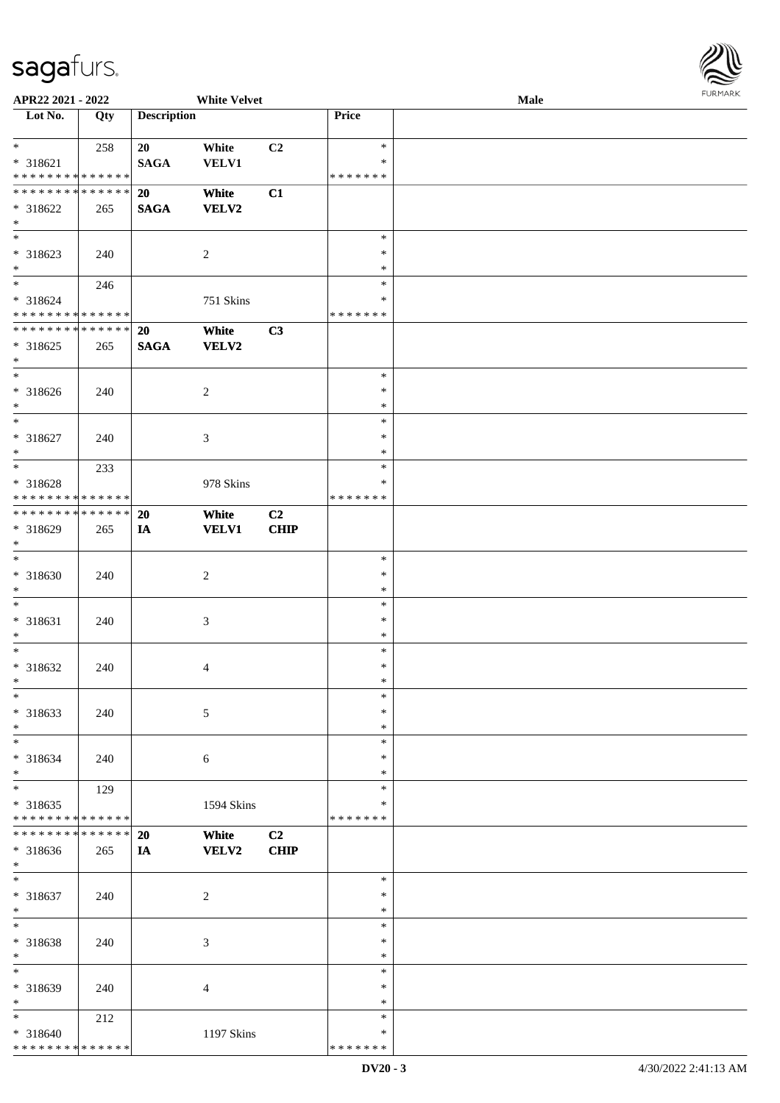

| APR22 2021 - 2022            |     |                    | <b>White Velvet</b> |                |               | Male |  |
|------------------------------|-----|--------------------|---------------------|----------------|---------------|------|--|
| Lot No.                      | Qty | <b>Description</b> |                     |                | Price         |      |  |
|                              |     |                    |                     |                |               |      |  |
| $*$                          | 258 | 20                 | White               | C <sub>2</sub> | $\ast$        |      |  |
| $* 318621$                   |     | <b>SAGA</b>        | <b>VELV1</b>        |                | ∗             |      |  |
| * * * * * * * * * * * * * *  |     |                    |                     |                | * * * * * * * |      |  |
| * * * * * * * * * * * * * *  |     | 20                 | White               | C1             |               |      |  |
| * 318622                     | 265 | <b>SAGA</b>        | <b>VELV2</b>        |                |               |      |  |
| $\ast$                       |     |                    |                     |                |               |      |  |
| $\overline{\phantom{a}^*}$   |     |                    |                     |                | $\ast$        |      |  |
|                              |     |                    |                     |                |               |      |  |
| * 318623                     | 240 |                    | $\overline{2}$      |                | $\ast$        |      |  |
| $*$                          |     |                    |                     |                | $\ast$        |      |  |
| $\overline{\ast}$            | 246 |                    |                     |                | $\ast$        |      |  |
| * 318624                     |     |                    | 751 Skins           |                | ∗             |      |  |
| * * * * * * * * * * * * * *  |     |                    |                     |                | * * * * * * * |      |  |
| ******** <mark>******</mark> |     | 20                 | White               | C3             |               |      |  |
| $* 318625$                   | 265 | <b>SAGA</b>        | <b>VELV2</b>        |                |               |      |  |
| $\ast$                       |     |                    |                     |                |               |      |  |
| $\overline{\phantom{a}^*}$   |     |                    |                     |                | $\ast$        |      |  |
| * 318626                     | 240 |                    | $\overline{c}$      |                | $\ast$        |      |  |
| $\ast$                       |     |                    |                     |                | $\ast$        |      |  |
| $\ast$                       |     |                    |                     |                | $\ast$        |      |  |
|                              |     |                    |                     |                |               |      |  |
| $* 318627$                   | 240 |                    | $\mathfrak{Z}$      |                | $\ast$        |      |  |
| $\ast$                       |     |                    |                     |                | $\ast$        |      |  |
| $*$                          | 233 |                    |                     |                | $\ast$        |      |  |
| * 318628                     |     |                    | 978 Skins           |                | ∗             |      |  |
| * * * * * * * * * * * * * *  |     |                    |                     |                | * * * * * * * |      |  |
| **************               |     | <b>20</b>          | White               | C2             |               |      |  |
| * 318629                     | 265 | IA                 | <b>VELV1</b>        | <b>CHIP</b>    |               |      |  |
| $*$                          |     |                    |                     |                |               |      |  |
| $\ast$                       |     |                    |                     |                | $\ast$        |      |  |
| * 318630                     | 240 |                    | $\sqrt{2}$          |                | $\ast$        |      |  |
| $\ast$                       |     |                    |                     |                | $\ast$        |      |  |
| $\ast$                       |     |                    |                     |                | $\ast$        |      |  |
|                              |     |                    |                     |                | $\ast$        |      |  |
| $* 318631$                   | 240 |                    | $\mathfrak{Z}$      |                |               |      |  |
| $\ast$                       |     |                    |                     |                | $\ast$        |      |  |
| $\ast$                       |     |                    |                     |                | $\ast$        |      |  |
| * 318632                     | 240 |                    | $\overline{4}$      |                | $\ast$        |      |  |
| $*$                          |     |                    |                     |                | $\ast$        |      |  |
| $\ast$                       |     |                    |                     |                | $\ast$        |      |  |
| $*318633$                    | 240 |                    | 5                   |                | $\ast$        |      |  |
| $\ast$                       |     |                    |                     |                | $\ast$        |      |  |
| $\ast$                       |     |                    |                     |                | $\ast$        |      |  |
| * 318634                     | 240 |                    | 6                   |                | $\ast$        |      |  |
| $\ast$                       |     |                    |                     |                | ∗             |      |  |
| $\overline{\ast}$            | 129 |                    |                     |                | $\ast$        |      |  |
| * 318635                     |     |                    |                     |                | ∗             |      |  |
| * * * * * * * * * * * * * *  |     |                    | 1594 Skins          |                | * * * * * * * |      |  |
| * * * * * * * * * * * * * *  |     |                    |                     |                |               |      |  |
|                              |     | <b>20</b>          | White               | C2             |               |      |  |
| * 318636                     | 265 | IA                 | <b>VELV2</b>        | <b>CHIP</b>    |               |      |  |
| $*$                          |     |                    |                     |                |               |      |  |
| $\ast$                       |     |                    |                     |                | $\ast$        |      |  |
| * 318637                     | 240 |                    | $\sqrt{2}$          |                | $\ast$        |      |  |
| $\ast$                       |     |                    |                     |                | $\ast$        |      |  |
| $\ast$                       |     |                    |                     |                | $\ast$        |      |  |
| * 318638                     | 240 |                    | 3                   |                | $\ast$        |      |  |
| $\ast$                       |     |                    |                     |                | $\ast$        |      |  |
| $\ast$                       |     |                    |                     |                | $\ast$        |      |  |
|                              |     |                    |                     |                |               |      |  |
| * 318639                     | 240 |                    | $\overline{4}$      |                | ∗             |      |  |
| $\ast$                       |     |                    |                     |                | $\ast$        |      |  |
| $*$                          | 212 |                    |                     |                | $\ast$        |      |  |
| * 318640                     |     |                    | 1197 Skins          |                | ∗             |      |  |
| * * * * * * * * * * * * * *  |     |                    |                     |                | * * * * * * * |      |  |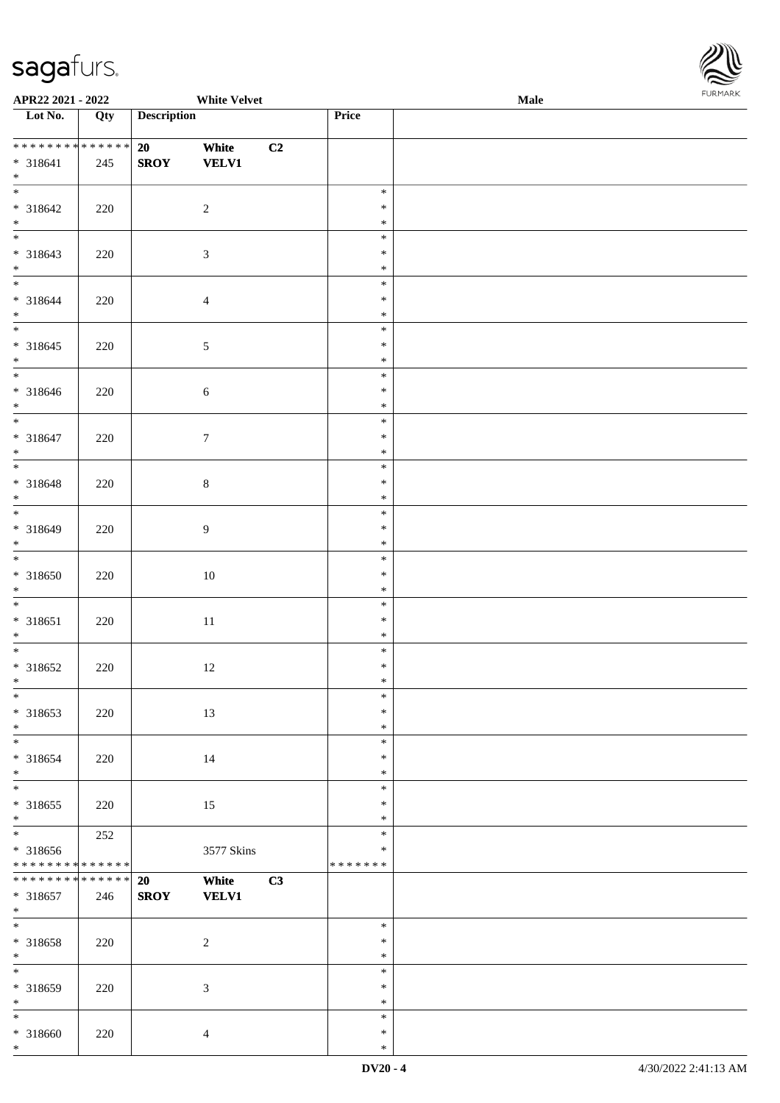

| APR22 2021 - 2022               |     | <b>White Velvet</b>         |    |                  | Male | <b>FUNITANN</b> |
|---------------------------------|-----|-----------------------------|----|------------------|------|-----------------|
| Lot No.                         | Qty | <b>Description</b>          |    | Price            |      |                 |
|                                 |     |                             |    |                  |      |                 |
| ******** <mark>******</mark>    |     | 20<br>White                 | C2 |                  |      |                 |
| * 318641                        | 245 | <b>SROY</b><br><b>VELV1</b> |    |                  |      |                 |
| $*$                             |     |                             |    | $\ast$           |      |                 |
|                                 |     |                             |    | $\ast$           |      |                 |
| * 318642<br>$*$                 | 220 | 2                           |    | $\ast$           |      |                 |
|                                 |     |                             |    | $\ast$           |      |                 |
| * 318643                        | 220 | $\sqrt{3}$                  |    | $\ast$           |      |                 |
| $*$                             |     |                             |    | $\ast$           |      |                 |
| $\overline{\ast}$               |     |                             |    | $\ast$           |      |                 |
| * 318644                        | 220 | $\overline{4}$              |    | $\ast$           |      |                 |
| $*$                             |     |                             |    | $\ast$           |      |                 |
|                                 |     |                             |    | $\ast$           |      |                 |
| * 318645                        | 220 | $\sqrt{5}$                  |    | $\ast$           |      |                 |
| $*$                             |     |                             |    | $\ast$           |      |                 |
|                                 |     |                             |    | $\ast$           |      |                 |
| * 318646                        | 220 | $\sqrt{6}$                  |    | $\ast$           |      |                 |
| $*$<br>$\overline{\phantom{0}}$ |     |                             |    | $\ast$           |      |                 |
|                                 |     |                             |    | $\ast$           |      |                 |
| * 318647<br>$*$                 | 220 | $\tau$                      |    | $\ast$<br>$\ast$ |      |                 |
|                                 |     |                             |    | $\ast$           |      |                 |
| * 318648                        | 220 | $\,8\,$                     |    | $\ast$           |      |                 |
| $*$                             |     |                             |    | $\ast$           |      |                 |
| $\overline{\phantom{0}}$        |     |                             |    | $\ast$           |      |                 |
| * 318649                        | 220 | 9                           |    | $\ast$           |      |                 |
| $\ast$                          |     |                             |    | $\ast$           |      |                 |
| $\overline{\ast}$               |     |                             |    | $\ast$           |      |                 |
| * 318650                        | 220 | 10                          |    | $\ast$           |      |                 |
| $*$                             |     |                             |    | $\ast$           |      |                 |
|                                 |     |                             |    | $\ast$           |      |                 |
| * 318651                        | 220 | $11\,$                      |    | $\ast$           |      |                 |
| $*$<br>$*$                      |     |                             |    | $\ast$<br>$\ast$ |      |                 |
| $* 318652$                      | 220 | 12                          |    | $\ast$           |      |                 |
| $*$ $-$                         |     |                             |    | $*$              |      |                 |
| $*$                             |     |                             |    | $\ast$           |      |                 |
| * 318653                        | 220 | 13                          |    | $\ast$           |      |                 |
| $*$                             |     |                             |    | $\ast$           |      |                 |
| $\overline{\phantom{0}}$        |     |                             |    | $\ast$           |      |                 |
| * 318654                        | 220 | 14                          |    | $\ast$           |      |                 |
| $*$                             |     |                             |    | $\ast$           |      |                 |
| $\overline{\phantom{0}}$        |     |                             |    | $\ast$           |      |                 |
| * 318655<br>$*$                 | 220 | 15                          |    | $\ast$<br>$\ast$ |      |                 |
|                                 | 252 |                             |    | $\ast$           |      |                 |
| * 318656                        |     | 3577 Skins                  |    | $\ast$           |      |                 |
| ******** <mark>******</mark>    |     |                             |    | * * * * * * *    |      |                 |
| * * * * * * * * * * * * * * *   |     | 20<br>White                 | C3 |                  |      |                 |
| * 318657                        | 246 | <b>SROY</b><br><b>VELV1</b> |    |                  |      |                 |
| $*$                             |     |                             |    |                  |      |                 |
|                                 |     |                             |    | $\ast$           |      |                 |
| * 318658                        | 220 | $\sqrt{2}$                  |    | $\ast$           |      |                 |
| $*$                             |     |                             |    | $\ast$           |      |                 |
| $*$                             |     |                             |    | $\ast$           |      |                 |
| * 318659<br>$\ast$              | 220 | $\mathfrak{Z}$              |    | $\ast$<br>$\ast$ |      |                 |
| $\ast$                          |     |                             |    | $\ast$           |      |                 |
| * 318660                        | 220 | $\overline{4}$              |    | $\ast$           |      |                 |
| $*$                             |     |                             |    | $\ast$           |      |                 |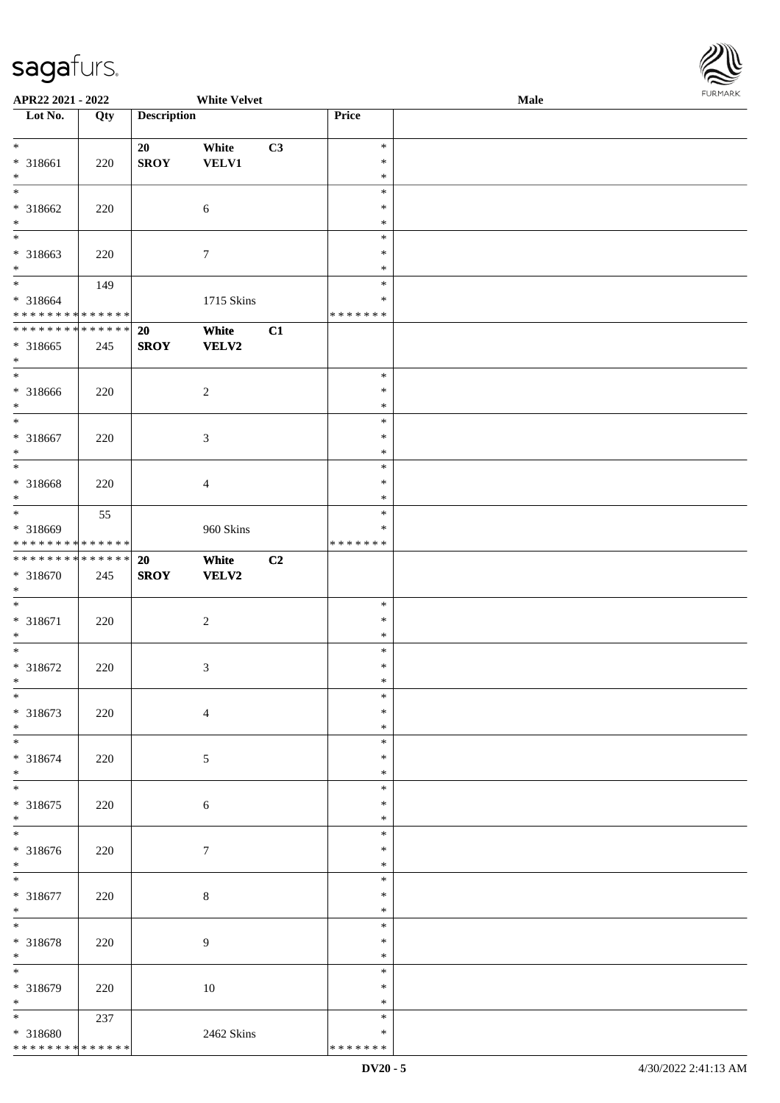

| APR22 2021 - 2022             |     |                    | <b>White Velvet</b> |    |               | <b>Male</b> |  |
|-------------------------------|-----|--------------------|---------------------|----|---------------|-------------|--|
| Lot No.                       | Qty | <b>Description</b> |                     |    | Price         |             |  |
|                               |     |                    |                     |    |               |             |  |
| $*$                           |     | 20                 | White               | C3 | $\ast$        |             |  |
| $* 318661$                    | 220 | <b>SROY</b>        | VELV1               |    | $\ast$        |             |  |
| $\ast$                        |     |                    |                     |    | $\ast$        |             |  |
| $\overline{\phantom{a}^*}$    |     |                    |                     |    | $\ast$        |             |  |
|                               |     |                    |                     |    |               |             |  |
| $* 318662$                    | 220 |                    | $\sqrt{6}$          |    | $\ast$        |             |  |
| $\ast$                        |     |                    |                     |    | $\ast$        |             |  |
| $\ast$                        |     |                    |                     |    | $\ast$        |             |  |
| * 318663                      | 220 |                    | $\tau$              |    | $\ast$        |             |  |
| $\ast$                        |     |                    |                     |    | $\ast$        |             |  |
| $\overline{\phantom{0}}$      | 149 |                    |                     |    | $\ast$        |             |  |
| * 318664                      |     |                    | 1715 Skins          |    | ∗             |             |  |
| * * * * * * * * * * * * * *   |     |                    |                     |    | * * * * * * * |             |  |
| ******** <mark>******</mark>  |     | 20                 | White               | C1 |               |             |  |
| $*318665$                     | 245 | <b>SROY</b>        | <b>VELV2</b>        |    |               |             |  |
| $\ast$                        |     |                    |                     |    |               |             |  |
| $\ast$                        |     |                    |                     |    | $\ast$        |             |  |
|                               |     |                    |                     |    |               |             |  |
| $* 318666$                    | 220 |                    | $\sqrt{2}$          |    | $\ast$        |             |  |
| $\ast$<br>$\frac{1}{*}$       |     |                    |                     |    | $\ast$        |             |  |
|                               |     |                    |                     |    | $\ast$        |             |  |
| $* 318667$                    | 220 |                    | $\mathfrak{Z}$      |    | $\ast$        |             |  |
| $\ast$                        |     |                    |                     |    | $\ast$        |             |  |
| $\ast$                        |     |                    |                     |    | $\ast$        |             |  |
| * 318668                      | 220 |                    | $\overline{4}$      |    | $\ast$        |             |  |
| $\ast$                        |     |                    |                     |    | $\ast$        |             |  |
| $\ast$                        | 55  |                    |                     |    | $\ast$        |             |  |
| * 318669                      |     |                    | 960 Skins           |    | ∗             |             |  |
| * * * * * * * * * * * * * * * |     |                    |                     |    | * * * * * * * |             |  |
| **************                |     |                    |                     |    |               |             |  |
|                               |     | 20                 | White               | C2 |               |             |  |
| * 318670                      | 245 | <b>SROY</b>        | VELV2               |    |               |             |  |
| $\ast$                        |     |                    |                     |    |               |             |  |
| $\ast$                        |     |                    |                     |    | $\ast$        |             |  |
| * 318671                      | 220 |                    | $\sqrt{2}$          |    | $\ast$        |             |  |
| $\ast$                        |     |                    |                     |    | $\ast$        |             |  |
| $*$                           |     |                    |                     |    | $\ast$        |             |  |
| $* 318672$                    | 220 |                    | $\mathfrak{Z}$      |    | $\ast$        |             |  |
| $*$                           |     |                    |                     |    | $\ast$        |             |  |
| $\ast$                        |     |                    |                     |    | $\ast$        |             |  |
| * 318673                      | 220 |                    | $\overline{4}$      |    | ∗             |             |  |
| $\ast$                        |     |                    |                     |    | $\ast$        |             |  |
| $\frac{1}{1}$                 |     |                    |                     |    | $\ast$        |             |  |
| * 318674                      | 220 |                    | $\mathfrak{S}$      |    | $\ast$        |             |  |
| $\ast$                        |     |                    |                     |    | $\ast$        |             |  |
| $\ast$                        |     |                    |                     |    |               |             |  |
|                               |     |                    |                     |    | $\ast$        |             |  |
| * 318675                      | 220 |                    | $\sqrt{6}$          |    | $\ast$        |             |  |
| $\ast$                        |     |                    |                     |    | $\ast$        |             |  |
| $\ast$                        |     |                    |                     |    | $\ast$        |             |  |
| * 318676                      | 220 |                    | $\tau$              |    | $\ast$        |             |  |
| $*$                           |     |                    |                     |    | $\ast$        |             |  |
| $\overline{\phantom{a}^*}$    |     |                    |                     |    | $\ast$        |             |  |
| * 318677                      | 220 |                    | $\,8\,$             |    | $\ast$        |             |  |
| $\ast$                        |     |                    |                     |    | $\ast$        |             |  |
| $*$                           |     |                    |                     |    | $\ast$        |             |  |
|                               |     |                    |                     |    |               |             |  |
| * 318678                      | 220 |                    | 9                   |    | $\ast$        |             |  |
| $\ast$<br>$\frac{1}{1}$       |     |                    |                     |    | $\ast$        |             |  |
|                               |     |                    |                     |    | $\ast$        |             |  |
| * 318679                      | 220 |                    | 10                  |    | $\ast$        |             |  |
| $\ast$                        |     |                    |                     |    | ∗             |             |  |
| $\overline{\phantom{a}^*}$    | 237 |                    |                     |    | $\ast$        |             |  |
| * 318680                      |     |                    | 2462 Skins          |    | ∗             |             |  |
| * * * * * * * * * * * * * *   |     |                    |                     |    | * * * * * * * |             |  |
|                               |     |                    |                     |    |               |             |  |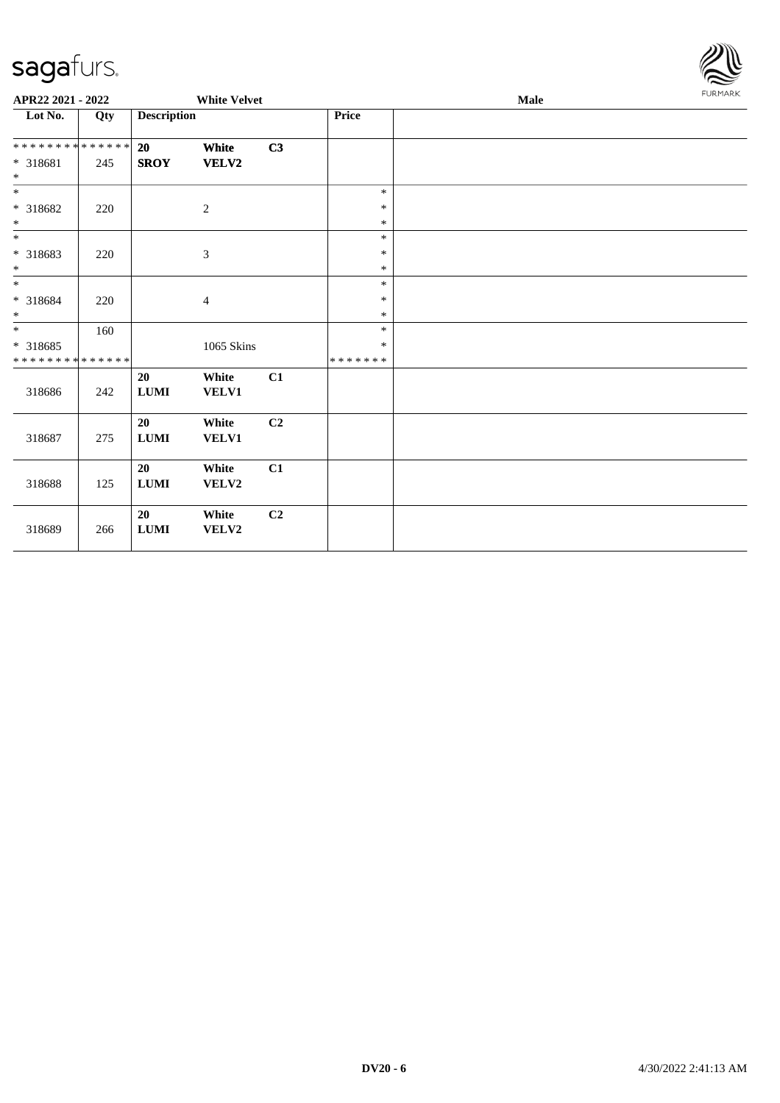

| APR22 2021 - 2022                                   |     |                    | <b>White Velvet</b>   |                |                    | Male | <b>FURMARK</b> |
|-----------------------------------------------------|-----|--------------------|-----------------------|----------------|--------------------|------|----------------|
| Lot No.                                             | Qty | <b>Description</b> |                       |                | Price              |      |                |
| * * * * * * * * * * * * * *<br>$* 318681$<br>$\ast$ | 245 | 20<br><b>SROY</b>  | White<br><b>VELV2</b> | C3             |                    |      |                |
| $\ast$                                              |     |                    |                       |                | $\ast$             |      |                |
| $* 318682$<br>$\ast$                                | 220 |                    | $\overline{c}$        |                | $\ast$<br>$\ast$   |      |                |
| $\overline{\phantom{0}}$                            |     |                    |                       |                | $\ast$             |      |                |
| * 318683<br>$\ast$                                  | 220 |                    | $\mathfrak{Z}$        |                | $\ast$<br>$\ast$   |      |                |
| $\ast$                                              |     |                    |                       |                | $\ast$             |      |                |
| $* 318684$<br>$\ast$                                | 220 |                    | $\overline{4}$        |                | $\ast$<br>$\ast$   |      |                |
| $\ast$                                              | 160 |                    |                       |                | $\ast$             |      |                |
| $*318685$<br>* * * * * * * * * * * * * *            |     |                    | 1065 Skins            |                | *<br>* * * * * * * |      |                |
| 318686                                              | 242 | 20<br>${\bf LUMI}$ | White<br><b>VELV1</b> | C1             |                    |      |                |
| 318687                                              | 275 | 20<br>$\bf LUMI$   | White<br>VELV1        | C2             |                    |      |                |
| 318688                                              | 125 | 20<br><b>LUMI</b>  | White<br><b>VELV2</b> | C1             |                    |      |                |
| 318689                                              | 266 | 20<br>${\bf LUMI}$ | White<br>VELV2        | C <sub>2</sub> |                    |      |                |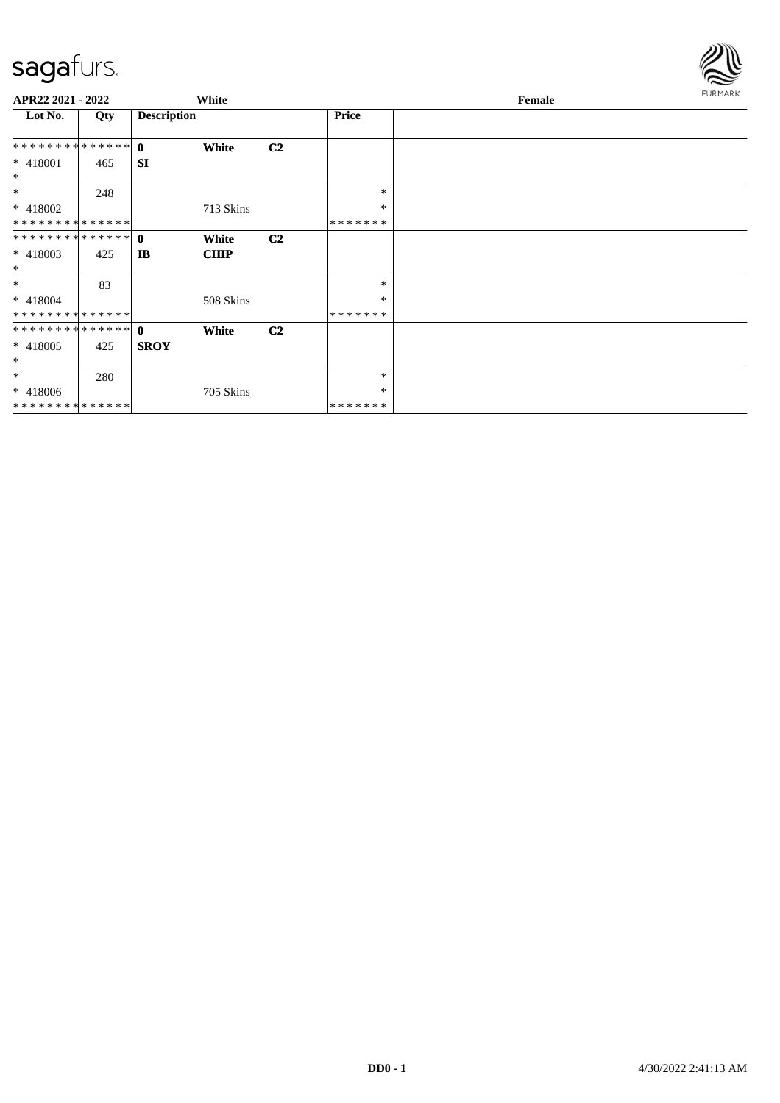

| APR22 2021 - 2022 |     |                    | White       |                |              | Female | FURMARK |
|-------------------|-----|--------------------|-------------|----------------|--------------|--------|---------|
| Lot No.           | Qty | <b>Description</b> |             |                | <b>Price</b> |        |         |
|                   |     |                    | White       | C <sub>2</sub> |              |        |         |
| $* 418001$<br>$*$ | 465 | <b>SI</b>          |             |                |              |        |         |
| $*$               | 248 |                    |             |                | $\ast$       |        |         |
| * 418002          |     |                    | 713 Skins   |                | $\ast$       |        |         |
| **************    |     |                    |             |                | *******      |        |         |
| ************** 0  |     |                    | White       | C <sub>2</sub> |              |        |         |
| $* 418003$<br>$*$ | 425 | <b>IB</b>          | <b>CHIP</b> |                |              |        |         |
| $*$               | 83  |                    |             |                | $\ast$       |        |         |
| $* 418004$        |     |                    | 508 Skins   |                | $\ast$       |        |         |
| **************    |     |                    |             |                | *******      |        |         |
| ************** 0  |     |                    | White       | C <sub>2</sub> |              |        |         |
| $* 418005$        | 425 | <b>SROY</b>        |             |                |              |        |         |
| $\ast$            |     |                    |             |                |              |        |         |
| $\ast$            | 280 |                    |             |                | $\ast$       |        |         |
| $* 418006$        |     |                    | 705 Skins   |                | $\ast$       |        |         |
| **************    |     |                    |             |                | *******      |        |         |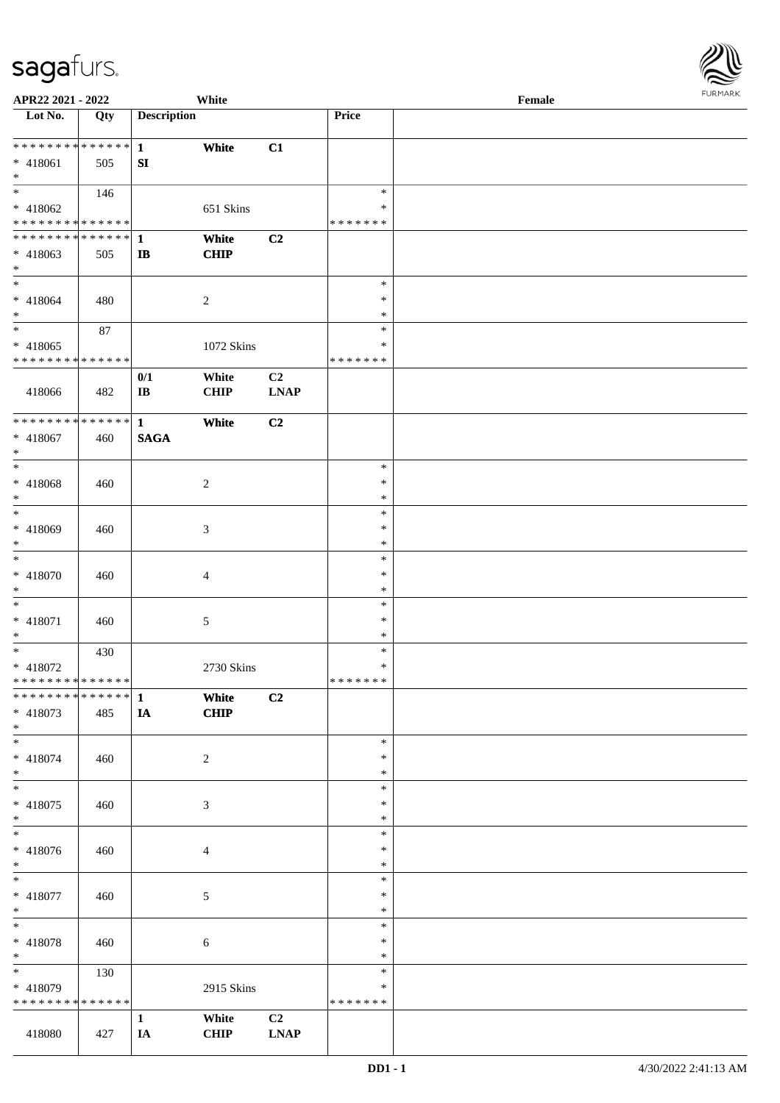

| APR22 2021 - 2022             |             |                    | White          |                                            |               | Female |  |
|-------------------------------|-------------|--------------------|----------------|--------------------------------------------|---------------|--------|--|
| Lot No.                       | Qty         | <b>Description</b> |                |                                            | Price         |        |  |
|                               |             |                    |                |                                            |               |        |  |
| * * * * * * * * * * * * * * * |             | $\mathbf{1}$       | White          | C1                                         |               |        |  |
| * 418061                      | 505         | SI                 |                |                                            |               |        |  |
| $*$                           |             |                    |                |                                            |               |        |  |
|                               |             |                    |                |                                            |               |        |  |
|                               | 146         |                    |                |                                            | $\ast$        |        |  |
| * 418062                      |             |                    | 651 Skins      |                                            | ∗             |        |  |
| * * * * * * * * * * * * * *   |             |                    |                |                                            | * * * * * * * |        |  |
| ******** <mark>******</mark>  |             | 1                  | White          | C2                                         |               |        |  |
| * 418063                      | 505         | $\mathbf{I}$       | <b>CHIP</b>    |                                            |               |        |  |
| $*$                           |             |                    |                |                                            |               |        |  |
| $*$                           |             |                    |                |                                            | $\ast$        |        |  |
|                               |             |                    |                |                                            |               |        |  |
| $* 418064$                    | 480         |                    | $\overline{2}$ |                                            | $\ast$        |        |  |
| $*$                           |             |                    |                |                                            | $\ast$        |        |  |
| $*$                           | 87          |                    |                |                                            | $\ast$        |        |  |
| $* 418065$                    |             |                    | 1072 Skins     |                                            | $\ast$        |        |  |
| * * * * * * * * * * * * * *   |             |                    |                |                                            | *******       |        |  |
|                               |             | 0/1                | White          | C2                                         |               |        |  |
| 418066                        | 482         | $\bf IB$           | <b>CHIP</b>    | $\mathbf{L}\mathbf{N}\mathbf{A}\mathbf{P}$ |               |        |  |
|                               |             |                    |                |                                            |               |        |  |
|                               |             |                    |                |                                            |               |        |  |
| ******** <mark>******</mark>  |             | $\mathbf{1}$       | White          | C2                                         |               |        |  |
| $* 418067$                    | 460         | <b>SAGA</b>        |                |                                            |               |        |  |
| $*$                           |             |                    |                |                                            |               |        |  |
| $*$                           |             |                    |                |                                            | $\ast$        |        |  |
| $* 418068$                    | 460         |                    | 2              |                                            | $\ast$        |        |  |
| $*$                           |             |                    |                |                                            | $\ast$        |        |  |
| $*$                           |             |                    |                |                                            | $\ast$        |        |  |
|                               |             |                    |                |                                            |               |        |  |
| * 418069                      | 460         |                    | 3              |                                            | $\ast$        |        |  |
| $\ast$                        |             |                    |                |                                            | $\ast$        |        |  |
| $*$                           |             |                    |                |                                            | $\ast$        |        |  |
| $* 418070$                    | 460         |                    | $\overline{4}$ |                                            | $\ast$        |        |  |
| $*$                           |             |                    |                |                                            | $\ast$        |        |  |
| $\ast$                        |             |                    |                |                                            | $\ast$        |        |  |
|                               |             |                    |                |                                            |               |        |  |
| $* 418071$                    | 460         |                    | 5              |                                            | $\ast$        |        |  |
| $*$                           |             |                    |                |                                            | $\ast$        |        |  |
| $*$                           | 430         |                    |                |                                            | $\ast$        |        |  |
| * 418072                      |             |                    | 2730 Skins     |                                            | $\ast$        |        |  |
| * * * * * * * * * * * * * * * |             |                    |                |                                            | *******       |        |  |
| * * * * * * * * * * * * * * * |             | $\mathbf{1}$       | White          | C2                                         |               |        |  |
| * 418073                      | 485         | IA                 | <b>CHIP</b>    |                                            |               |        |  |
|                               |             |                    |                |                                            |               |        |  |
| $*$                           |             |                    |                |                                            |               |        |  |
| $*$                           |             |                    |                |                                            | $\ast$        |        |  |
| $* 418074$                    | 460         |                    | 2              |                                            | $\ast$        |        |  |
| $*$                           |             |                    |                |                                            | $\ast$        |        |  |
| $*$                           |             |                    |                |                                            | $\ast$        |        |  |
| $* 418075$                    | 460         |                    | 3              |                                            | $\ast$        |        |  |
| $*$                           |             |                    |                |                                            | $\ast$        |        |  |
|                               |             |                    |                |                                            | $\ast$        |        |  |
|                               |             |                    |                |                                            |               |        |  |
| $* 418076$                    | 460         |                    | $\overline{4}$ |                                            | $\ast$        |        |  |
| $*$                           |             |                    |                |                                            | $\ast$        |        |  |
| $*$                           |             |                    |                |                                            | $\ast$        |        |  |
| $* 418077$                    | 460         |                    | 5              |                                            | $\ast$        |        |  |
| $*$                           |             |                    |                |                                            | $\ast$        |        |  |
| $*$                           |             |                    |                |                                            | $\ast$        |        |  |
| * 418078                      | 460         |                    |                |                                            | $\ast$        |        |  |
|                               |             |                    | 6              |                                            | $\ast$        |        |  |
| $*$                           |             |                    |                |                                            |               |        |  |
| $*$                           | 130         |                    |                |                                            | $\ast$        |        |  |
| * 418079                      |             |                    | 2915 Skins     |                                            | ∗             |        |  |
| * * * * * * * *               | * * * * * * |                    |                |                                            | * * * * * * * |        |  |
|                               |             | $\mathbf{1}$       | White          | C2                                         |               |        |  |
| 418080                        | 427         | IA                 | <b>CHIP</b>    | <b>LNAP</b>                                |               |        |  |
|                               |             |                    |                |                                            |               |        |  |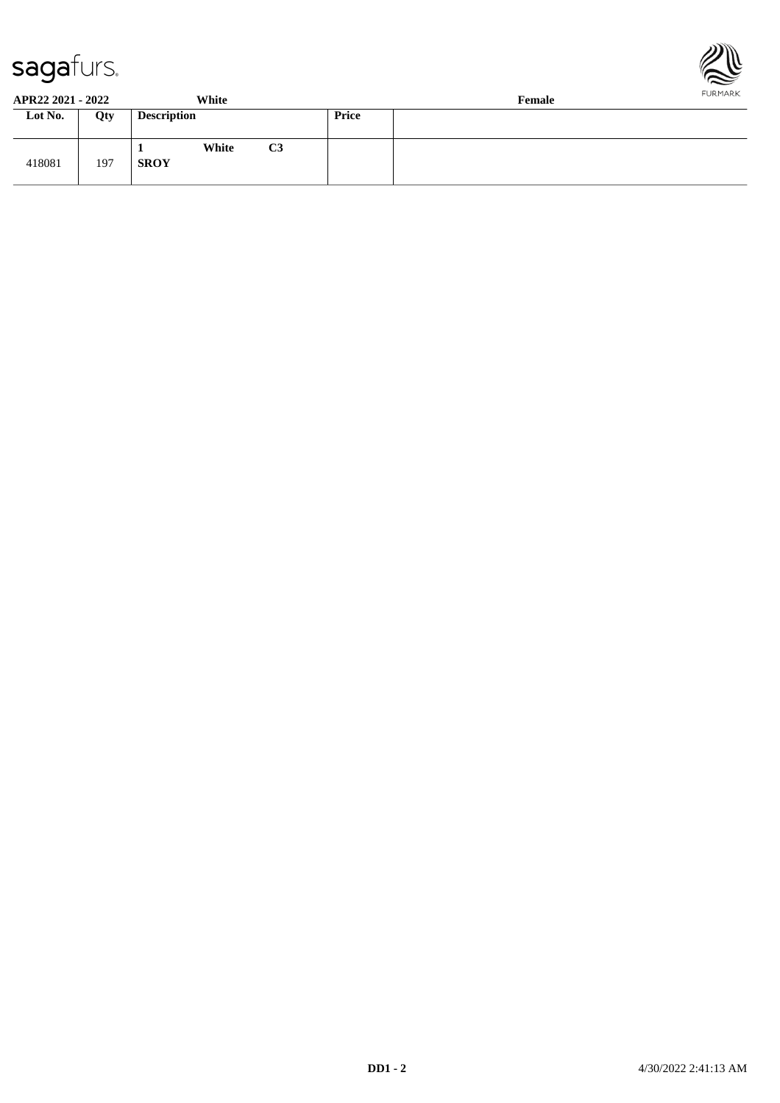



**APR22 2021 - 2022 White Female**

| Lot No. | Qty | <b>Description</b>                     | Price |  |
|---------|-----|----------------------------------------|-------|--|
| 418081  | 197 | C <sub>3</sub><br>White<br><b>SROY</b> |       |  |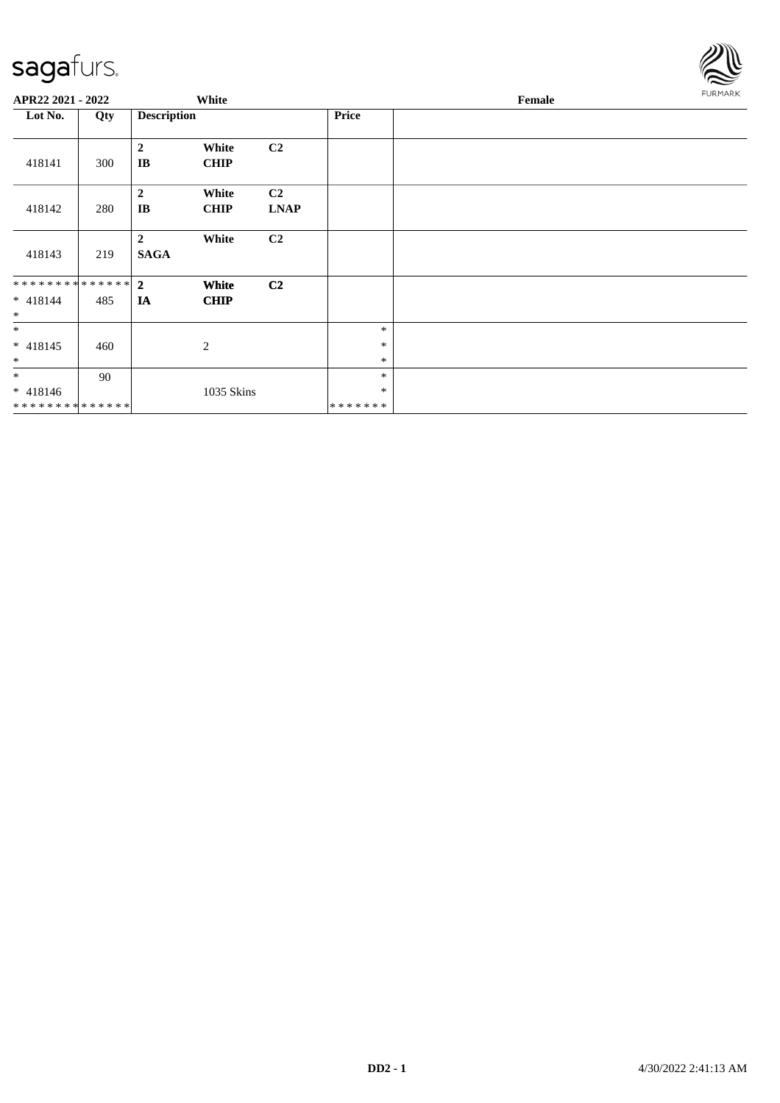

| APR22 2021 - 2022                                      |     |                               | White                |                               |                             | Female | <b>FURMARK</b> |
|--------------------------------------------------------|-----|-------------------------------|----------------------|-------------------------------|-----------------------------|--------|----------------|
| Lot No.                                                | Qty | <b>Description</b>            |                      |                               | <b>Price</b>                |        |                |
| 418141                                                 | 300 | $\overline{2}$<br>IB          | White<br><b>CHIP</b> | C <sub>2</sub>                |                             |        |                |
| 418142                                                 | 280 | $\overline{2}$<br>IB          | White<br><b>CHIP</b> | C <sub>2</sub><br><b>LNAP</b> |                             |        |                |
| 418143                                                 | 219 | $\overline{2}$<br><b>SAGA</b> | White                | C2                            |                             |        |                |
| ******** <mark>******</mark> 2<br>$* 418144$<br>$\ast$ | 485 | IA                            | White<br><b>CHIP</b> | C <sub>2</sub>                |                             |        |                |
| $*$<br>$* 418145$<br>$\ast$                            | 460 |                               | 2                    |                               | $\ast$<br>$\ast$<br>$\ast$  |        |                |
| $*$<br>$* 418146$<br>**************                    | 90  |                               | 1035 Skins           |                               | $\ast$<br>$\ast$<br>******* |        |                |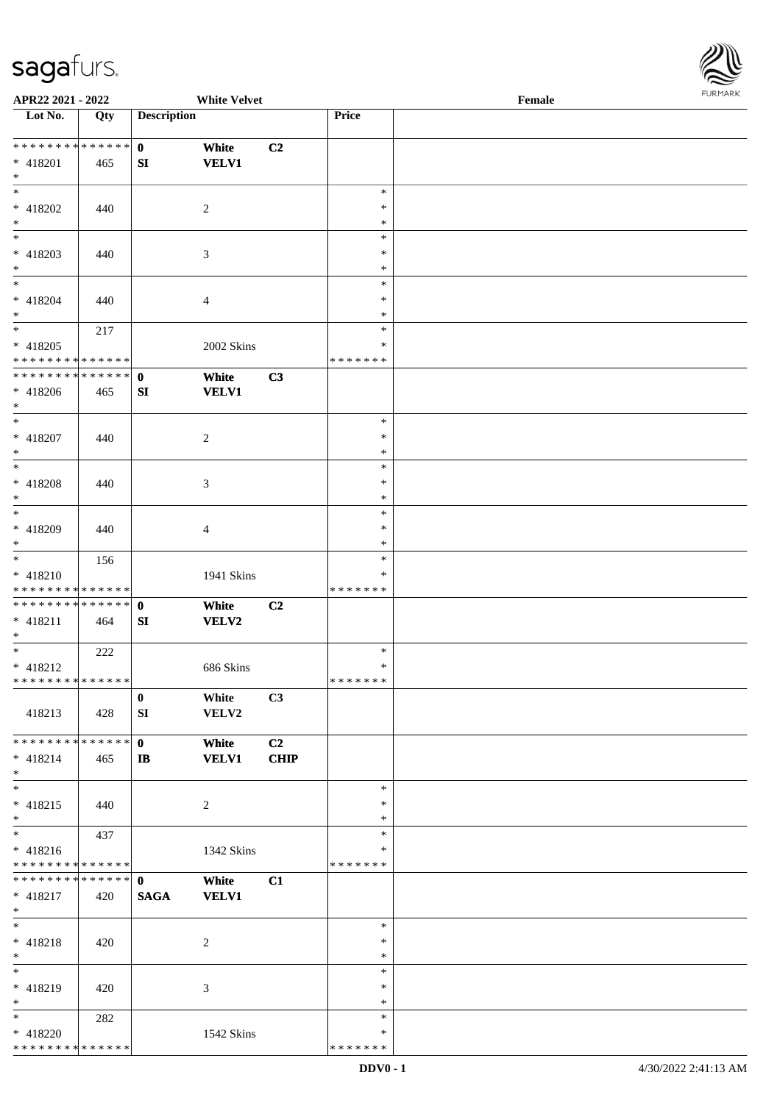

| APR22 2021 - 2022                  |     |                    | <b>White Velvet</b> |                |               | Female |  |
|------------------------------------|-----|--------------------|---------------------|----------------|---------------|--------|--|
| Lot No.                            | Qty | <b>Description</b> |                     |                | Price         |        |  |
|                                    |     |                    |                     |                |               |        |  |
| ******** <mark>******</mark>       |     | $\mathbf{0}$       | White               | C2             |               |        |  |
| * 418201                           | 465 | SI                 | <b>VELV1</b>        |                |               |        |  |
| $*$                                |     |                    |                     |                |               |        |  |
| $\overline{\ast}$                  |     |                    |                     |                | $\ast$        |        |  |
|                                    |     |                    |                     |                | ∗             |        |  |
| $* 418202$                         | 440 |                    | 2                   |                |               |        |  |
| $\ast$<br>$\overline{\phantom{0}}$ |     |                    |                     |                | $\ast$        |        |  |
|                                    |     |                    |                     |                | $\ast$        |        |  |
| $* 418203$                         | 440 |                    | 3                   |                | $\ast$        |        |  |
| $*$                                |     |                    |                     |                | $\ast$        |        |  |
| $*$                                |     |                    |                     |                | $\ast$        |        |  |
| $* 418204$                         | 440 |                    | 4                   |                | $\ast$        |        |  |
| $*$                                |     |                    |                     |                | $\ast$        |        |  |
| $*$                                | 217 |                    |                     |                | $\ast$        |        |  |
| $* 418205$                         |     |                    | 2002 Skins          |                | $\ast$        |        |  |
| * * * * * * * * * * * * * *        |     |                    |                     |                | * * * * * * * |        |  |
| * * * * * * * * * * * * * * *      |     | $\mathbf 0$        | White               | C3             |               |        |  |
| $* 418206$                         | 465 | SI                 | <b>VELV1</b>        |                |               |        |  |
| $*$                                |     |                    |                     |                |               |        |  |
| $*$                                |     |                    |                     |                | $\ast$        |        |  |
|                                    |     |                    |                     |                |               |        |  |
| $* 418207$                         | 440 |                    | 2                   |                | $\ast$        |        |  |
| $*$                                |     |                    |                     |                | $\ast$        |        |  |
| $*$                                |     |                    |                     |                | $\ast$        |        |  |
| * 418208                           | 440 |                    | 3                   |                | $\ast$        |        |  |
| $*$                                |     |                    |                     |                | ∗             |        |  |
| $*$                                |     |                    |                     |                | $\ast$        |        |  |
| * 418209                           | 440 |                    | 4                   |                | $\ast$        |        |  |
| $*$                                |     |                    |                     |                | $\ast$        |        |  |
|                                    | 156 |                    |                     |                | $\ast$        |        |  |
| $* 418210$                         |     |                    | 1941 Skins          |                | ∗             |        |  |
| * * * * * * * * * * * * * *        |     |                    |                     |                | * * * * * * * |        |  |
|                                    |     |                    |                     |                |               |        |  |
| * * * * * * * * * * * * * * *      |     | $\mathbf{0}$       | White               | C <sub>2</sub> |               |        |  |
| $* 418211$                         | 464 | SI                 | <b>VELV2</b>        |                |               |        |  |
| $*$                                |     |                    |                     |                |               |        |  |
| $*$                                | 222 |                    |                     |                | $\ast$        |        |  |
| $* 418212$                         |     |                    | 686 Skins           |                | $\ast$        |        |  |
| ******** <mark>******</mark>       |     |                    |                     |                | *******       |        |  |
|                                    |     | $\bf{0}$           | White               | C3             |               |        |  |
| 418213                             | 428 | SI                 | VELV2               |                |               |        |  |
|                                    |     |                    |                     |                |               |        |  |
| * * * * * * * * * * * * * * *      |     | $\mathbf{0}$       | White               | C <sub>2</sub> |               |        |  |
| $* 418214$                         | 465 | $\mathbf{I}$       | <b>VELV1</b>        | <b>CHIP</b>    |               |        |  |
| $*$                                |     |                    |                     |                |               |        |  |
| $*$                                |     |                    |                     |                | $\ast$        |        |  |
| $* 418215$                         |     |                    |                     |                | $\ast$        |        |  |
|                                    | 440 |                    | $\overline{c}$      |                |               |        |  |
| $*$                                |     |                    |                     |                | $\ast$        |        |  |
| $*$                                | 437 |                    |                     |                | $\ast$        |        |  |
| $* 418216$                         |     |                    | 1342 Skins          |                | ∗             |        |  |
| * * * * * * * * * * * * * *        |     |                    |                     |                | * * * * * * * |        |  |
| * * * * * * * * * * * * * * *      |     | $\mathbf{0}$       | White               | C1             |               |        |  |
| $* 418217$                         | 420 | <b>SAGA</b>        | <b>VELV1</b>        |                |               |        |  |
| $*$                                |     |                    |                     |                |               |        |  |
| $*$                                |     |                    |                     |                | $\ast$        |        |  |
| $* 418218$                         | 420 |                    | 2                   |                | $\ast$        |        |  |
| $*$                                |     |                    |                     |                | $\ast$        |        |  |
| $*$                                |     |                    |                     |                | $\ast$        |        |  |
|                                    |     |                    |                     |                |               |        |  |
| * 418219                           | 420 |                    | 3                   |                | ∗             |        |  |
| $*$                                |     |                    |                     |                | $\ast$        |        |  |
| $*$                                | 282 |                    |                     |                | $\ast$        |        |  |
| * 418220                           |     |                    | 1542 Skins          |                | ∗             |        |  |
| * * * * * * * * * * * * * *        |     |                    |                     |                | * * * * * * * |        |  |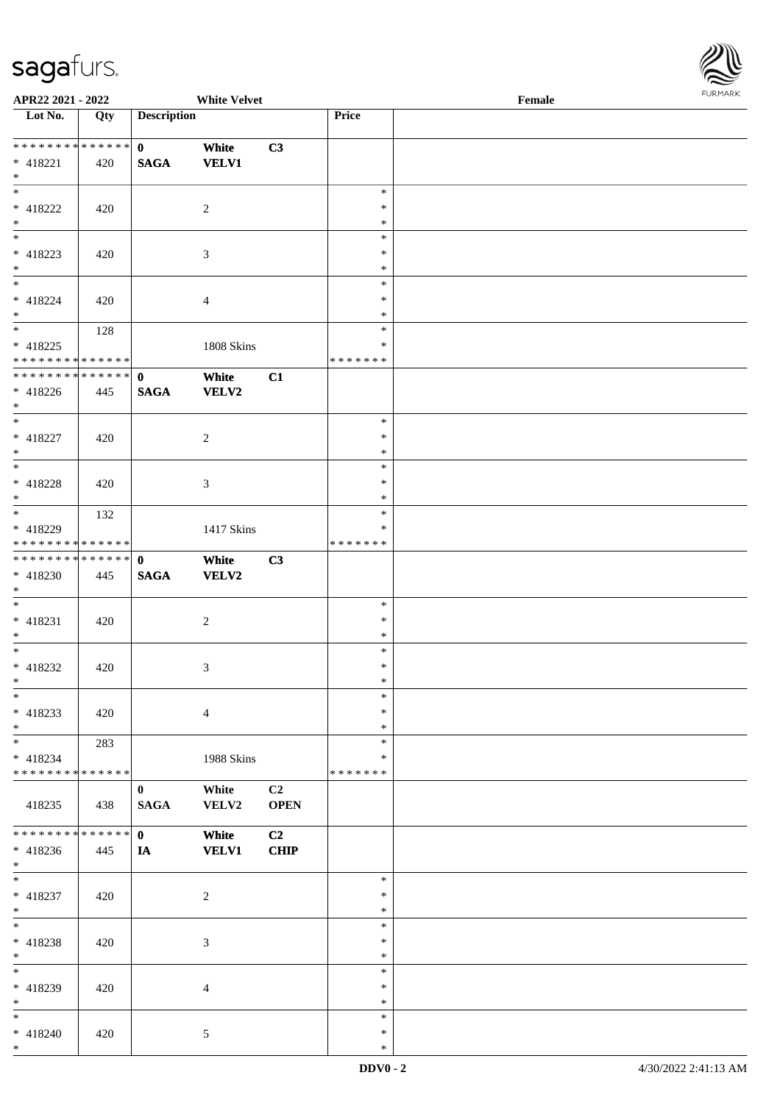

| APR22 2021 - 2022             |             |                    | <b>White Velvet</b> |                |               | Female |  |
|-------------------------------|-------------|--------------------|---------------------|----------------|---------------|--------|--|
| Lot No.                       | Qty         | <b>Description</b> |                     |                | Price         |        |  |
|                               |             |                    |                     |                |               |        |  |
| ******** <mark>******</mark>  |             | $\mathbf{0}$       | White               | C3             |               |        |  |
| * 418221                      | 420         | <b>SAGA</b>        | <b>VELV1</b>        |                |               |        |  |
| $*$                           |             |                    |                     |                |               |        |  |
|                               |             |                    |                     |                | $\ast$        |        |  |
| $* 418222$                    | 420         |                    | 2                   |                | $\ast$        |        |  |
| $*$                           |             |                    |                     |                | $\ast$        |        |  |
| $\overline{\phantom{0}}$      |             |                    |                     |                | $\ast$        |        |  |
| $* 418223$                    | 420         |                    | 3                   |                | $\ast$        |        |  |
| $*$                           |             |                    |                     |                | $\ast$        |        |  |
| $*$                           |             |                    |                     |                | $\ast$        |        |  |
| $* 418224$                    | 420         |                    | 4                   |                | $\ast$        |        |  |
| $*$                           |             |                    |                     |                | $\ast$        |        |  |
| $\overline{\ast}$             | 128         |                    |                     |                | $\ast$        |        |  |
| $* 418225$                    |             |                    | 1808 Skins          |                | $\ast$        |        |  |
| * * * * * * * * * * * * * * * |             |                    |                     |                | * * * * * * * |        |  |
| * * * * * * * * * * * * * * * |             |                    |                     |                |               |        |  |
|                               |             | $\mathbf 0$        | White               | C1             |               |        |  |
| $* 418226$<br>$*$             | 445         | <b>SAGA</b>        | <b>VELV2</b>        |                |               |        |  |
| $\overline{\phantom{0}}$      |             |                    |                     |                |               |        |  |
|                               |             |                    |                     |                | $\ast$        |        |  |
| $* 418227$                    | 420         |                    | $\overline{c}$      |                | $\ast$        |        |  |
| $*$                           |             |                    |                     |                | $\ast$        |        |  |
|                               |             |                    |                     |                | $\ast$        |        |  |
| * 418228                      | 420         |                    | 3                   |                | $\ast$        |        |  |
| $*$                           |             |                    |                     |                | *             |        |  |
|                               | 132         |                    |                     |                | $\ast$        |        |  |
| * 418229                      |             |                    | 1417 Skins          |                | ∗             |        |  |
| * * * * * * * * * * * * * *   |             |                    |                     |                | * * * * * * * |        |  |
| ******** <mark>******</mark>  |             | $\mathbf{0}$       | White               | C3             |               |        |  |
| * 418230                      | 445         | <b>SAGA</b>        | <b>VELV2</b>        |                |               |        |  |
| $*$                           |             |                    |                     |                |               |        |  |
| $*$                           |             |                    |                     |                | $\ast$        |        |  |
| $* 418231$                    | 420         |                    | $\overline{c}$      |                | $\ast$        |        |  |
| $*$                           |             |                    |                     |                | $\ast$        |        |  |
| $*$                           |             |                    |                     |                | $\ast$        |        |  |
| $* 418232$                    | 420         |                    | 3                   |                | $\ast$        |        |  |
| $*$                           |             |                    |                     |                | $\ast$        |        |  |
| $*$                           |             |                    |                     |                | $\ast$        |        |  |
| $* 418233$                    | 420         |                    | $\overline{4}$      |                | $\ast$        |        |  |
| $*$                           |             |                    |                     |                | $\ast$        |        |  |
| $*$                           | 283         |                    |                     |                | $\ast$        |        |  |
| $* 418234$                    |             |                    | 1988 Skins          |                | ∗             |        |  |
| ******** <mark>******</mark>  |             |                    |                     |                | * * * * * * * |        |  |
|                               |             | $\mathbf{0}$       | White               | C <sub>2</sub> |               |        |  |
| 418235                        | 438         | <b>SAGA</b>        | VELV2               | <b>OPEN</b>    |               |        |  |
|                               |             |                    |                     |                |               |        |  |
| * * * * * * * *               | * * * * * * | $\mathbf{0}$       | White               | C2             |               |        |  |
| $* 418236$                    | 445         | IA                 | <b>VELV1</b>        | <b>CHIP</b>    |               |        |  |
| $*$                           |             |                    |                     |                |               |        |  |
| $*$                           |             |                    |                     |                | $\ast$        |        |  |
| * 418237                      | 420         |                    | $\boldsymbol{2}$    |                | $\ast$        |        |  |
| $*$                           |             |                    |                     |                | $\ast$        |        |  |
| $*$                           |             |                    |                     |                | $\ast$        |        |  |
| $* 418238$                    | 420         |                    | 3                   |                | $\ast$        |        |  |
| $*$                           |             |                    |                     |                | $\ast$        |        |  |
| $*$                           |             |                    |                     |                | $\ast$        |        |  |
| * 418239                      | 420         |                    | 4                   |                | $\ast$        |        |  |
| $*$                           |             |                    |                     |                | $\ast$        |        |  |
| $*$                           |             |                    |                     |                | $\ast$        |        |  |
| * 418240                      |             |                    |                     |                | $\ast$        |        |  |
| $\ast$                        | 420         |                    | 5                   |                | $\ast$        |        |  |
|                               |             |                    |                     |                |               |        |  |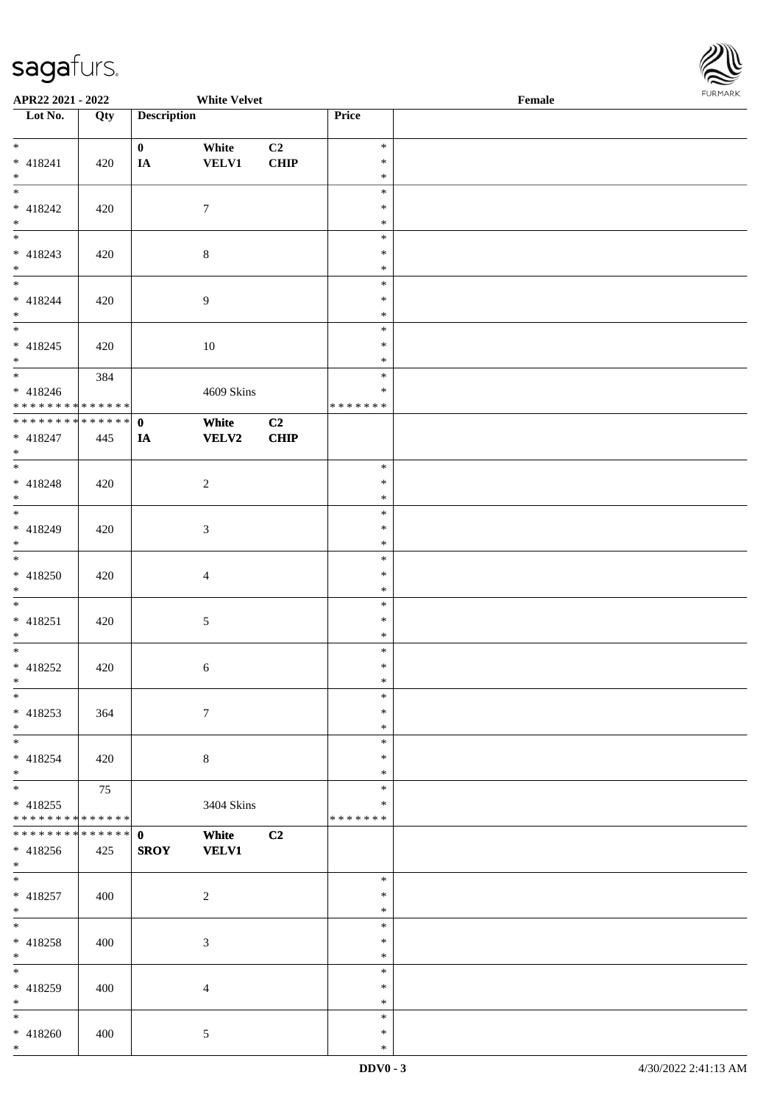\*



| APR22 2021 - 2022                          |     |                    | <b>White Velvet</b> |      |               | Female |  |
|--------------------------------------------|-----|--------------------|---------------------|------|---------------|--------|--|
| Lot No.                                    | Qty | <b>Description</b> |                     |      | Price         |        |  |
|                                            |     |                    |                     |      |               |        |  |
| $*$                                        |     | $\mathbf{0}$       | White               | C2   | $\ast$        |        |  |
| $* 418241$                                 | 420 | IA                 | <b>VELV1</b>        | CHIP | $\ast$        |        |  |
| $*$                                        |     |                    |                     |      | $\ast$        |        |  |
| $\overline{\ast}$                          |     |                    |                     |      | $\ast$        |        |  |
| * 418242                                   | 420 |                    | $\tau$              |      | $\ast$        |        |  |
| $*$                                        |     |                    |                     |      | $\ast$        |        |  |
|                                            |     |                    |                     |      | $\ast$        |        |  |
| $* 418243$                                 |     |                    |                     |      | $\ast$        |        |  |
| $*$                                        | 420 |                    | $\,8\,$             |      | $\ast$        |        |  |
| $\overline{\phantom{0}}$                   |     |                    |                     |      |               |        |  |
|                                            |     |                    |                     |      | $\ast$        |        |  |
| $* 418244$                                 | 420 |                    | $\overline{9}$      |      | $\ast$        |        |  |
| $*$<br>$*$                                 |     |                    |                     |      | $\ast$        |        |  |
|                                            |     |                    |                     |      | $\ast$        |        |  |
| $* 418245$                                 | 420 |                    | 10                  |      | $\ast$        |        |  |
| $*$                                        |     |                    |                     |      | $\ast$        |        |  |
|                                            | 384 |                    |                     |      | $\ast$        |        |  |
| $* 418246$                                 |     |                    | 4609 Skins          |      | $\ast$        |        |  |
| * * * * * * * * <mark>* * * * * * *</mark> |     |                    |                     |      | * * * * * * * |        |  |
| * * * * * * * * * * * * * * <mark>*</mark> |     | $\mathbf{0}$       | White               | C2   |               |        |  |
| * 418247                                   |     |                    | <b>VELV2</b>        | CHIP |               |        |  |
| $*$                                        | 445 | IA                 |                     |      |               |        |  |
| $\overline{\ast}$                          |     |                    |                     |      |               |        |  |
|                                            |     |                    |                     |      | $\ast$        |        |  |
| $* 418248$                                 | 420 |                    | $\overline{c}$      |      | $\ast$        |        |  |
| $\ast$                                     |     |                    |                     |      | $\ast$        |        |  |
|                                            |     |                    |                     |      | $\ast$        |        |  |
| * 418249                                   | 420 |                    | 3                   |      | $\ast$        |        |  |
| $\ast$                                     |     |                    |                     |      | $\ast$        |        |  |
| $*$                                        |     |                    |                     |      | $\ast$        |        |  |
| * 418250                                   | 420 |                    | $\overline{4}$      |      | $\ast$        |        |  |
| $*$                                        |     |                    |                     |      | $\ast$        |        |  |
| $\ddot{x}$                                 |     |                    |                     |      | $\ast$        |        |  |
| $* 418251$                                 | 420 |                    | $5\,$               |      | $\ast$        |        |  |
| $*$                                        |     |                    |                     |      | $\ast$        |        |  |
| $\overline{\cdot}$                         |     |                    |                     |      | $\ast$        |        |  |
|                                            |     |                    |                     |      |               |        |  |
| * 418252                                   | 420 |                    | $\sqrt{6}$          |      | $\ast$        |        |  |
| $\ast$                                     |     |                    |                     |      | $\ast$        |        |  |
| $\ast$                                     |     |                    |                     |      | $\ast$        |        |  |
| $* 418253$                                 | 364 |                    | $7\phantom{.0}$     |      | $\ast$        |        |  |
| $*$                                        |     |                    |                     |      | $\ast$        |        |  |
| $*$                                        |     |                    |                     |      | $\ast$        |        |  |
| $* 418254$                                 | 420 |                    | $8\phantom{.}$      |      | $\ast$        |        |  |
| $*$                                        |     |                    |                     |      | $\ast$        |        |  |
| $\ddot{x}$                                 | 75  |                    |                     |      | $\ast$        |        |  |
| * 418255                                   |     |                    | 3404 Skins          |      | $\ast$        |        |  |
| * * * * * * * * <mark>* * * * * * *</mark> |     |                    |                     |      | *******       |        |  |
| * * * * * * * * <mark>* * * * * * *</mark> |     | $\mathbf{0}$       | White               | C2   |               |        |  |
|                                            |     |                    |                     |      |               |        |  |
| $* 418256$                                 | 425 | <b>SROY</b>        | <b>VELV1</b>        |      |               |        |  |
| $*$<br>$\overline{\mathbf{r}}$             |     |                    |                     |      |               |        |  |
|                                            |     |                    |                     |      | $\ast$        |        |  |
| $* 418257$                                 | 400 |                    | $\overline{2}$      |      | $\ast$        |        |  |
| $*$                                        |     |                    |                     |      | $\ast$        |        |  |
| $\ddot{x}$                                 |     |                    |                     |      | $\ast$        |        |  |
| * 418258                                   | 400 |                    | 3                   |      | $\ast$        |        |  |
| $*$ $-$                                    |     |                    |                     |      | $\ast$        |        |  |
|                                            |     |                    |                     |      | $\ast$        |        |  |
| * 418259                                   | 400 |                    | $\overline{4}$      |      | $\ast$        |        |  |
| $*$                                        |     |                    |                     |      | $\ast$        |        |  |
| $\ast$                                     |     |                    |                     |      | $\ast$        |        |  |
|                                            |     |                    |                     |      | $\ast$        |        |  |
| $* 418260$                                 | 400 |                    | $\mathfrak{S}$      |      |               |        |  |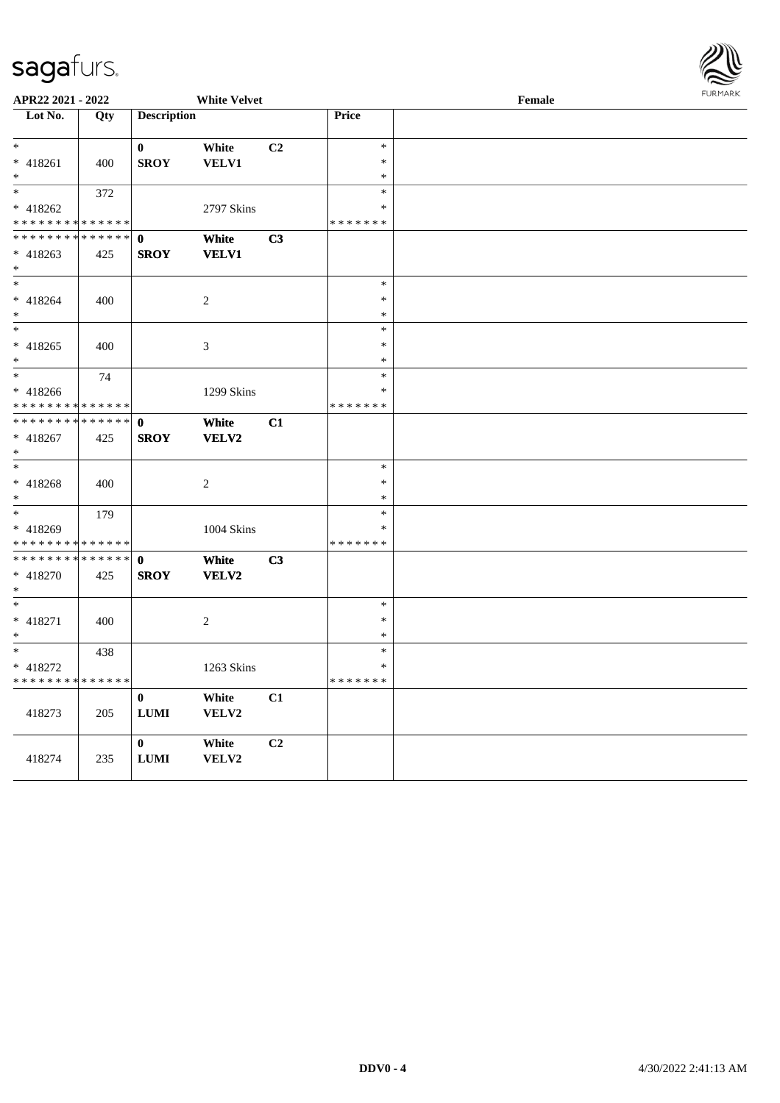

| APR22 2021 - 2022                          |             |                    | <b>White Velvet</b> |                |                         | Female | <b>FUNITANN</b> |
|--------------------------------------------|-------------|--------------------|---------------------|----------------|-------------------------|--------|-----------------|
| Lot No.                                    | Qty         | <b>Description</b> |                     |                | Price                   |        |                 |
|                                            |             |                    |                     |                |                         |        |                 |
| $\ast$                                     |             | $\bf{0}$           | White               | C <sub>2</sub> | $\ast$                  |        |                 |
| * 418261                                   | 400         | <b>SROY</b>        | <b>VELV1</b>        |                | $\ast$                  |        |                 |
| $\ast$                                     |             |                    |                     |                | $\ast$                  |        |                 |
| $\ast$                                     | 372         |                    |                     |                | $\ast$                  |        |                 |
| $* 418262$                                 |             |                    | 2797 Skins          |                | $\ast$                  |        |                 |
| * * * * * * * *                            | * * * * * * |                    |                     |                | * * * * * * *           |        |                 |
| * * * * * * * * <mark>* * * * * *</mark>   |             | $\mathbf 0$        | White               | C3             |                         |        |                 |
| $* 418263$                                 | 425         | <b>SROY</b>        | <b>VELV1</b>        |                |                         |        |                 |
| $\ast$<br>$\ast$                           |             |                    |                     |                | $\ast$                  |        |                 |
|                                            |             |                    |                     |                | $\ast$                  |        |                 |
| $* 418264$<br>$\ast$                       | 400         |                    | $\sqrt{2}$          |                | $\ast$                  |        |                 |
| $\ast$                                     |             |                    |                     |                | $\ast$                  |        |                 |
| $* 418265$                                 | 400         |                    | $\mathfrak{Z}$      |                | $\ast$                  |        |                 |
| $\ast$                                     |             |                    |                     |                | $\ast$                  |        |                 |
| $\ast$                                     | 74          |                    |                     |                | $\ast$                  |        |                 |
| * 418266                                   |             |                    | 1299 Skins          |                | $\ast$                  |        |                 |
| * * * * * * * * * * * * * *                |             |                    |                     |                | * * * * * * *           |        |                 |
| * * * * * * * * <mark>* * * * * *</mark>   |             | $\mathbf{0}$       | White               | C1             |                         |        |                 |
| * 418267                                   | 425         | <b>SROY</b>        | <b>VELV2</b>        |                |                         |        |                 |
| $\ast$                                     |             |                    |                     |                |                         |        |                 |
| $\ast$                                     |             |                    |                     |                | $\ast$                  |        |                 |
| $* 418268$                                 | 400         |                    | 2                   |                | $\ast$                  |        |                 |
| $\ast$                                     |             |                    |                     |                | $\ast$                  |        |                 |
| $\ast$                                     | 179         |                    |                     |                | $\ast$                  |        |                 |
| * 418269                                   |             |                    | 1004 Skins          |                | $\ast$                  |        |                 |
| * * * * * * * * <mark>* * * * * * *</mark> |             |                    |                     |                | * * * * * * *           |        |                 |
| * * * * * * * *                            | * * * * * * | $\mathbf{0}$       | White               | C <sub>3</sub> |                         |        |                 |
| * 418270                                   | 425         | <b>SROY</b>        | VELV2               |                |                         |        |                 |
| $\ast$                                     |             |                    |                     |                |                         |        |                 |
| $\ast$                                     |             |                    |                     |                | $\ast$                  |        |                 |
| * 418271                                   | 400         |                    | $\sqrt{2}$          |                | $\ast$                  |        |                 |
| $\ast$<br>$\ast$                           |             |                    |                     |                | $\ast$                  |        |                 |
|                                            | 438         |                    |                     |                | $\ast$                  |        |                 |
| * 418272<br>* * * * * * * *                |             |                    | 1263 Skins          |                | $\ast$<br>* * * * * * * |        |                 |
|                                            | * * * * * * |                    |                     |                |                         |        |                 |
|                                            |             | $\bf{0}$           | White               | C1             |                         |        |                 |
| 418273                                     | 205         | <b>LUMI</b>        | VELV2               |                |                         |        |                 |
|                                            |             | $\bf{0}$           | White               | C2             |                         |        |                 |
| 418274                                     | 235         | <b>LUMI</b>        | VELV2               |                |                         |        |                 |
|                                            |             |                    |                     |                |                         |        |                 |
|                                            |             |                    |                     |                |                         |        |                 |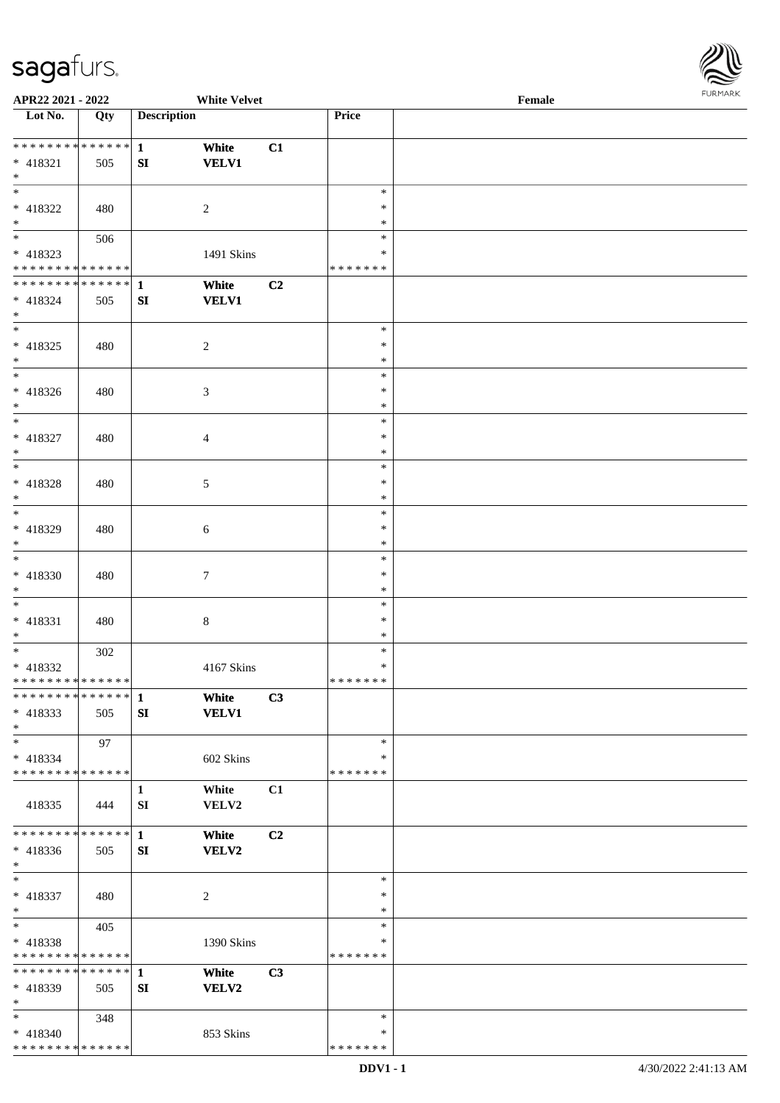

| APR22 2021 - 2022                  |     |                    | <b>White Velvet</b> |    |               | Female |  |
|------------------------------------|-----|--------------------|---------------------|----|---------------|--------|--|
| $\overline{\phantom{1}}$ Lot No.   | Qty | <b>Description</b> |                     |    | Price         |        |  |
|                                    |     |                    |                     |    |               |        |  |
| ******** <mark>******</mark>       |     | $\mathbf{1}$       | White               | C1 |               |        |  |
| $* 418321$                         | 505 | ${\bf S}{\bf I}$   | <b>VELV1</b>        |    |               |        |  |
| $*$                                |     |                    |                     |    |               |        |  |
| $\overline{\ast}$                  |     |                    |                     |    | $\ast$        |        |  |
| * 418322                           |     |                    |                     |    | *             |        |  |
|                                    | 480 |                    | $\overline{c}$      |    |               |        |  |
| $\ast$<br>$\overline{\phantom{0}}$ |     |                    |                     |    | ∗             |        |  |
|                                    | 506 |                    |                     |    | $\ast$        |        |  |
| * 418323                           |     |                    | 1491 Skins          |    | $\ast$        |        |  |
| * * * * * * * * * * * * * *        |     |                    |                     |    | * * * * * * * |        |  |
| ******** <mark>******</mark>       |     | $\mathbf{1}$       | White               | C2 |               |        |  |
| $* 418324$                         | 505 | SI                 | <b>VELV1</b>        |    |               |        |  |
| $\ast$                             |     |                    |                     |    |               |        |  |
| $\overline{\ast}$                  |     |                    |                     |    | $\ast$        |        |  |
| $* 418325$                         | 480 |                    | $\overline{c}$      |    | $\ast$        |        |  |
| $\ast$                             |     |                    |                     |    | $\ast$        |        |  |
| $\overline{\phantom{a}^*}$         |     |                    |                     |    | $\ast$        |        |  |
| $* 418326$                         | 480 |                    | 3                   |    | $\ast$        |        |  |
| $\ast$                             |     |                    |                     |    | $\ast$        |        |  |
| $\overline{\ast}$                  |     |                    |                     |    |               |        |  |
|                                    |     |                    |                     |    | $\ast$        |        |  |
| $* 418327$                         | 480 |                    | $\overline{4}$      |    | $\ast$        |        |  |
| $\ast$                             |     |                    |                     |    | $\ast$        |        |  |
| $\ast$                             |     |                    |                     |    | $\ast$        |        |  |
| $* 418328$                         | 480 |                    | $\sqrt{5}$          |    | $\ast$        |        |  |
| $\ast$                             |     |                    |                     |    | ∗             |        |  |
| $\overline{\ast}$                  |     |                    |                     |    | $\ast$        |        |  |
| * 418329                           | 480 |                    | 6                   |    | $\ast$        |        |  |
| $\ast$                             |     |                    |                     |    | $\ast$        |        |  |
| $\overline{\ast}$                  |     |                    |                     |    | $\ast$        |        |  |
| * 418330                           | 480 |                    |                     |    | $\ast$        |        |  |
|                                    |     |                    | $\overline{7}$      |    |               |        |  |
| $*$<br>$\ast$                      |     |                    |                     |    | $\ast$        |        |  |
|                                    |     |                    |                     |    | $\ast$        |        |  |
| $* 418331$                         | 480 |                    | $\,8\,$             |    | $\ast$        |        |  |
| $*$                                |     |                    |                     |    | $\ast$        |        |  |
| $\ast$                             | 302 |                    |                     |    | $\ast$        |        |  |
| $* 418332$                         |     |                    | 4167 Skins          |    | $\ast$        |        |  |
| **************                     |     |                    |                     |    | * * * * * * * |        |  |
| ************** 1                   |     |                    | White               | C3 |               |        |  |
| * 418333                           | 505 | SI                 | <b>VELV1</b>        |    |               |        |  |
| $*$                                |     |                    |                     |    |               |        |  |
| $\ast$                             | 97  |                    |                     |    | $\ast$        |        |  |
| $* 418334$                         |     |                    | 602 Skins           |    | ∗             |        |  |
| * * * * * * * * * * * * * *        |     |                    |                     |    | * * * * * * * |        |  |
|                                    |     |                    |                     |    |               |        |  |
|                                    |     | $\mathbf{1}$       | White               | C1 |               |        |  |
| 418335                             | 444 | SI                 | VELV2               |    |               |        |  |
|                                    |     |                    |                     |    |               |        |  |
| * * * * * * * * * * * * * * *      |     | $\mathbf{1}$       | White               | C2 |               |        |  |
| * 418336                           | 505 | SI                 | <b>VELV2</b>        |    |               |        |  |
| $*$                                |     |                    |                     |    |               |        |  |
| $\ast$                             |     |                    |                     |    | $\ast$        |        |  |
| $* 418337$                         | 480 |                    | $\sqrt{2}$          |    | $\ast$        |        |  |
| $*$                                |     |                    |                     |    | $\ast$        |        |  |
| $\ast$                             | 405 |                    |                     |    | $\ast$        |        |  |
| $* 418338$                         |     |                    | 1390 Skins          |    | $\ast$        |        |  |
| * * * * * * * * * * * * * *        |     |                    |                     |    | * * * * * * * |        |  |
| * * * * * * * * * * * * * * *      |     | $\mathbf{1}$       |                     |    |               |        |  |
|                                    |     |                    | White               | C3 |               |        |  |
| * 418339                           | 505 | SI                 | <b>VELV2</b>        |    |               |        |  |
| $\ast$                             |     |                    |                     |    |               |        |  |
| $*$                                | 348 |                    |                     |    | $\ast$        |        |  |
| $* 418340$                         |     |                    | 853 Skins           |    | ∗             |        |  |
| * * * * * * * * * * * * * *        |     |                    |                     |    | * * * * * * * |        |  |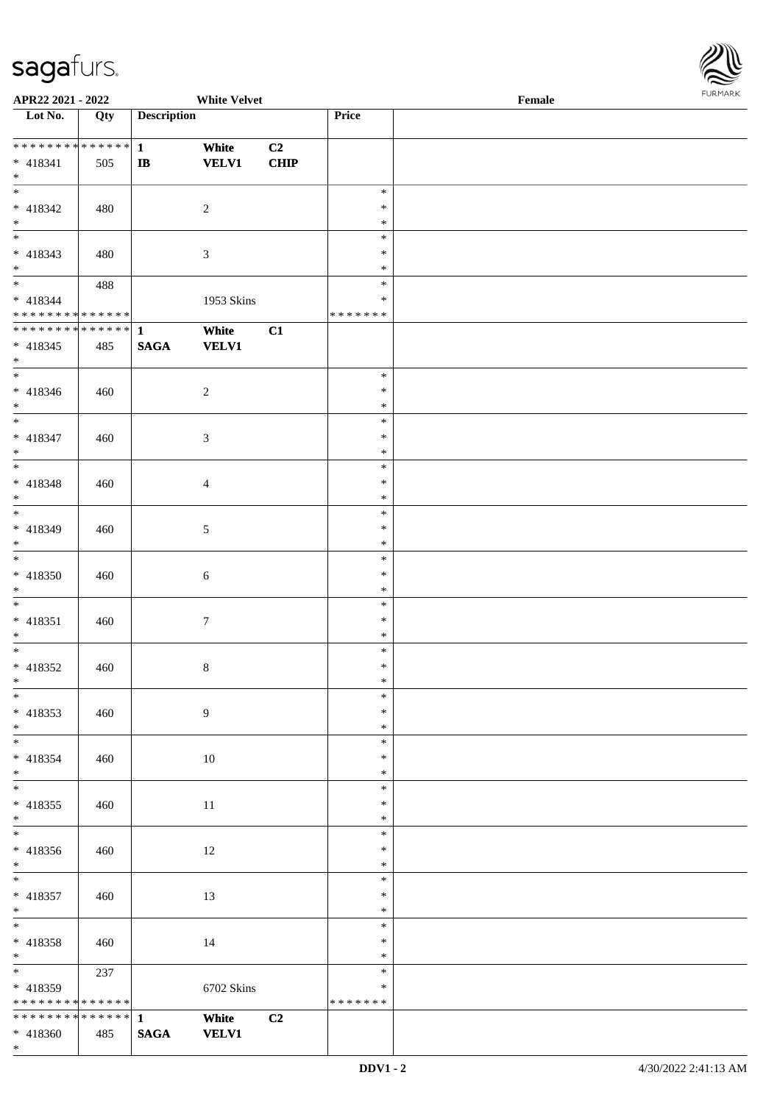\*



| APR22 2021 - 2022                |     |                    | <b>White Velvet</b> |                |               | Female<br>1.911111111 |
|----------------------------------|-----|--------------------|---------------------|----------------|---------------|-----------------------|
| $\overline{\phantom{1}}$ Lot No. | Qty | <b>Description</b> |                     |                | Price         |                       |
|                                  |     |                    |                     |                |               |                       |
| ******** <mark>******</mark>     |     | $\mathbf{1}$       | White               | C2             |               |                       |
| $* 418341$                       | 505 | $\bf IB$           | <b>VELV1</b>        | <b>CHIP</b>    |               |                       |
| $*$                              |     |                    |                     |                |               |                       |
| $\overline{\phantom{0}}$         |     |                    |                     |                | $\ast$        |                       |
| $* 418342$                       | 480 |                    | $\overline{c}$      |                | $\ast$        |                       |
| $\ast$                           |     |                    |                     |                | $\ast$        |                       |
| $\overline{\phantom{0}}$         |     |                    |                     |                | $\ast$        |                       |
| $* 418343$                       | 480 |                    | 3                   |                | $\ast$        |                       |
| $*$                              |     |                    |                     |                | $\ast$        |                       |
| $*$                              | 488 |                    |                     |                | $\ast$        |                       |
| $* 418344$                       |     |                    | 1953 Skins          |                | $\ast$        |                       |
| * * * * * * * * * * * * * *      |     |                    |                     |                | * * * * * * * |                       |
| ******** <mark>******</mark>     |     | $\vert$ 1          | White               | C1             |               |                       |
| $* 418345$                       | 485 | <b>SAGA</b>        | <b>VELV1</b>        |                |               |                       |
| $*$                              |     |                    |                     |                |               |                       |
| $\overline{\phantom{0}}$         |     |                    |                     |                | $\ast$        |                       |
| $* 418346$                       | 460 |                    | $\sqrt{2}$          |                | $\ast$        |                       |
| $*$                              |     |                    |                     |                | $\ast$        |                       |
| $\overline{\ }$                  |     |                    |                     |                | $\ast$        |                       |
| $* 418347$                       | 460 |                    | 3                   |                | $\ast$        |                       |
| $*$                              |     |                    |                     |                | $\ast$        |                       |
| $\overline{\phantom{0}}$         |     |                    |                     |                | $\ast$        |                       |
| $* 418348$                       | 460 |                    | $\overline{4}$      |                | $\ast$        |                       |
| $\ast$                           |     |                    |                     |                | $\ast$        |                       |
| $\overline{\phantom{0}}$         |     |                    |                     |                | $\ast$        |                       |
| $* 418349$                       | 460 |                    | 5                   |                | $\ast$        |                       |
| $*$                              |     |                    |                     |                | $\ast$        |                       |
| $\ast$                           |     |                    |                     |                | $\ast$        |                       |
| $* 418350$                       | 460 |                    | 6                   |                | $\ast$        |                       |
| $*$                              |     |                    |                     |                | $\ast$        |                       |
| $\ast$                           |     |                    |                     |                | $\ast$        |                       |
| $* 418351$                       | 460 |                    | $\tau$              |                | $\ast$        |                       |
| $*$                              |     |                    |                     |                | $\ast$        |                       |
| $*$                              |     |                    |                     |                | $\ast$        |                       |
| $* 418352$                       | 460 |                    | 8                   |                | $\ast$        |                       |
| $*$ $-$                          |     |                    |                     |                | $\ast$        |                       |
| $*$                              |     |                    |                     |                | $\ast$        |                       |
| $* 418353$                       | 460 |                    | 9                   |                | $\ast$        |                       |
| $*$                              |     |                    |                     |                | $\ast$        |                       |
| $\overline{\phantom{0}}$         |     |                    |                     |                | $\ast$        |                       |
| * 418354                         | 460 |                    | 10                  |                | $\ast$        |                       |
| $*$                              |     |                    |                     |                | $\ast$        |                       |
|                                  |     |                    |                     |                | $\ast$        |                       |
| $* 418355$                       | 460 |                    | 11                  |                | ∗             |                       |
| $*$                              |     |                    |                     |                | $\ast$        |                       |
| $\overline{\phantom{0}}$         |     |                    |                     |                | $\ast$        |                       |
| * 418356                         | 460 |                    | 12                  |                | $\ast$        |                       |
| $*$                              |     |                    |                     |                | $\ast$        |                       |
| $\overline{\phantom{0}}$         |     |                    |                     |                | $\ast$        |                       |
| $* 418357$                       | 460 |                    | 13                  |                | $\ast$        |                       |
| $*$ $*$                          |     |                    |                     |                | $\ast$        |                       |
| $*$                              |     |                    |                     |                | $\ast$        |                       |
| $* 418358$                       | 460 |                    | 14                  |                | $\ast$        |                       |
| $*$                              |     |                    |                     |                | $\ast$        |                       |
| $*$ and $*$                      | 237 |                    |                     |                | $\ast$        |                       |
| $* 418359$                       |     |                    | 6702 Skins          |                | $\ast$        |                       |
| * * * * * * * * * * * * * *      |     |                    |                     |                | * * * * * * * |                       |
| * * * * * * * * * * * * * * *    |     | $\mathbf{1}$       | White               | C <sub>2</sub> |               |                       |
| * 418360                         | 485 | <b>SAGA</b>        | <b>VELV1</b>        |                |               |                       |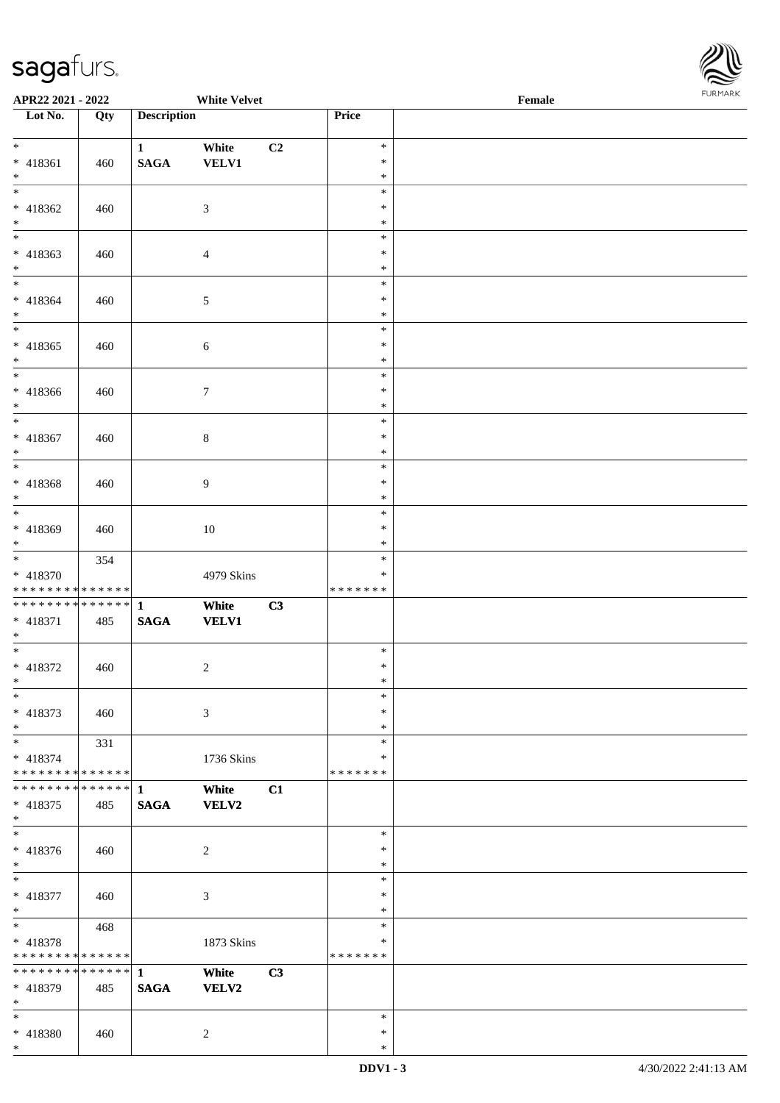\*



| APR22 2021 - 2022                          |     |                    | <b>White Velvet</b> |                |               | Female |  |
|--------------------------------------------|-----|--------------------|---------------------|----------------|---------------|--------|--|
| Lot No.                                    | Qty | <b>Description</b> |                     |                | Price         |        |  |
|                                            |     |                    |                     |                |               |        |  |
| $*$                                        |     | $\mathbf{1}$       | White               | C <sub>2</sub> | $\ast$        |        |  |
| * 418361                                   | 460 | <b>SAGA</b>        | <b>VELV1</b>        |                | $\ast$        |        |  |
| $*$                                        |     |                    |                     |                | $\ast$        |        |  |
|                                            |     |                    |                     |                | $\ast$        |        |  |
| * 418362                                   | 460 |                    | $\mathfrak{Z}$      |                | $\ast$        |        |  |
| $*$                                        |     |                    |                     |                | $\ast$        |        |  |
| $\overline{\phantom{0}}$                   |     |                    |                     |                | $\ast$        |        |  |
| * 418363                                   | 460 |                    | $\overline{4}$      |                | $\ast$        |        |  |
| $\ast$                                     |     |                    |                     |                | $\ast$        |        |  |
| $*$                                        |     |                    |                     |                | $\ast$        |        |  |
| * 418364                                   | 460 |                    | $\mathfrak{S}$      |                | $\ast$        |        |  |
| $*$                                        |     |                    |                     |                | $\ast$        |        |  |
| $*$                                        |     |                    |                     |                | $\ast$        |        |  |
| * 418365                                   | 460 |                    | $\sqrt{6}$          |                | $\ast$        |        |  |
| $*$                                        |     |                    |                     |                | $\ast$        |        |  |
|                                            |     |                    |                     |                | $\ast$        |        |  |
| * 418366                                   | 460 |                    | $7\phantom{.0}$     |                | $\ast$        |        |  |
| $*$                                        |     |                    |                     |                | $\ast$        |        |  |
| $\overline{\ast}$                          |     |                    |                     |                | $\ast$        |        |  |
| * 418367                                   | 460 |                    | $8\,$               |                | $\ast$        |        |  |
| $\ast$                                     |     |                    |                     |                | $\ast$        |        |  |
|                                            |     |                    |                     |                | $\ast$        |        |  |
| * 418368                                   | 460 |                    | 9                   |                | $\ast$        |        |  |
| $\ast$                                     |     |                    |                     |                | $\ast$        |        |  |
| $\overline{\phantom{0}}$                   |     |                    |                     |                | $\ast$        |        |  |
| * 418369                                   | 460 |                    | 10                  |                | $\ast$        |        |  |
| $\ast$                                     |     |                    |                     |                | $\ast$        |        |  |
| $*$                                        | 354 |                    |                     |                | $\ast$        |        |  |
| * 418370                                   |     |                    | 4979 Skins          |                | $\ast$        |        |  |
| * * * * * * * * <mark>* * * * * *</mark>   |     |                    |                     |                | *******       |        |  |
|                                            |     |                    | White               | C3             |               |        |  |
| * 418371                                   | 485 | <b>SAGA</b>        | <b>VELV1</b>        |                |               |        |  |
| $*$                                        |     |                    |                     |                |               |        |  |
| $*$                                        |     |                    |                     |                | $\ast$        |        |  |
| * 418372                                   | 460 |                    | $\overline{2}$      |                | $\ast$        |        |  |
| $*$                                        |     |                    |                     |                | $\ast$        |        |  |
| $\ast$                                     |     |                    |                     |                | $\ast$        |        |  |
| * 418373                                   | 460 |                    | 3                   |                | $\ast$        |        |  |
| $*$                                        |     |                    |                     |                | $\ast$        |        |  |
| $*$                                        | 331 |                    |                     |                | $\ast$        |        |  |
| $* 418374$                                 |     |                    | 1736 Skins          |                | ∗             |        |  |
| * * * * * * * * <mark>* * * * * * *</mark> |     |                    |                     |                | * * * * * * * |        |  |
|                                            |     |                    | White               | C1             |               |        |  |
| * 418375                                   | 485 | <b>SAGA</b>        | VELV2               |                |               |        |  |
| $*$                                        |     |                    |                     |                |               |        |  |
| $\overline{\phantom{0}}$                   |     |                    |                     |                | $\ast$        |        |  |
| * 418376                                   | 460 |                    | $\overline{2}$      |                | $\ast$        |        |  |
| $*$                                        |     |                    |                     |                | $\ast$        |        |  |
| $*$                                        |     |                    |                     |                | $\ast$        |        |  |
| * 418377                                   | 460 |                    | $\sqrt{3}$          |                | $\ast$        |        |  |
| $*$                                        |     |                    |                     |                | $\ast$        |        |  |
| $\ddot{x}$                                 | 468 |                    |                     |                | $\ast$        |        |  |
| * 418378                                   |     |                    | 1873 Skins          |                | $\ast$        |        |  |
| * * * * * * * * <mark>* * * * * *</mark>   |     |                    |                     |                | * * * * * * * |        |  |
| * * * * * * * * <mark>* * * * * * *</mark> |     | $\mathbf{1}$       | White               | C3             |               |        |  |
| * 418379                                   | 485 | <b>SAGA</b>        | VELV2               |                |               |        |  |
| $*$                                        |     |                    |                     |                |               |        |  |
| $\ast$                                     |     |                    |                     |                | $\ast$        |        |  |
| * 418380                                   | 460 |                    | $\overline{2}$      |                | $\ast$        |        |  |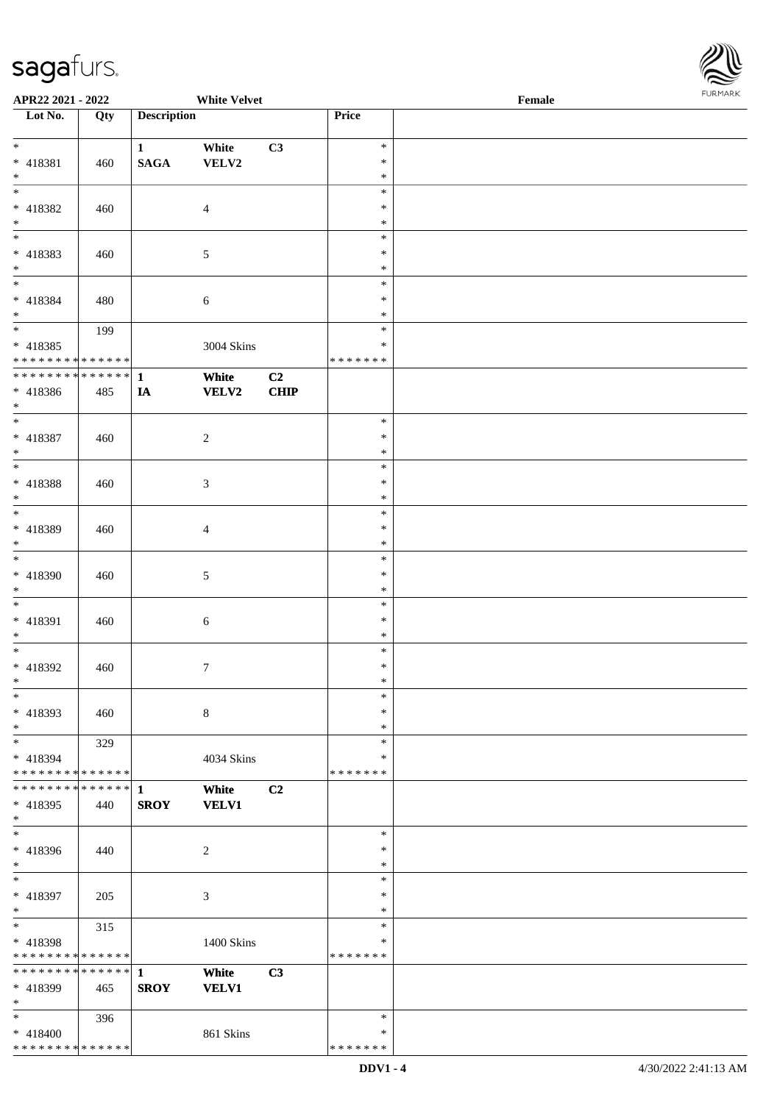

| APR22 2021 - 2022                         |        |                    | <b>White Velvet</b> |             |                  | Female | <b>I ORI IMPORT</b> |
|-------------------------------------------|--------|--------------------|---------------------|-------------|------------------|--------|---------------------|
| $\overline{\phantom{1}}$ Lot No.          | Qty    | <b>Description</b> |                     |             | Price            |        |                     |
|                                           |        |                    |                     |             |                  |        |                     |
| $*$                                       |        | $\mathbf{1}$       | White               | C3          | $\ast$           |        |                     |
| * 418381                                  | 460    | $\mathbf{SAGA}$    | VELV2               |             | $\ast$           |        |                     |
| $*$                                       |        |                    |                     |             | $\ast$           |        |                     |
| $\overline{\ast}$                         |        |                    |                     |             | $\ast$           |        |                     |
| $* 418382$                                | 460    |                    | $\overline{4}$      |             | $\ast$           |        |                     |
| $*$                                       |        |                    |                     |             | $\ast$           |        |                     |
| $*$                                       |        |                    |                     |             | $\ast$           |        |                     |
| * 418383                                  | 460    |                    | 5                   |             | $\ast$           |        |                     |
| $\ast$                                    |        |                    |                     |             | $\ast$           |        |                     |
| $*$                                       |        |                    |                     |             | $\ast$           |        |                     |
| * 418384                                  | 480    |                    | 6                   |             | $\ast$           |        |                     |
| $*$                                       |        |                    |                     |             | $\ast$           |        |                     |
| $\overline{\phantom{0}}$                  | 199    |                    |                     |             | $\ast$           |        |                     |
| $* 418385$                                |        |                    | 3004 Skins          |             | ∗                |        |                     |
| * * * * * * * * * * * * * *               |        |                    |                     |             | * * * * * * *    |        |                     |
| * * * * * * * * * * * * * * *             |        | $\mathbf{1}$       | White               | C2          |                  |        |                     |
| $* 418386$                                | 485    | IA                 | <b>VELV2</b>        | <b>CHIP</b> |                  |        |                     |
| $*$                                       |        |                    |                     |             |                  |        |                     |
| $*$                                       |        |                    |                     |             | $\ast$           |        |                     |
| $* 418387$                                | 460    |                    | $\overline{c}$      |             | $\ast$           |        |                     |
| $*$                                       |        |                    |                     |             | $\ast$           |        |                     |
| $\overline{\phantom{0}}$                  |        |                    |                     |             | $\ast$           |        |                     |
| $* 418388$                                | 460    |                    | 3                   |             | ∗                |        |                     |
| $*$                                       |        |                    |                     |             | $\ast$           |        |                     |
| $\overline{\ }$                           |        |                    |                     |             | $\ast$           |        |                     |
| * 418389                                  | 460    |                    | 4                   |             | $\ast$           |        |                     |
| $*$                                       |        |                    |                     |             | $\ast$           |        |                     |
| $\overline{\ }$                           |        |                    |                     |             | $\ast$           |        |                     |
| * 418390                                  | 460    |                    | 5                   |             | $\ast$           |        |                     |
| $*$<br>$\overline{\phantom{0}}$           |        |                    |                     |             | $\ast$           |        |                     |
|                                           |        |                    |                     |             | $\ast$           |        |                     |
| * 418391                                  | 460    |                    | 6                   |             | $\ast$           |        |                     |
| $*$                                       |        |                    |                     |             | $\ast$           |        |                     |
| $*$                                       |        |                    |                     |             | $\ast$           |        |                     |
| $* 418392$                                | 460    |                    | 7                   |             | $\ast$           |        |                     |
| $*$<br>$*$                                |        |                    |                     |             | $\ast$<br>$\ast$ |        |                     |
|                                           |        |                    |                     |             | $\ast$           |        |                     |
| * 418393                                  | 460    |                    | $\,8\,$             |             |                  |        |                     |
| $\ast$<br>$*$                             |        |                    |                     |             | $\ast$<br>$\ast$ |        |                     |
|                                           | 329    |                    |                     |             | ∗                |        |                     |
| * 418394<br>* * * * * * * * * * * * * * * |        |                    | 4034 Skins          |             | * * * * * * *    |        |                     |
| * * * * * * * *                           | ****** |                    |                     | C2          |                  |        |                     |
| * 418395                                  |        | 1<br><b>SROY</b>   | White               |             |                  |        |                     |
| $*$                                       | 440    |                    | <b>VELV1</b>        |             |                  |        |                     |
| $*$                                       |        |                    |                     |             | $\ast$           |        |                     |
| * 418396                                  | 440    |                    | 2                   |             | $\ast$           |        |                     |
| $*$                                       |        |                    |                     |             | $\ast$           |        |                     |
| $\ast$                                    |        |                    |                     |             | $\ast$           |        |                     |
| * 418397                                  | 205    |                    | 3                   |             | ∗                |        |                     |
| $*$                                       |        |                    |                     |             | $\ast$           |        |                     |
| $*$                                       | 315    |                    |                     |             | $\ast$           |        |                     |
| * 418398                                  |        |                    | 1400 Skins          |             | $\ast$           |        |                     |
| * * * * * * * * * * * * * *               |        |                    |                     |             | * * * * * * *    |        |                     |
| * * * * * * * * * * * * * * *             |        | $\mathbf{1}$       | White               | C3          |                  |        |                     |
| * 418399                                  | 465    | <b>SROY</b>        | <b>VELV1</b>        |             |                  |        |                     |
| $*$                                       |        |                    |                     |             |                  |        |                     |
| $*$                                       | 396    |                    |                     |             | $\ast$           |        |                     |
| * 418400                                  |        |                    | 861 Skins           |             | ∗                |        |                     |
| * * * * * * * * * * * * * *               |        |                    |                     |             | * * * * * * *    |        |                     |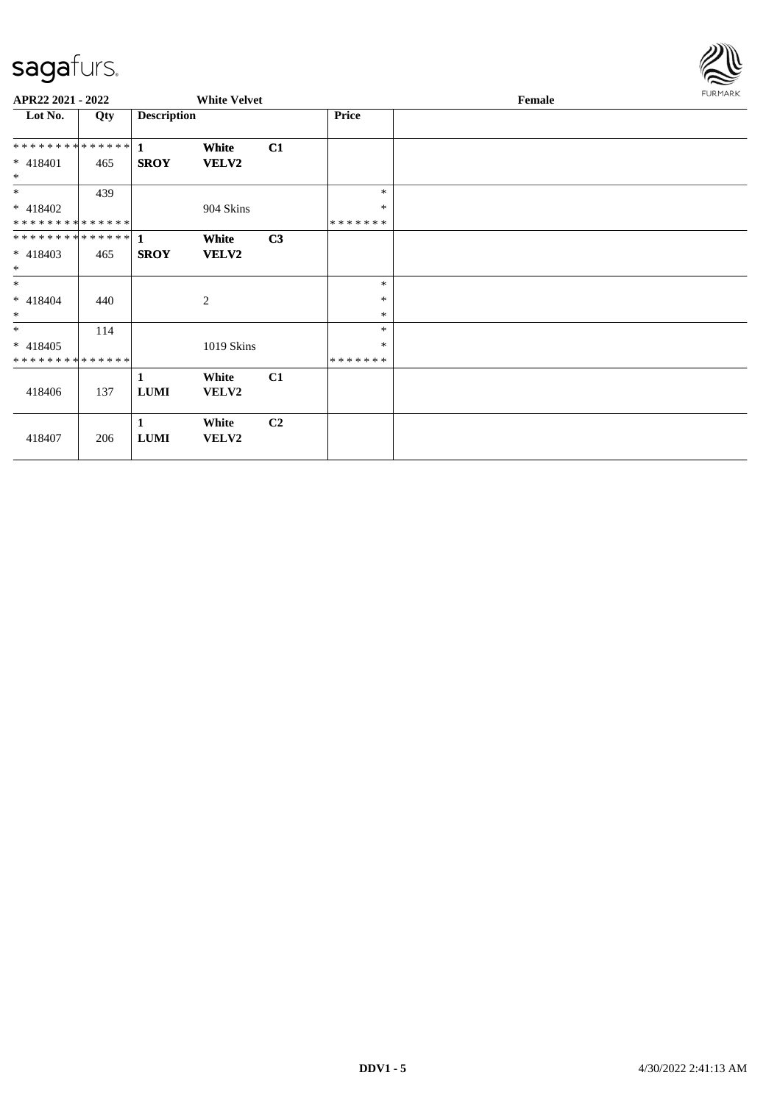

| APR22 2021 - 2022    |     |                    | <b>White Velvet</b> |    |         | Female | FURMARK |
|----------------------|-----|--------------------|---------------------|----|---------|--------|---------|
| Lot No.              | Qty | <b>Description</b> |                     |    | Price   |        |         |
| ************** 1     |     |                    | White               | C1 |         |        |         |
| $* 418401$<br>$\ast$ | 465 | <b>SROY</b>        | VELV2               |    |         |        |         |
| $\ast$               | 439 |                    |                     |    | $\ast$  |        |         |
| $* 418402$           |     |                    | 904 Skins           |    | $\ast$  |        |         |
| **************       |     |                    |                     |    | ******* |        |         |
|                      |     |                    | White               | C3 |         |        |         |
| $* 418403$           | 465 | <b>SROY</b>        | VELV2               |    |         |        |         |
| $*$                  |     |                    |                     |    |         |        |         |
| $*$                  |     |                    |                     |    | $\ast$  |        |         |
| $* 418404$           | 440 |                    | 2                   |    | $\ast$  |        |         |
| $*$                  |     |                    |                     |    | $\ast$  |        |         |
| $*$                  | 114 |                    |                     |    | $\ast$  |        |         |
| $* 418405$           |     |                    | 1019 Skins          |    | ∗       |        |         |
| **************       |     |                    |                     |    | ******* |        |         |
|                      |     | 1                  | White               | C1 |         |        |         |
| 418406               | 137 | <b>LUMI</b>        | VELV2               |    |         |        |         |
|                      |     | $\mathbf{1}$       | White               | C2 |         |        |         |
| 418407               | 206 | LUMI               | VELV2               |    |         |        |         |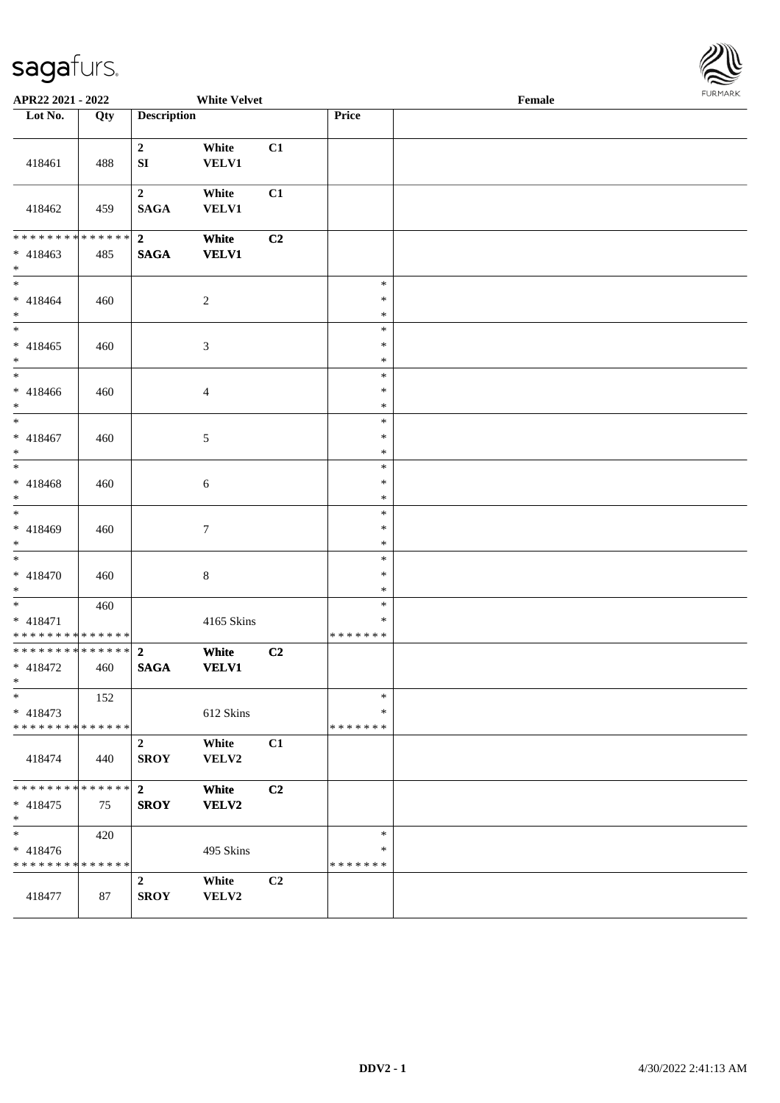

| APR22 2021 - 2022                                                  |                      |                               | <b>White Velvet</b>   |                |                             | Female |  |
|--------------------------------------------------------------------|----------------------|-------------------------------|-----------------------|----------------|-----------------------------|--------|--|
| Lot No.                                                            | Qty                  | <b>Description</b>            |                       |                | <b>Price</b>                |        |  |
| 418461                                                             | 488                  | $\overline{2}$<br>SI          | White<br><b>VELV1</b> | C1             |                             |        |  |
| 418462                                                             | 459                  | $\mathbf{2}$<br><b>SAGA</b>   | White<br><b>VELV1</b> | C1             |                             |        |  |
| * * * * * * * *<br>$* 418463$<br>$*$                               | * * * * * *  <br>485 | $\overline{2}$<br><b>SAGA</b> | White<br><b>VELV1</b> | C2             |                             |        |  |
| $*$<br>$* 418464$<br>$*$                                           | 460                  |                               | $\sqrt{2}$            |                | $\ast$<br>$\ast$<br>$\ast$  |        |  |
| $* 418465$<br>$*$                                                  | 460                  |                               | $\mathfrak{Z}$        |                | $\ast$<br>$\ast$<br>$\ast$  |        |  |
| * 418466<br>$*$                                                    | 460                  |                               | $\overline{4}$        |                | $\ast$<br>$\ast$<br>$\ast$  |        |  |
| * 418467<br>$*$                                                    | 460                  |                               | 5                     |                | $\ast$<br>$\ast$<br>$\ast$  |        |  |
| * 418468<br>$*$                                                    | 460                  |                               | 6                     |                | $\ast$<br>$\ast$<br>$\ast$  |        |  |
| * 418469<br>$*$                                                    | 460                  |                               | $\tau$                |                | $\ast$<br>$\ast$<br>$\ast$  |        |  |
| $* 418470$<br>$*$                                                  | 460                  |                               | $\,$ 8 $\,$           |                | $\ast$<br>$\ast$<br>$\ast$  |        |  |
| $* 418471$<br>* * * * * * * * * * * * * *                          | 460                  |                               | 4165 Skins            |                | $\ast$<br>$\ast$<br>******* |        |  |
| * * * * * * * * <mark>* * * * * * *</mark><br>* 418472<br>$*$ $*$  | 460                  | $\overline{2}$<br><b>SAGA</b> | White<br><b>VELV1</b> | C2             |                             |        |  |
| $\ast$<br>$* 418473$<br>* * * * * * * * <mark>* * * * * *</mark> * | 152                  |                               | 612 Skins             |                | $\ast$<br>∗<br>*******      |        |  |
| 418474                                                             | 440                  | $\overline{2}$<br><b>SROY</b> | White<br>VELV2        | C1             |                             |        |  |
| * * * * * * * *<br>$* 418475$<br>$*$                               | * * * * * * *<br>75  | $\overline{2}$<br><b>SROY</b> | White<br><b>VELV2</b> | C2             |                             |        |  |
| $\ast$<br>* 418476<br>* * * * * * * * * * * * * *                  | 420                  |                               | 495 Skins             |                | $\ast$<br>∗<br>*******      |        |  |
| 418477                                                             | 87                   | $\overline{2}$<br><b>SROY</b> | White<br>VELV2        | C <sub>2</sub> |                             |        |  |